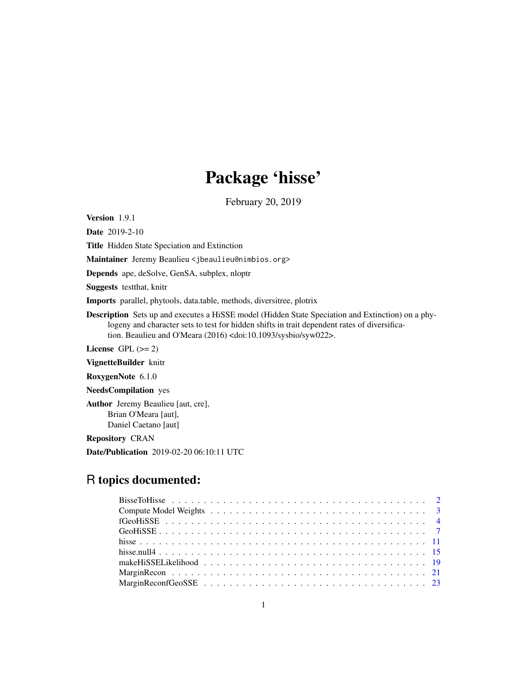# Package 'hisse'

February 20, 2019

Version 1.9.1

Date 2019-2-10

Title Hidden State Speciation and Extinction

Maintainer Jeremy Beaulieu <jbeaulieu@nimbios.org>

Depends ape, deSolve, GenSA, subplex, nloptr

Suggests testthat, knitr

Imports parallel, phytools, data.table, methods, diversitree, plotrix

Description Sets up and executes a HiSSE model (Hidden State Speciation and Extinction) on a phylogeny and character sets to test for hidden shifts in trait dependent rates of diversification. Beaulieu and O'Meara (2016) <doi:10.1093/sysbio/syw022>.

License GPL  $(>= 2)$ 

VignetteBuilder knitr

RoxygenNote 6.1.0

NeedsCompilation yes

Author Jeremy Beaulieu [aut, cre], Brian O'Meara [aut], Daniel Caetano [aut]

Repository CRAN

Date/Publication 2019-02-20 06:10:11 UTC

## R topics documented: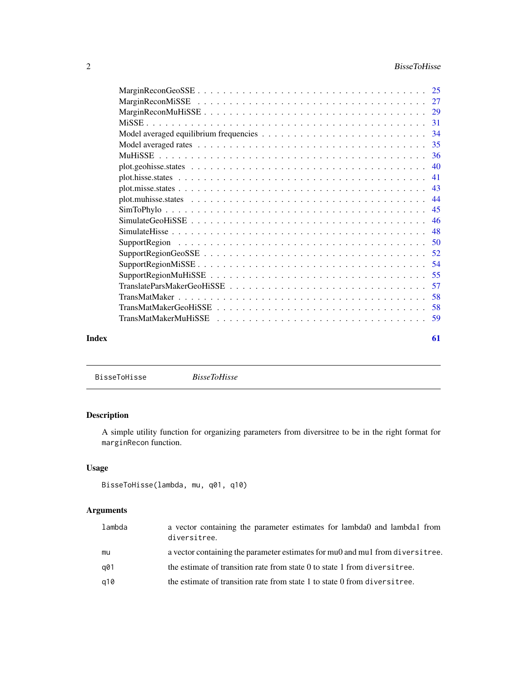<span id="page-1-0"></span>

| Index | 61 |
|-------|----|

BisseToHisse *BisseToHisse*

### Description

A simple utility function for organizing parameters from diversitree to be in the right format for marginRecon function.

### Usage

```
BisseToHisse(lambda, mu, q01, q10)
```

| lambda | a vector containing the parameter estimates for lambda0 and lambda1 from<br>diversitree. |
|--------|------------------------------------------------------------------------------------------|
| mu     | a vector containing the parameter estimates for muo and mul from diversitive.            |
| a01    | the estimate of transition rate from state 0 to state 1 from diversitude.                |
| a10    | the estimate of transition rate from state 1 to state 0 from diversitive.                |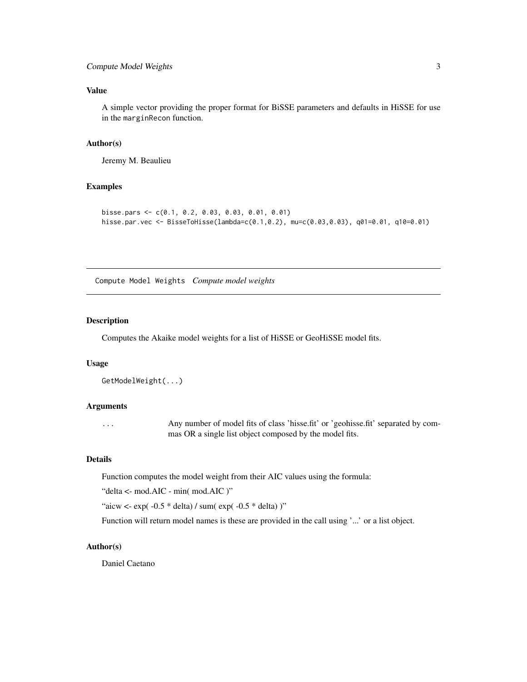### <span id="page-2-0"></span>Compute Model Weights 3

### Value

A simple vector providing the proper format for BiSSE parameters and defaults in HiSSE for use in the marginRecon function.

#### Author(s)

Jeremy M. Beaulieu

#### Examples

```
bisse.pars <- c(0.1, 0.2, 0.03, 0.03, 0.01, 0.01)
hisse.par.vec <- BisseToHisse(lambda=c(0.1,0.2), mu=c(0.03,0.03), q01=0.01, q10=0.01)
```
Compute Model Weights *Compute model weights*

#### Description

Computes the Akaike model weights for a list of HiSSE or GeoHiSSE model fits.

#### Usage

```
GetModelWeight(...)
```
#### Arguments

... Any number of model fits of class 'hisse.fit' or 'geohisse.fit' separated by commas OR a single list object composed by the model fits.

### Details

Function computes the model weight from their AIC values using the formula:

"delta <- mod.AIC - min( mod.AIC )"

"aicw <-  $\exp(-0.5 * \text{delta}) / \text{sum}(\exp(-0.5 * \text{delta}))$ "

Function will return model names is these are provided in the call using '...' or a list object.

#### Author(s)

Daniel Caetano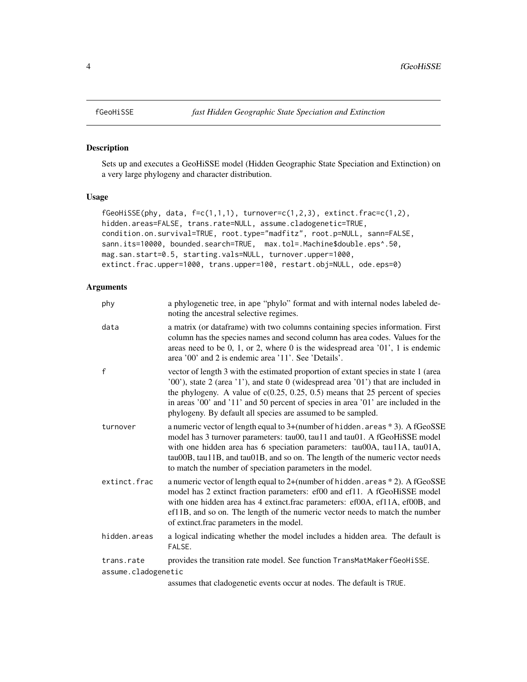### Description

Sets up and executes a GeoHiSSE model (Hidden Geographic State Speciation and Extinction) on a very large phylogeny and character distribution.

#### Usage

```
fGeohiSSE(phy, data, f=c(1,1,1), turnover=c(1,2,3), extinct.frac=c(1,2),hidden.areas=FALSE, trans.rate=NULL, assume.cladogenetic=TRUE,
condition.on.survival=TRUE, root.type="madfitz", root.p=NULL, sann=FALSE,
sann.its=10000, bounded.search=TRUE, max.tol=.Machine$double.eps^.50,
mag.san.start=0.5, starting.vals=NULL, turnover.upper=1000,
extinct.frac.upper=1000, trans.upper=100, restart.obj=NULL, ode.eps=0)
```

| phy                 | a phylogenetic tree, in ape "phylo" format and with internal nodes labeled de-<br>noting the ancestral selective regimes.                                                                                                                                                                                                                                                                                         |
|---------------------|-------------------------------------------------------------------------------------------------------------------------------------------------------------------------------------------------------------------------------------------------------------------------------------------------------------------------------------------------------------------------------------------------------------------|
| data                | a matrix (or dataframe) with two columns containing species information. First<br>column has the species names and second column has area codes. Values for the<br>areas need to be $0, 1,$ or $2$ , where $0$ is the widespread area ' $01$ ', 1 is endemic<br>area '00' and 2 is endemic area '11'. See 'Details'.                                                                                              |
| f                   | vector of length 3 with the estimated proportion of extant species in state 1 (area<br>'00'), state 2 (area '1'), and state 0 (widespread area '01') that are included in<br>the phylogeny. A value of $c(0.25, 0.25, 0.5)$ means that 25 percent of species<br>in areas '00' and '11' and 50 percent of species in area '01' are included in the<br>phylogeny. By default all species are assumed to be sampled. |
| turnover            | a numeric vector of length equal to 3+(number of hidden. areas *3). A fGeoSSE<br>model has 3 turnover parameters: tau00, tau11 and tau01. A fGeoHiSSE model<br>with one hidden area has 6 speciation parameters: tau00A, tau11A, tau01A,<br>tau00B, tau11B, and tau01B, and so on. The length of the numeric vector needs<br>to match the number of speciation parameters in the model.                           |
| extinct.frac        | a numeric vector of length equal to 2+(number of hidden. areas *2). A fGeoSSE<br>model has 2 extinct fraction parameters: ef00 and ef11. A fGeoHiSSE model<br>with one hidden area has 4 extinct.frac parameters: ef00A, ef11A, ef00B, and<br>ef11B, and so on. The length of the numeric vector needs to match the number<br>of extinct.frac parameters in the model.                                            |
| hidden.areas        | a logical indicating whether the model includes a hidden area. The default is<br>FALSE.                                                                                                                                                                                                                                                                                                                           |
| trans.rate          | provides the transition rate model. See function TransMatMakerfGeoHiSSE.                                                                                                                                                                                                                                                                                                                                          |
| assume.cladogenetic |                                                                                                                                                                                                                                                                                                                                                                                                                   |
|                     | assumes that cladogenetic events occur at nodes. The default is TRUE.                                                                                                                                                                                                                                                                                                                                             |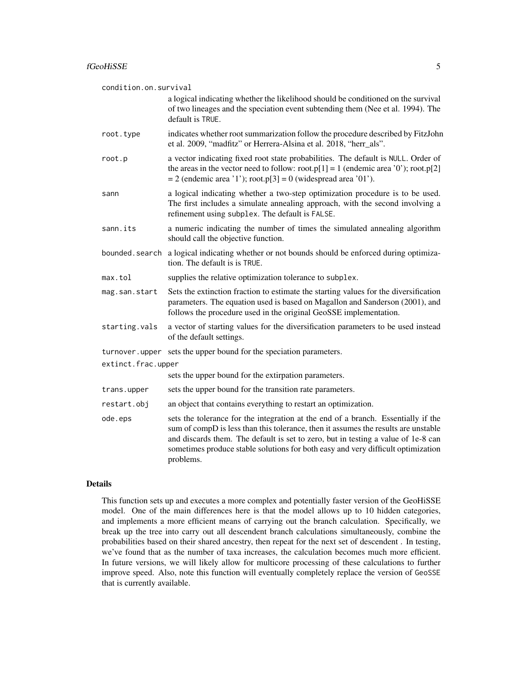| condition.on.survival |                                                                                                                                                                                                                                                                                                                                                               |  |
|-----------------------|---------------------------------------------------------------------------------------------------------------------------------------------------------------------------------------------------------------------------------------------------------------------------------------------------------------------------------------------------------------|--|
|                       | a logical indicating whether the likelihood should be conditioned on the survival<br>of two lineages and the speciation event subtending them (Nee et al. 1994). The<br>default is TRUE.                                                                                                                                                                      |  |
| root.type             | indicates whether root summarization follow the procedure described by FitzJohn<br>et al. 2009, "madfitz" or Herrera-Alsina et al. 2018, "herr_als".                                                                                                                                                                                                          |  |
| root.p                | a vector indicating fixed root state probabilities. The default is NULL. Order of<br>the areas in the vector need to follow: root.p[1] = 1 (endemic area '0'); root.p[2]<br>$= 2$ (endemic area '1'); root.p[3] = 0 (widespread area '01').                                                                                                                   |  |
| sann                  | a logical indicating whether a two-step optimization procedure is to be used.<br>The first includes a simulate annealing approach, with the second involving a<br>refinement using subplex. The default is FALSE.                                                                                                                                             |  |
| sann.its              | a numeric indicating the number of times the simulated annealing algorithm<br>should call the objective function.                                                                                                                                                                                                                                             |  |
| bounded.search        | a logical indicating whether or not bounds should be enforced during optimiza-<br>tion. The default is is TRUE.                                                                                                                                                                                                                                               |  |
| max.tol               | supplies the relative optimization tolerance to subplex.                                                                                                                                                                                                                                                                                                      |  |
| mag.san.start         | Sets the extinction fraction to estimate the starting values for the diversification<br>parameters. The equation used is based on Magallon and Sanderson (2001), and<br>follows the procedure used in the original GeoSSE implementation.                                                                                                                     |  |
| starting.vals         | a vector of starting values for the diversification parameters to be used instead<br>of the default settings.                                                                                                                                                                                                                                                 |  |
| turnover.upper        | sets the upper bound for the speciation parameters.                                                                                                                                                                                                                                                                                                           |  |
| extinct.frac.upper    |                                                                                                                                                                                                                                                                                                                                                               |  |
|                       | sets the upper bound for the extirpation parameters.                                                                                                                                                                                                                                                                                                          |  |
| trans.upper           | sets the upper bound for the transition rate parameters.                                                                                                                                                                                                                                                                                                      |  |
| restart.obj           | an object that contains everything to restart an optimization.                                                                                                                                                                                                                                                                                                |  |
| ode.eps               | sets the tolerance for the integration at the end of a branch. Essentially if the<br>sum of compD is less than this tolerance, then it assumes the results are unstable<br>and discards them. The default is set to zero, but in testing a value of 1e-8 can<br>sometimes produce stable solutions for both easy and very difficult optimization<br>problems. |  |

#### Details

This function sets up and executes a more complex and potentially faster version of the GeoHiSSE model. One of the main differences here is that the model allows up to 10 hidden categories, and implements a more efficient means of carrying out the branch calculation. Specifically, we break up the tree into carry out all descendent branch calculations simultaneously, combine the probabilities based on their shared ancestry, then repeat for the next set of descendent . In testing, we've found that as the number of taxa increases, the calculation becomes much more efficient. In future versions, we will likely allow for multicore processing of these calculations to further improve speed. Also, note this function will eventually completely replace the version of GeoSSE that is currently available.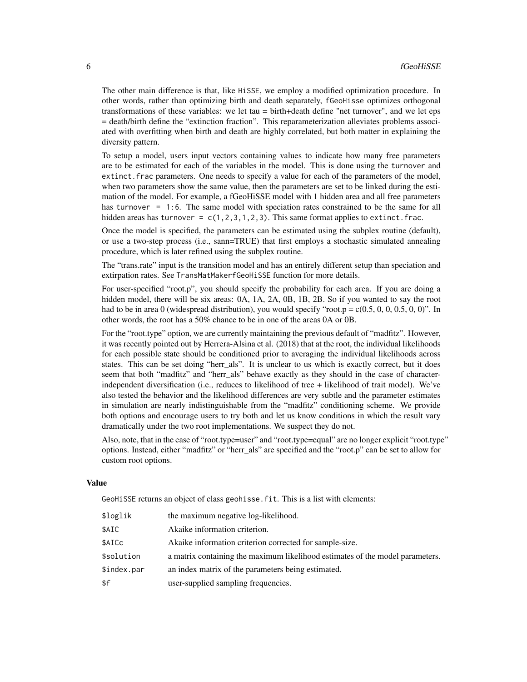The other main difference is that, like HiSSE, we employ a modified optimization procedure. In other words, rather than optimizing birth and death separately, fGeoHisse optimizes orthogonal transformations of these variables: we let tau = birth+death define "net turnover", and we let eps = death/birth define the "extinction fraction". This reparameterization alleviates problems associated with overfitting when birth and death are highly correlated, but both matter in explaining the diversity pattern.

To setup a model, users input vectors containing values to indicate how many free parameters are to be estimated for each of the variables in the model. This is done using the turnover and extinct.frac parameters. One needs to specify a value for each of the parameters of the model, when two parameters show the same value, then the parameters are set to be linked during the estimation of the model. For example, a fGeoHiSSE model with 1 hidden area and all free parameters has turnover = 1:6. The same model with speciation rates constrained to be the same for all hidden areas has turnover =  $c(1,2,3,1,2,3)$ . This same format applies to extinct. frac.

Once the model is specified, the parameters can be estimated using the subplex routine (default), or use a two-step process (i.e., sann=TRUE) that first employs a stochastic simulated annealing procedure, which is later refined using the subplex routine.

The "trans.rate" input is the transition model and has an entirely different setup than speciation and extirpation rates. See TransMatMakerfGeoHiSSE function for more details.

For user-specified "root.p", you should specify the probability for each area. If you are doing a hidden model, there will be six areas: 0A, 1A, 2A, 0B, 1B, 2B. So if you wanted to say the root had to be in area 0 (widespread distribution), you would specify "root.p =  $c(0.5, 0, 0, 0.5, 0, 0)$ ". In other words, the root has a 50% chance to be in one of the areas 0A or 0B.

For the "root.type" option, we are currently maintaining the previous default of "madfitz". However, it was recently pointed out by Herrera-Alsina et al. (2018) that at the root, the individual likelihoods for each possible state should be conditioned prior to averaging the individual likelihoods across states. This can be set doing "herr\_als". It is unclear to us which is exactly correct, but it does seem that both "madfitz" and "herr\_als" behave exactly as they should in the case of characterindependent diversification (i.e., reduces to likelihood of tree + likelihood of trait model). We've also tested the behavior and the likelihood differences are very subtle and the parameter estimates in simulation are nearly indistinguishable from the "madfitz" conditioning scheme. We provide both options and encourage users to try both and let us know conditions in which the result vary dramatically under the two root implementations. We suspect they do not.

Also, note, that in the case of "root.type=user" and "root.type=equal" are no longer explicit "root.type" options. Instead, either "madfitz" or "herr\_als" are specified and the "root.p" can be set to allow for custom root options.

#### Value

GeoHiSSE returns an object of class geohisse.fit. This is a list with elements:

| \$loglik    | the maximum negative log-likelihood.                                          |
|-------------|-------------------------------------------------------------------------------|
| \$AIC       | Akaike information criterion.                                                 |
| \$AICc      | Akaike information criterion corrected for sample-size.                       |
| \$solution  | a matrix containing the maximum likelihood estimates of the model parameters. |
| \$index.par | an index matrix of the parameters being estimated.                            |
| \$f         | user-supplied sampling frequencies.                                           |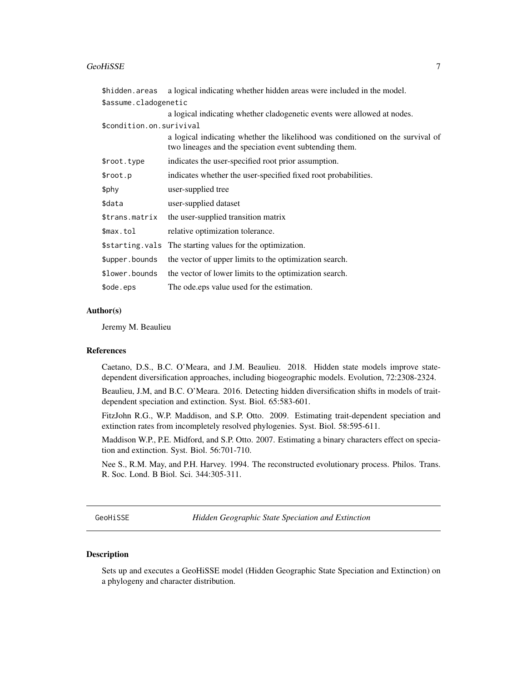#### <span id="page-6-0"></span>GeoHiSSE 7

| \$hidden.areas           | a logical indicating whether hidden areas were included in the model.                                                                    |
|--------------------------|------------------------------------------------------------------------------------------------------------------------------------------|
| \$assume.cladogenetic    |                                                                                                                                          |
|                          | a logical indicating whether cladogenetic events were allowed at nodes.                                                                  |
| \$condition.on.surivival |                                                                                                                                          |
|                          | a logical indicating whether the likelihood was conditioned on the survival of<br>two lineages and the speciation event subtending them. |
| \$root.type              | indicates the user-specified root prior assumption.                                                                                      |
| \$root.p                 | indicates whether the user-specified fixed root probabilities.                                                                           |
| \$phy                    | user-supplied tree                                                                                                                       |
| \$data                   | user-supplied dataset                                                                                                                    |
| \$trans.matrix           | the user-supplied transition matrix                                                                                                      |
| \$max.tol                | relative optimization tolerance.                                                                                                         |
|                          | \$starting.vals The starting values for the optimization.                                                                                |
| \$upper.bounds           | the vector of upper limits to the optimization search.                                                                                   |
| \$lower.bounds           | the vector of lower limits to the optimization search.                                                                                   |
| \$ode.eps                | The ode.eps value used for the estimation.                                                                                               |

#### Author(s)

Jeremy M. Beaulieu

#### References

Caetano, D.S., B.C. O'Meara, and J.M. Beaulieu. 2018. Hidden state models improve statedependent diversification approaches, including biogeographic models. Evolution, 72:2308-2324.

Beaulieu, J.M, and B.C. O'Meara. 2016. Detecting hidden diversification shifts in models of traitdependent speciation and extinction. Syst. Biol. 65:583-601.

FitzJohn R.G., W.P. Maddison, and S.P. Otto. 2009. Estimating trait-dependent speciation and extinction rates from incompletely resolved phylogenies. Syst. Biol. 58:595-611.

Maddison W.P., P.E. Midford, and S.P. Otto. 2007. Estimating a binary characters effect on speciation and extinction. Syst. Biol. 56:701-710.

Nee S., R.M. May, and P.H. Harvey. 1994. The reconstructed evolutionary process. Philos. Trans. R. Soc. Lond. B Biol. Sci. 344:305-311.

GeoHiSSE *Hidden Geographic State Speciation and Extinction*

### **Description**

Sets up and executes a GeoHiSSE model (Hidden Geographic State Speciation and Extinction) on a phylogeny and character distribution.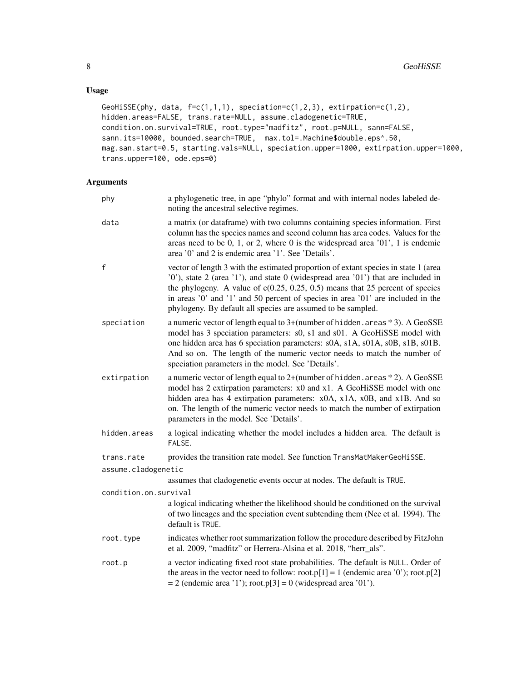### Usage

```
GeoHiSSE(phy, data, f=c(1,1,1), speciation=c(1,2,3), extirpation=c(1,2),
hidden.areas=FALSE, trans.rate=NULL, assume.cladogenetic=TRUE,
condition.on.survival=TRUE, root.type="madfitz", root.p=NULL, sann=FALSE,
sann.its=10000, bounded.search=TRUE, max.tol=.Machine$double.eps^.50,
mag.san.start=0.5, starting.vals=NULL, speciation.upper=1000, extirpation.upper=1000,
trans.upper=100, ode.eps=0)
```

| phy                   | a phylogenetic tree, in ape "phylo" format and with internal nodes labeled de-<br>noting the ancestral selective regimes.                                                                                                                                                                                                                                                                                      |
|-----------------------|----------------------------------------------------------------------------------------------------------------------------------------------------------------------------------------------------------------------------------------------------------------------------------------------------------------------------------------------------------------------------------------------------------------|
| data                  | a matrix (or dataframe) with two columns containing species information. First<br>column has the species names and second column has area codes. Values for the<br>areas need to be 0, 1, or 2, where 0 is the widespread area $'01'$ , 1 is endemic<br>area '0' and 2 is endemic area '1'. See 'Details'.                                                                                                     |
| $\mathsf f$           | vector of length 3 with the estimated proportion of extant species in state 1 (area<br>'0'), state 2 (area '1'), and state 0 (widespread area '01') that are included in<br>the phylogeny. A value of $c(0.25, 0.25, 0.5)$ means that 25 percent of species<br>in areas '0' and '1' and 50 percent of species in area '01' are included in the<br>phylogeny. By default all species are assumed to be sampled. |
| speciation            | a numeric vector of length equal to 3+(number of hidden. areas *3). A GeoSSE<br>model has 3 speciation parameters: s0, s1 and s01. A GeoHiSSE model with<br>one hidden area has 6 speciation parameters: s0A, s1A, s01A, s0B, s1B, s01B.<br>And so on. The length of the numeric vector needs to match the number of<br>speciation parameters in the model. See 'Details'.                                     |
| extirpation           | a numeric vector of length equal to 2+(number of hidden. areas * 2). A GeoSSE<br>model has 2 extirpation parameters: x0 and x1. A GeoHiSSE model with one<br>hidden area has 4 extirpation parameters: x0A, x1A, x0B, and x1B. And so<br>on. The length of the numeric vector needs to match the number of extirpation<br>parameters in the model. See 'Details'.                                              |
| hidden.areas          | a logical indicating whether the model includes a hidden area. The default is<br>FALSE.                                                                                                                                                                                                                                                                                                                        |
| trans.rate            | provides the transition rate model. See function TransMatMakerGeoHiSSE.                                                                                                                                                                                                                                                                                                                                        |
| assume.cladogenetic   |                                                                                                                                                                                                                                                                                                                                                                                                                |
|                       | assumes that cladogenetic events occur at nodes. The default is TRUE.                                                                                                                                                                                                                                                                                                                                          |
| condition.on.survival |                                                                                                                                                                                                                                                                                                                                                                                                                |
|                       | a logical indicating whether the likelihood should be conditioned on the survival<br>of two lineages and the speciation event subtending them (Nee et al. 1994). The<br>default is TRUE.                                                                                                                                                                                                                       |
| root.type             | indicates whether root summarization follow the procedure described by FitzJohn<br>et al. 2009, "madfitz" or Herrera-Alsina et al. 2018, "herr_als".                                                                                                                                                                                                                                                           |
| root.p                | a vector indicating fixed root state probabilities. The default is NULL. Order of<br>the areas in the vector need to follow: root.p[1] = 1 (endemic area '0'); root.p[2]<br>$= 2$ (endemic area '1'); root.p[3] $= 0$ (widespread area '01').                                                                                                                                                                  |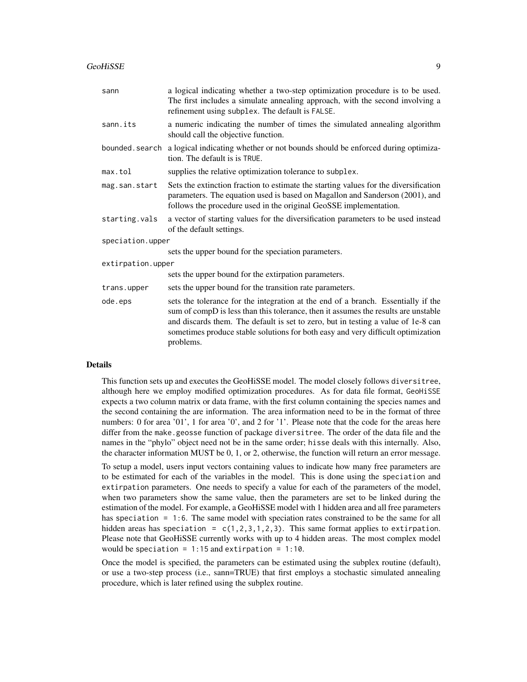#### GeoHiSSE 9

| sann              | a logical indicating whether a two-step optimization procedure is to be used.<br>The first includes a simulate annealing approach, with the second involving a<br>refinement using subplex. The default is FALSE.                                                                                                                                             |  |
|-------------------|---------------------------------------------------------------------------------------------------------------------------------------------------------------------------------------------------------------------------------------------------------------------------------------------------------------------------------------------------------------|--|
| sann.its          | a numeric indicating the number of times the simulated annealing algorithm<br>should call the objective function.                                                                                                                                                                                                                                             |  |
| bounded.search    | a logical indicating whether or not bounds should be enforced during optimiza-<br>tion. The default is is TRUE.                                                                                                                                                                                                                                               |  |
| max.tol           | supplies the relative optimization tolerance to subplex.                                                                                                                                                                                                                                                                                                      |  |
| mag.san.start     | Sets the extinction fraction to estimate the starting values for the diversification<br>parameters. The equation used is based on Magallon and Sanderson (2001), and<br>follows the procedure used in the original GeoSSE implementation.                                                                                                                     |  |
| starting.vals     | a vector of starting values for the diversification parameters to be used instead<br>of the default settings.                                                                                                                                                                                                                                                 |  |
| speciation.upper  |                                                                                                                                                                                                                                                                                                                                                               |  |
|                   | sets the upper bound for the speciation parameters.                                                                                                                                                                                                                                                                                                           |  |
| extirpation.upper |                                                                                                                                                                                                                                                                                                                                                               |  |
|                   | sets the upper bound for the extirpation parameters.                                                                                                                                                                                                                                                                                                          |  |
| trans.upper       | sets the upper bound for the transition rate parameters.                                                                                                                                                                                                                                                                                                      |  |
| ode.eps           | sets the tolerance for the integration at the end of a branch. Essentially if the<br>sum of compD is less than this tolerance, then it assumes the results are unstable<br>and discards them. The default is set to zero, but in testing a value of 1e-8 can<br>sometimes produce stable solutions for both easy and very difficult optimization<br>problems. |  |

### Details

This function sets up and executes the GeoHiSSE model. The model closely follows diversitree, although here we employ modified optimization procedures. As for data file format, GeoHiSSE expects a two column matrix or data frame, with the first column containing the species names and the second containing the are information. The area information need to be in the format of three numbers: 0 for area '01', 1 for area '0', and 2 for '1'. Please note that the code for the areas here differ from the make.geosse function of package diversitree. The order of the data file and the names in the "phylo" object need not be in the same order; hisse deals with this internally. Also, the character information MUST be 0, 1, or 2, otherwise, the function will return an error message.

To setup a model, users input vectors containing values to indicate how many free parameters are to be estimated for each of the variables in the model. This is done using the speciation and extirpation parameters. One needs to specify a value for each of the parameters of the model, when two parameters show the same value, then the parameters are set to be linked during the estimation of the model. For example, a GeoHiSSE model with 1 hidden area and all free parameters has speciation = 1:6. The same model with speciation rates constrained to be the same for all hidden areas has speciation =  $c(1,2,3,1,2,3)$ . This same format applies to extirpation. Please note that GeoHiSSE currently works with up to 4 hidden areas. The most complex model would be speciation =  $1:15$  and extirpation =  $1:10$ .

Once the model is specified, the parameters can be estimated using the subplex routine (default), or use a two-step process (i.e., sann=TRUE) that first employs a stochastic simulated annealing procedure, which is later refined using the subplex routine.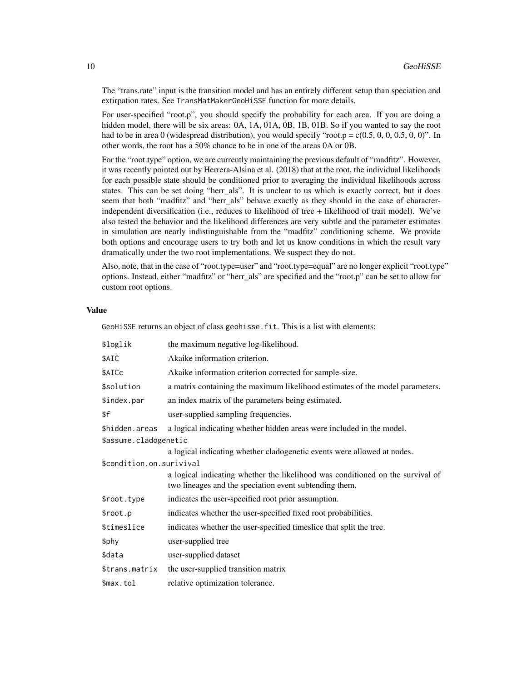The "trans.rate" input is the transition model and has an entirely different setup than speciation and extirpation rates. See TransMatMakerGeoHiSSE function for more details.

For user-specified "root.p", you should specify the probability for each area. If you are doing a hidden model, there will be six areas: 0A, 1A, 01A, 0B, 1B, 01B. So if you wanted to say the root had to be in area 0 (widespread distribution), you would specify "root.p =  $c(0.5, 0, 0, 0.5, 0, 0)$ ". In other words, the root has a 50% chance to be in one of the areas 0A or 0B.

For the "root.type" option, we are currently maintaining the previous default of "madfitz". However, it was recently pointed out by Herrera-Alsina et al. (2018) that at the root, the individual likelihoods for each possible state should be conditioned prior to averaging the individual likelihoods across states. This can be set doing "herr als". It is unclear to us which is exactly correct, but it does seem that both "madfitz" and "herr\_als" behave exactly as they should in the case of characterindependent diversification (i.e., reduces to likelihood of tree + likelihood of trait model). We've also tested the behavior and the likelihood differences are very subtle and the parameter estimates in simulation are nearly indistinguishable from the "madfitz" conditioning scheme. We provide both options and encourage users to try both and let us know conditions in which the result vary dramatically under the two root implementations. We suspect they do not.

Also, note, that in the case of "root.type=user" and "root.type=equal" are no longer explicit "root.type" options. Instead, either "madfitz" or "herr\_als" are specified and the "root.p" can be set to allow for custom root options.

#### Value

GeoHiSSE returns an object of class geohisse.fit. This is a list with elements:

| \$loglik                 | the maximum negative log-likelihood.                                                                                                     |  |
|--------------------------|------------------------------------------------------------------------------------------------------------------------------------------|--|
| \$AIC                    | Akaike information criterion.                                                                                                            |  |
| \$AICc                   | Akaike information criterion corrected for sample-size.                                                                                  |  |
| \$solution               | a matrix containing the maximum likelihood estimates of the model parameters.                                                            |  |
| \$index.par              | an index matrix of the parameters being estimated.                                                                                       |  |
| \$f                      | user-supplied sampling frequencies.                                                                                                      |  |
| \$hidden.areas           | a logical indicating whether hidden areas were included in the model.                                                                    |  |
| \$assume.cladogenetic    |                                                                                                                                          |  |
|                          | a logical indicating whether cladogenetic events were allowed at nodes.                                                                  |  |
| \$condition.on.surivival |                                                                                                                                          |  |
|                          | a logical indicating whether the likelihood was conditioned on the survival of<br>two lineages and the speciation event subtending them. |  |
| \$root.type              | indicates the user-specified root prior assumption.                                                                                      |  |
| \$root.p                 | indicates whether the user-specified fixed root probabilities.                                                                           |  |
| \$timeslice              | indicates whether the user-specified timeslice that split the tree.                                                                      |  |
| \$phy                    | user-supplied tree                                                                                                                       |  |
| \$data                   | user-supplied dataset                                                                                                                    |  |
| \$trans.matrix           | the user-supplied transition matrix                                                                                                      |  |
| \$max.tol                | relative optimization tolerance.                                                                                                         |  |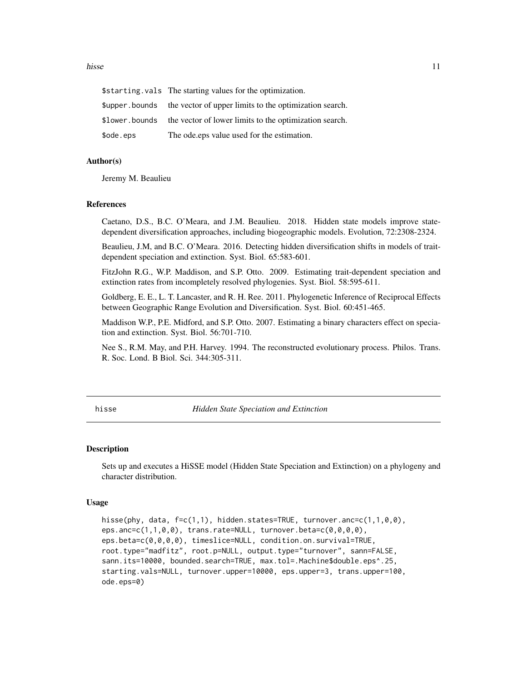#### <span id="page-10-0"></span>hisse and the set of the set of the set of the set of the set of the set of the set of the set of the set of the set of the set of the set of the set of the set of the set of the set of the set of the set of the set of the

|           | \$starting.vals The starting values for the optimization.             |
|-----------|-----------------------------------------------------------------------|
|           | \$upper bounds the vector of upper limits to the optimization search. |
|           | \$lower.bounds the vector of lower limits to the optimization search. |
| \$ode.eps | The ode eps value used for the estimation.                            |

### Author(s)

Jeremy M. Beaulieu

#### References

Caetano, D.S., B.C. O'Meara, and J.M. Beaulieu. 2018. Hidden state models improve statedependent diversification approaches, including biogeographic models. Evolution, 72:2308-2324.

Beaulieu, J.M, and B.C. O'Meara. 2016. Detecting hidden diversification shifts in models of traitdependent speciation and extinction. Syst. Biol. 65:583-601.

FitzJohn R.G., W.P. Maddison, and S.P. Otto. 2009. Estimating trait-dependent speciation and extinction rates from incompletely resolved phylogenies. Syst. Biol. 58:595-611.

Goldberg, E. E., L. T. Lancaster, and R. H. Ree. 2011. Phylogenetic Inference of Reciprocal Effects between Geographic Range Evolution and Diversification. Syst. Biol. 60:451-465.

Maddison W.P., P.E. Midford, and S.P. Otto. 2007. Estimating a binary characters effect on speciation and extinction. Syst. Biol. 56:701-710.

Nee S., R.M. May, and P.H. Harvey. 1994. The reconstructed evolutionary process. Philos. Trans. R. Soc. Lond. B Biol. Sci. 344:305-311.

hisse *Hidden State Speciation and Extinction*

#### Description

Sets up and executes a HiSSE model (Hidden State Speciation and Extinction) on a phylogeny and character distribution.

#### Usage

```
hisse(phy, data, f=c(1,1), hidden.states=TRUE, turnover.anc=c(1,1,0,0),
eps.anc=c(1,1,0,0), trans.rate=NULL, turnover.beta=c(0,0,0,0),
eps.beta=c(0,0,0,0), timeslice=NULL, condition.on.survival=TRUE,
root.type="madfitz", root.p=NULL, output.type="turnover", sann=FALSE,
sann.its=10000, bounded.search=TRUE, max.tol=.Machine$double.eps^.25,
starting.vals=NULL, turnover.upper=10000, eps.upper=3, trans.upper=100,
ode.eps=0)
```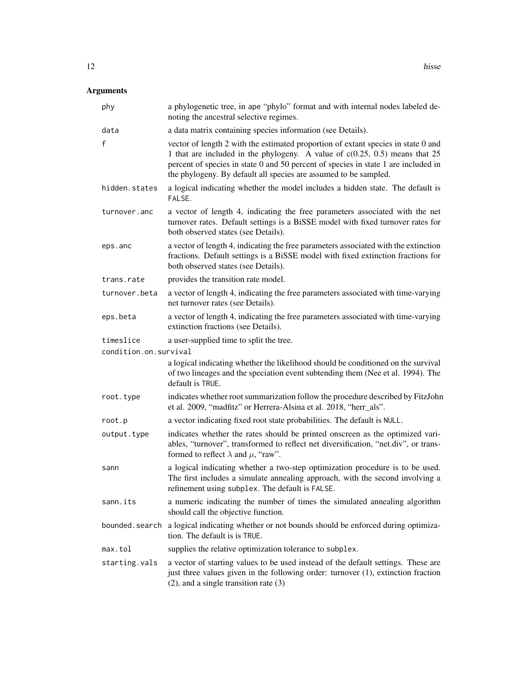| phy                   | a phylogenetic tree, in ape "phylo" format and with internal nodes labeled de-<br>noting the ancestral selective regimes.                                                                                                                                                                                                    |
|-----------------------|------------------------------------------------------------------------------------------------------------------------------------------------------------------------------------------------------------------------------------------------------------------------------------------------------------------------------|
| data                  | a data matrix containing species information (see Details).                                                                                                                                                                                                                                                                  |
| f                     | vector of length 2 with the estimated proportion of extant species in state 0 and<br>1 that are included in the phylogeny. A value of $c(0.25, 0.5)$ means that 25<br>percent of species in state 0 and 50 percent of species in state 1 are included in<br>the phylogeny. By default all species are assumed to be sampled. |
| hidden.states         | a logical indicating whether the model includes a hidden state. The default is<br>FALSE.                                                                                                                                                                                                                                     |
| turnover.anc          | a vector of length 4, indicating the free parameters associated with the net<br>turnover rates. Default settings is a BiSSE model with fixed turnover rates for<br>both observed states (see Details).                                                                                                                       |
| eps.anc               | a vector of length 4, indicating the free parameters associated with the extinction<br>fractions. Default settings is a BiSSE model with fixed extinction fractions for<br>both observed states (see Details).                                                                                                               |
| trans.rate            | provides the transition rate model.                                                                                                                                                                                                                                                                                          |
| turnover.beta         | a vector of length 4, indicating the free parameters associated with time-varying<br>net turnover rates (see Details).                                                                                                                                                                                                       |
| eps.beta              | a vector of length 4, indicating the free parameters associated with time-varying<br>extinction fractions (see Details).                                                                                                                                                                                                     |
| timeslice             | a user-supplied time to split the tree.                                                                                                                                                                                                                                                                                      |
| condition.on.survival |                                                                                                                                                                                                                                                                                                                              |
|                       | a logical indicating whether the likelihood should be conditioned on the survival<br>of two lineages and the speciation event subtending them (Nee et al. 1994). The<br>default is TRUE.                                                                                                                                     |
| root.type             | indicates whether root summarization follow the procedure described by FitzJohn<br>et al. 2009, "madfitz" or Herrera-Alsina et al. 2018, "herr_als".                                                                                                                                                                         |
| root.p                | a vector indicating fixed root state probabilities. The default is NULL.                                                                                                                                                                                                                                                     |
| output.type           | indicates whether the rates should be printed onscreen as the optimized vari-<br>ables, "turnover", transformed to reflect net diversification, "net.div", or trans-<br>formed to reflect $\lambda$ and $\mu$ , "raw".                                                                                                       |
| sann                  | a logical indicating whether a two-step optimization procedure is to be used.<br>The first includes a simulate annealing approach, with the second involving a<br>refinement using subplex. The default is FALSE.                                                                                                            |
| sann.its              | a numeric indicating the number of times the simulated annealing algorithm<br>should call the objective function.                                                                                                                                                                                                            |
| bounded.search        | a logical indicating whether or not bounds should be enforced during optimiza-<br>tion. The default is is TRUE.                                                                                                                                                                                                              |
| max.tol               | supplies the relative optimization tolerance to subplex.                                                                                                                                                                                                                                                                     |
| starting.vals         | a vector of starting values to be used instead of the default settings. These are<br>just three values given in the following order: turnover (1), extinction fraction<br>$(2)$ , and a single transition rate $(3)$                                                                                                         |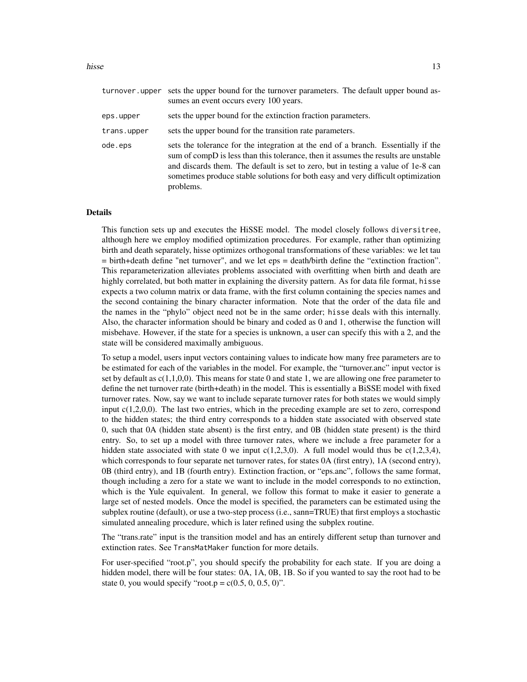#### hisse and the set of the set of the set of the set of the set of the set of the set of the set of the set of the set of the set of the set of the set of the set of the set of the set of the set of the set of the set of the

| turnover.upper | sets the upper bound for the turnover parameters. The default upper bound as-<br>sumes an event occurs every 100 years.                                                                                                                                                                                                                                       |
|----------------|---------------------------------------------------------------------------------------------------------------------------------------------------------------------------------------------------------------------------------------------------------------------------------------------------------------------------------------------------------------|
| eps.upper      | sets the upper bound for the extinction fraction parameters.                                                                                                                                                                                                                                                                                                  |
| trans.upper    | sets the upper bound for the transition rate parameters.                                                                                                                                                                                                                                                                                                      |
| ode.eps        | sets the tolerance for the integration at the end of a branch. Essentially if the<br>sum of compD is less than this tolerance, then it assumes the results are unstable<br>and discards them. The default is set to zero, but in testing a value of 1e-8 can<br>sometimes produce stable solutions for both easy and very difficult optimization<br>problems. |

#### Details

This function sets up and executes the HiSSE model. The model closely follows diversitree, although here we employ modified optimization procedures. For example, rather than optimizing birth and death separately, hisse optimizes orthogonal transformations of these variables: we let tau = birth+death define "net turnover", and we let eps = death/birth define the "extinction fraction". This reparameterization alleviates problems associated with overfitting when birth and death are highly correlated, but both matter in explaining the diversity pattern. As for data file format, hisse expects a two column matrix or data frame, with the first column containing the species names and the second containing the binary character information. Note that the order of the data file and the names in the "phylo" object need not be in the same order; hisse deals with this internally. Also, the character information should be binary and coded as 0 and 1, otherwise the function will misbehave. However, if the state for a species is unknown, a user can specify this with a 2, and the state will be considered maximally ambiguous.

To setup a model, users input vectors containing values to indicate how many free parameters are to be estimated for each of the variables in the model. For example, the "turnover.anc" input vector is set by default as  $c(1,1,0,0)$ . This means for state 0 and state 1, we are allowing one free parameter to define the net turnover rate (birth+death) in the model. This is essentially a BiSSE model with fixed turnover rates. Now, say we want to include separate turnover rates for both states we would simply input  $c(1,2,0,0)$ . The last two entries, which in the preceding example are set to zero, correspond to the hidden states; the third entry corresponds to a hidden state associated with observed state 0, such that 0A (hidden state absent) is the first entry, and 0B (hidden state present) is the third entry. So, to set up a model with three turnover rates, where we include a free parameter for a hidden state associated with state 0 we input  $c(1,2,3,0)$ . A full model would thus be  $c(1,2,3,4)$ , which corresponds to four separate net turnover rates, for states 0A (first entry), 1A (second entry), 0B (third entry), and 1B (fourth entry). Extinction fraction, or "eps.anc", follows the same format, though including a zero for a state we want to include in the model corresponds to no extinction, which is the Yule equivalent. In general, we follow this format to make it easier to generate a large set of nested models. Once the model is specified, the parameters can be estimated using the subplex routine (default), or use a two-step process (i.e., sann=TRUE) that first employs a stochastic simulated annealing procedure, which is later refined using the subplex routine.

The "trans.rate" input is the transition model and has an entirely different setup than turnover and extinction rates. See TransMatMaker function for more details.

For user-specified "root.p", you should specify the probability for each state. If you are doing a hidden model, there will be four states: 0A, 1A, 0B, 1B. So if you wanted to say the root had to be state 0, you would specify "root.p =  $c(0.5, 0, 0.5, 0)$ ".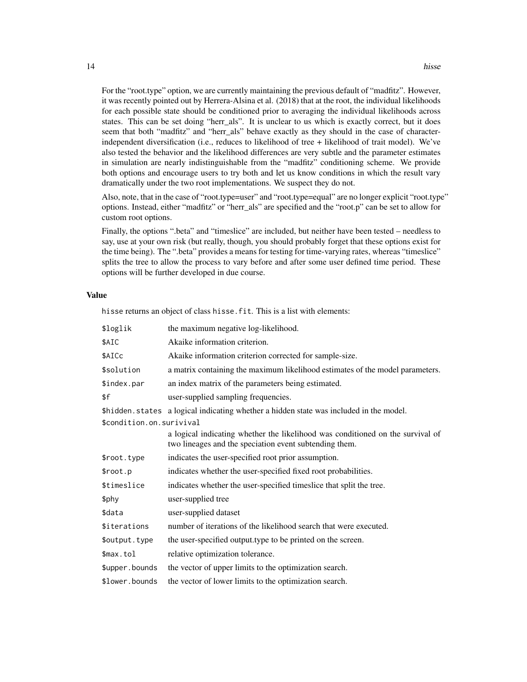For the "root.type" option, we are currently maintaining the previous default of "madfitz". However, it was recently pointed out by Herrera-Alsina et al. (2018) that at the root, the individual likelihoods for each possible state should be conditioned prior to averaging the individual likelihoods across states. This can be set doing "herr\_als". It is unclear to us which is exactly correct, but it does seem that both "madfitz" and "herr\_als" behave exactly as they should in the case of characterindependent diversification (i.e., reduces to likelihood of tree + likelihood of trait model). We've also tested the behavior and the likelihood differences are very subtle and the parameter estimates in simulation are nearly indistinguishable from the "madfitz" conditioning scheme. We provide both options and encourage users to try both and let us know conditions in which the result vary dramatically under the two root implementations. We suspect they do not.

Also, note, that in the case of "root.type=user" and "root.type=equal" are no longer explicit "root.type" options. Instead, either "madfitz" or "herr\_als" are specified and the "root.p" can be set to allow for custom root options.

Finally, the options ".beta" and "timeslice" are included, but neither have been tested – needless to say, use at your own risk (but really, though, you should probably forget that these options exist for the time being). The ".beta" provides a means for testing for time-varying rates, whereas "timeslice" splits the tree to allow the process to vary before and after some user defined time period. These options will be further developed in due course.

#### Value

hisse returns an object of class hisse.fit. This is a list with elements:

| \$loglik                   | the maximum negative log-likelihood.                                                                                                     |
|----------------------------|------------------------------------------------------------------------------------------------------------------------------------------|
| \$AIC                      | Akaike information criterion.                                                                                                            |
| \$AICc                     | Akaike information criterion corrected for sample-size.                                                                                  |
| \$solution                 | a matrix containing the maximum likelihood estimates of the model parameters.                                                            |
| \$index.par                | an index matrix of the parameters being estimated.                                                                                       |
| \$f                        | user-supplied sampling frequencies.                                                                                                      |
|                            | \$hidden.states a logical indicating whether a hidden state was included in the model.                                                   |
| \$condition.on.surivival   |                                                                                                                                          |
|                            | a logical indicating whether the likelihood was conditioned on the survival of<br>two lineages and the speciation event subtending them. |
| \$root.type                | indicates the user-specified root prior assumption.                                                                                      |
| \$root.p                   | indicates whether the user-specified fixed root probabilities.                                                                           |
| \$timeslice                | indicates whether the user-specified timeslice that split the tree.                                                                      |
| \$phy                      | user-supplied tree                                                                                                                       |
| \$data                     | user-supplied dataset                                                                                                                    |
| <i><b>\$iterations</b></i> | number of iterations of the likelihood search that were executed.                                                                        |
| \$output.type              | the user-specified output type to be printed on the screen.                                                                              |
| \$max.tol                  | relative optimization tolerance.                                                                                                         |
| \$upper.bounds             | the vector of upper limits to the optimization search.                                                                                   |
| \$lower.bounds             | the vector of lower limits to the optimization search.                                                                                   |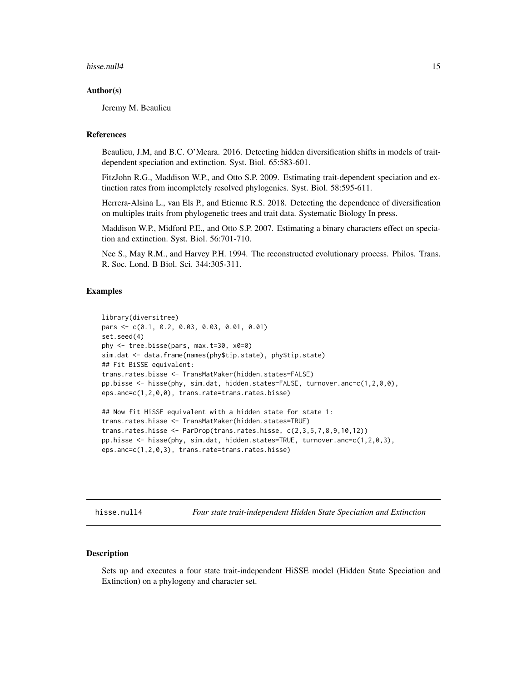#### <span id="page-14-0"></span>hisse.null4 15

#### Author(s)

Jeremy M. Beaulieu

#### References

Beaulieu, J.M, and B.C. O'Meara. 2016. Detecting hidden diversification shifts in models of traitdependent speciation and extinction. Syst. Biol. 65:583-601.

FitzJohn R.G., Maddison W.P., and Otto S.P. 2009. Estimating trait-dependent speciation and extinction rates from incompletely resolved phylogenies. Syst. Biol. 58:595-611.

Herrera-Alsina L., van Els P., and Etienne R.S. 2018. Detecting the dependence of diversification on multiples traits from phylogenetic trees and trait data. Systematic Biology In press.

Maddison W.P., Midford P.E., and Otto S.P. 2007. Estimating a binary characters effect on speciation and extinction. Syst. Biol. 56:701-710.

Nee S., May R.M., and Harvey P.H. 1994. The reconstructed evolutionary process. Philos. Trans. R. Soc. Lond. B Biol. Sci. 344:305-311.

#### Examples

```
library(diversitree)
pars <- c(0.1, 0.2, 0.03, 0.03, 0.01, 0.01)
set.seed(4)
phy <- tree.bisse(pars, max.t=30, x0=0)
sim.dat <- data.frame(names(phy$tip.state), phy$tip.state)
## Fit BiSSE equivalent:
trans.rates.bisse <- TransMatMaker(hidden.states=FALSE)
pp.bisse <- hisse(phy, sim.dat, hidden.states=FALSE, turnover.anc=c(1,2,0,0),
eps.anc=c(1,2,0,0), trans.rate=trans.rates.bisse)
## Now fit HiSSE equivalent with a hidden state for state 1:
trans.rates.hisse <- TransMatMaker(hidden.states=TRUE)
trans.rates.hisse <- ParDrop(trans.rates.hisse, c(2,3,5,7,8,9,10,12))
pp.hisse <- hisse(phy, sim.dat, hidden.states=TRUE, turnover.anc=c(1,2,0,3),
```

```
eps.anc=c(1,2,0,3), trans.rate=trans.rates.hisse)
```
hisse.null4 *Four state trait-independent Hidden State Speciation and Extinction*

### Description

Sets up and executes a four state trait-independent HiSSE model (Hidden State Speciation and Extinction) on a phylogeny and character set.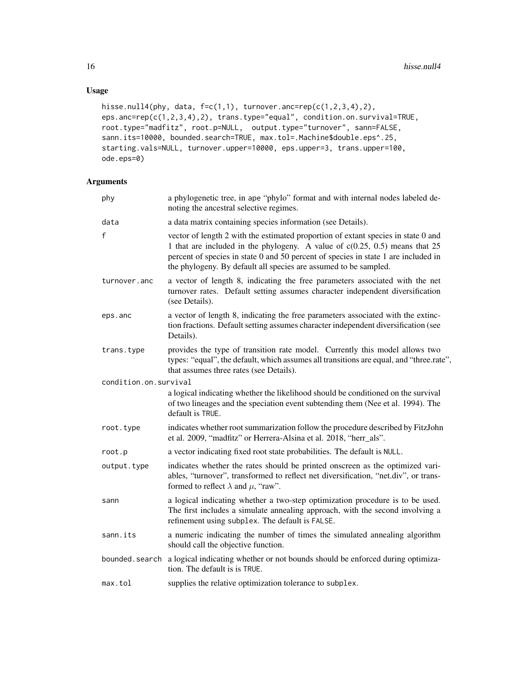### Usage

```
hisse.null4(phy, data, f=c(1,1), turnover.anc=rep(c(1,2,3,4),2),
eps.anc=rep(c(1,2,3,4),2), trans.type="equal", condition.on.survival=TRUE,
root.type="madfitz", root.p=NULL, output.type="turnover", sann=FALSE,
sann.its=10000, bounded.search=TRUE, max.tol=.Machine$double.eps^.25,
starting.vals=NULL, turnover.upper=10000, eps.upper=3, trans.upper=100,
ode.eps=0)
```

| phy                   | a phylogenetic tree, in ape "phylo" format and with internal nodes labeled de-<br>noting the ancestral selective regimes.                                                                                                                                                                                                    |
|-----------------------|------------------------------------------------------------------------------------------------------------------------------------------------------------------------------------------------------------------------------------------------------------------------------------------------------------------------------|
| data                  | a data matrix containing species information (see Details).                                                                                                                                                                                                                                                                  |
| $\mathsf f$           | vector of length 2 with the estimated proportion of extant species in state 0 and<br>1 that are included in the phylogeny. A value of $c(0.25, 0.5)$ means that 25<br>percent of species in state 0 and 50 percent of species in state 1 are included in<br>the phylogeny. By default all species are assumed to be sampled. |
| turnover.anc          | a vector of length 8, indicating the free parameters associated with the net<br>turnover rates. Default setting assumes character independent diversification<br>(see Details).                                                                                                                                              |
| eps.anc               | a vector of length 8, indicating the free parameters associated with the extinc-<br>tion fractions. Default setting assumes character independent diversification (see<br>Details).                                                                                                                                          |
| trans.type            | provides the type of transition rate model. Currently this model allows two<br>types: "equal", the default, which assumes all transitions are equal, and "three.rate",<br>that assumes three rates (see Details).                                                                                                            |
| condition.on.survival |                                                                                                                                                                                                                                                                                                                              |
|                       | a logical indicating whether the likelihood should be conditioned on the survival<br>of two lineages and the speciation event subtending them (Nee et al. 1994). The<br>default is TRUE.                                                                                                                                     |
| root.type             | indicates whether root summarization follow the procedure described by FitzJohn<br>et al. 2009, "madfitz" or Herrera-Alsina et al. 2018, "herr_als".                                                                                                                                                                         |
| root.p                | a vector indicating fixed root state probabilities. The default is NULL.                                                                                                                                                                                                                                                     |
| output.type           | indicates whether the rates should be printed onscreen as the optimized vari-<br>ables, "turnover", transformed to reflect net diversification, "net.div", or trans-<br>formed to reflect $\lambda$ and $\mu$ , "raw".                                                                                                       |
| sann                  | a logical indicating whether a two-step optimization procedure is to be used.<br>The first includes a simulate annealing approach, with the second involving a<br>refinement using subplex. The default is FALSE.                                                                                                            |
| sann.its              | a numeric indicating the number of times the simulated annealing algorithm<br>should call the objective function.                                                                                                                                                                                                            |
|                       | bounded search a logical indicating whether or not bounds should be enforced during optimiza-<br>tion. The default is is TRUE.                                                                                                                                                                                               |
| max.tol               | supplies the relative optimization tolerance to subplex.                                                                                                                                                                                                                                                                     |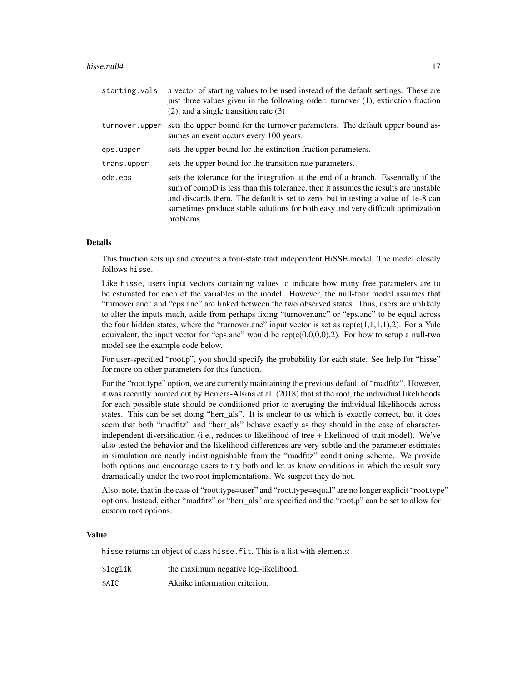#### hisse.null4 17

| starting.vals  | a vector of starting values to be used instead of the default settings. These are<br>just three values given in the following order: turnover $(1)$ , extinction fraction<br>$(2)$ , and a single transition rate $(3)$                                                                                                                                       |
|----------------|---------------------------------------------------------------------------------------------------------------------------------------------------------------------------------------------------------------------------------------------------------------------------------------------------------------------------------------------------------------|
| turnover.upper | sets the upper bound for the turnover parameters. The default upper bound as-<br>sumes an event occurs every 100 years.                                                                                                                                                                                                                                       |
| eps.upper      | sets the upper bound for the extinction fraction parameters.                                                                                                                                                                                                                                                                                                  |
| trans.upper    | sets the upper bound for the transition rate parameters.                                                                                                                                                                                                                                                                                                      |
| ode.eps        | sets the tolerance for the integration at the end of a branch. Essentially if the<br>sum of compD is less than this tolerance, then it assumes the results are unstable<br>and discards them. The default is set to zero, but in testing a value of 1e-8 can<br>sometimes produce stable solutions for both easy and very difficult optimization<br>problems. |

### Details

This function sets up and executes a four-state trait independent HiSSE model. The model closely follows hisse.

Like hisse, users input vectors containing values to indicate how many free parameters are to be estimated for each of the variables in the model. However, the null-four model assumes that "turnover.anc" and "eps.anc" are linked between the two observed states. Thus, users are unlikely to alter the inputs much, aside from perhaps fixing "turnover.anc" or "eps.anc" to be equal across the four hidden states, where the "turnover.anc" input vector is set as  $rep(c(1,1,1,1),2)$ . For a Yule equivalent, the input vector for "eps.anc" would be  $rep(c(0,0,0,0),2)$ . For how to setup a null-two model see the example code below.

For user-specified "root.p", you should specify the probability for each state. See help for "hisse" for more on other parameters for this function.

For the "root.type" option, we are currently maintaining the previous default of "madfitz". However, it was recently pointed out by Herrera-Alsina et al. (2018) that at the root, the individual likelihoods for each possible state should be conditioned prior to averaging the individual likelihoods across states. This can be set doing "herr\_als". It is unclear to us which is exactly correct, but it does seem that both "madfitz" and "herr als" behave exactly as they should in the case of characterindependent diversification (i.e., reduces to likelihood of tree + likelihood of trait model). We've also tested the behavior and the likelihood differences are very subtle and the parameter estimates in simulation are nearly indistinguishable from the "madfitz" conditioning scheme. We provide both options and encourage users to try both and let us know conditions in which the result vary dramatically under the two root implementations. We suspect they do not.

Also, note, that in the case of "root.type=user" and "root.type=equal" are no longer explicit "root.type" options. Instead, either "madfitz" or "herr\_als" are specified and the "root.p" can be set to allow for custom root options.

#### Value

hisse returns an object of class hisse.fit. This is a list with elements:

- \$loglik the maximum negative log-likelihood.
- \$AIC Akaike information criterion.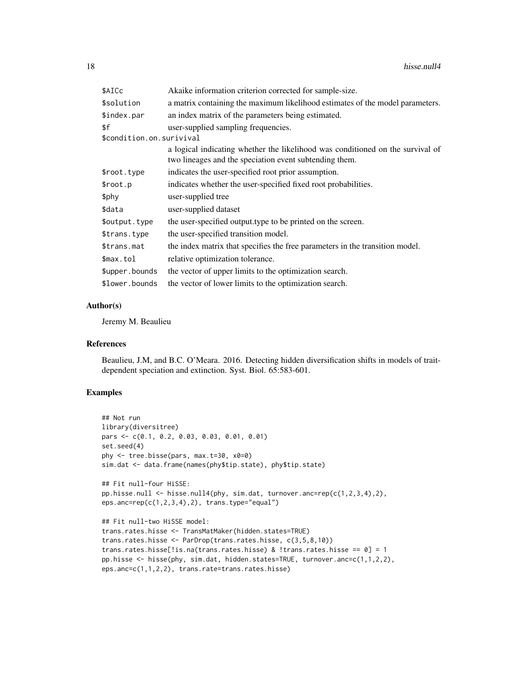| \$AICc                   | Akaike information criterion corrected for sample-size.                                                                                  |
|--------------------------|------------------------------------------------------------------------------------------------------------------------------------------|
| \$solution               | a matrix containing the maximum likelihood estimates of the model parameters.                                                            |
| \$index.par              | an index matrix of the parameters being estimated.                                                                                       |
| \$f                      | user-supplied sampling frequencies.                                                                                                      |
| \$condition.on.surivival |                                                                                                                                          |
|                          | a logical indicating whether the likelihood was conditioned on the survival of<br>two lineages and the speciation event subtending them. |
| \$root.type              | indicates the user-specified root prior assumption.                                                                                      |
| \$root.p                 | indicates whether the user-specified fixed root probabilities.                                                                           |
| \$phy                    | user-supplied tree                                                                                                                       |
| \$data                   | user-supplied dataset                                                                                                                    |
| \$output.type            | the user-specified output type to be printed on the screen.                                                                              |
| \$trans.type             | the user-specified transition model.                                                                                                     |
| \$trans.mat              | the index matrix that specifies the free parameters in the transition model.                                                             |
| \$max.tol                | relative optimization tolerance.                                                                                                         |
| \$upper.bounds           | the vector of upper limits to the optimization search.                                                                                   |
| \$lower.bounds           | the vector of lower limits to the optimization search.                                                                                   |

#### Author(s)

Jeremy M. Beaulieu

### References

Beaulieu, J.M, and B.C. O'Meara. 2016. Detecting hidden diversification shifts in models of traitdependent speciation and extinction. Syst. Biol. 65:583-601.

### Examples

```
## Not run
library(diversitree)
pars <- c(0.1, 0.2, 0.03, 0.03, 0.01, 0.01)
set.seed(4)
phy <- tree.bisse(pars, max.t=30, x0=0)
sim.dat <- data.frame(names(phy$tip.state), phy$tip.state)
## Fit null-four HiSSE:
pp.hisse.null <- hisse.null4(phy, sim.dat, turnover.anc=rep(c(1,2,3,4),2),
eps.ance=rep(c(1,2,3,4),2), trans.type='equal")## Fit null-two HiSSE model:
trans.rates.hisse <- TransMatMaker(hidden.states=TRUE)
trans.rates.hisse <- ParDrop(trans.rates.hisse, c(3,5,8,10))
trans.rates.hisse[!is.na(trans.rates.hisse) & !trans.rates.hisse == 0] = 1
pp.hisse <- hisse(phy, sim.dat, hidden.states=TRUE, turnover.anc=c(1,1,2,2),
eps.anc=c(1,1,2,2), trans.rate=trans.rates.hisse)
```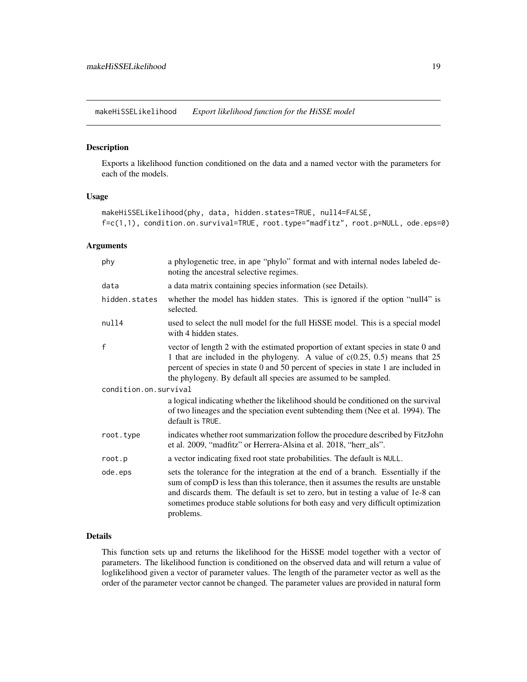<span id="page-18-0"></span>makeHiSSELikelihood *Export likelihood function for the HiSSE model*

### Description

Exports a likelihood function conditioned on the data and a named vector with the parameters for each of the models.

#### Usage

```
makeHiSSELikelihood(phy, data, hidden.states=TRUE, null4=FALSE,
f=c(1,1), condition.on.survival=TRUE, root.type="madfitz", root.p=NULL, ode.eps=0)
```
### Arguments

| phy                   | a phylogenetic tree, in ape "phylo" format and with internal nodes labeled de-<br>noting the ancestral selective regimes.                                                                                                                                                                                                                                     |  |
|-----------------------|---------------------------------------------------------------------------------------------------------------------------------------------------------------------------------------------------------------------------------------------------------------------------------------------------------------------------------------------------------------|--|
| data                  | a data matrix containing species information (see Details).                                                                                                                                                                                                                                                                                                   |  |
| hidden.states         | whether the model has hidden states. This is ignored if the option "null4" is<br>selected.                                                                                                                                                                                                                                                                    |  |
| null4                 | used to select the null model for the full HiSSE model. This is a special model<br>with 4 hidden states.                                                                                                                                                                                                                                                      |  |
| f                     | vector of length 2 with the estimated proportion of extant species in state 0 and<br>1 that are included in the phylogeny. A value of $c(0.25, 0.5)$ means that 25<br>percent of species in state 0 and 50 percent of species in state 1 are included in<br>the phylogeny. By default all species are assumed to be sampled.                                  |  |
| condition.on.survival |                                                                                                                                                                                                                                                                                                                                                               |  |
|                       | a logical indicating whether the likelihood should be conditioned on the survival<br>of two lineages and the speciation event subtending them (Nee et al. 1994). The<br>default is TRUE.                                                                                                                                                                      |  |
| root.type             | indicates whether root summarization follow the procedure described by FitzJohn<br>et al. 2009, "madfitz" or Herrera-Alsina et al. 2018, "herr_als".                                                                                                                                                                                                          |  |
| root.p                | a vector indicating fixed root state probabilities. The default is NULL.                                                                                                                                                                                                                                                                                      |  |
| ode.eps               | sets the tolerance for the integration at the end of a branch. Essentially if the<br>sum of compD is less than this tolerance, then it assumes the results are unstable<br>and discards them. The default is set to zero, but in testing a value of 1e-8 can<br>sometimes produce stable solutions for both easy and very difficult optimization<br>problems. |  |
|                       |                                                                                                                                                                                                                                                                                                                                                               |  |

### Details

This function sets up and returns the likelihood for the HiSSE model together with a vector of parameters. The likelihood function is conditioned on the observed data and will return a value of loglikelihood given a vector of parameter values. The length of the parameter vector as well as the order of the parameter vector cannot be changed. The parameter values are provided in natural form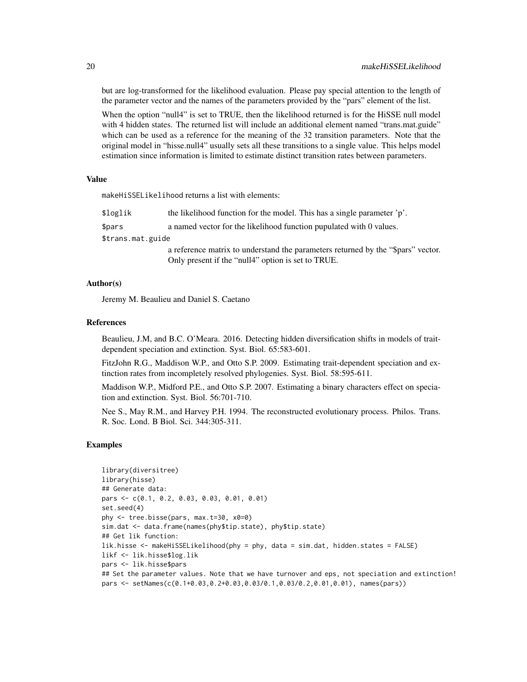but are log-transformed for the likelihood evaluation. Please pay special attention to the length of the parameter vector and the names of the parameters provided by the "pars" element of the list.

When the option "null4" is set to TRUE, then the likelihood returned is for the HiSSE null model with 4 hidden states. The returned list will include an additional element named "trans.mat.guide" which can be used as a reference for the meaning of the 32 transition parameters. Note that the original model in "hisse.null4" usually sets all these transitions to a single value. This helps model estimation since information is limited to estimate distinct transition rates between parameters.

#### Value

makeHiSSELikelihood returns a list with elements:

| \$loglik          | the likelihood function for the model. This has a single parameter 'p'.                                                                |
|-------------------|----------------------------------------------------------------------------------------------------------------------------------------|
| \$pars            | a named vector for the likelihood function pupulated with 0 values.                                                                    |
| \$trans.mat.guide |                                                                                                                                        |
|                   | a reference matrix to understand the parameters returned by the "\$pars" vector.<br>Only present if the "null4" option is set to TRUE. |

### Author(s)

Jeremy M. Beaulieu and Daniel S. Caetano

#### References

Beaulieu, J.M, and B.C. O'Meara. 2016. Detecting hidden diversification shifts in models of traitdependent speciation and extinction. Syst. Biol. 65:583-601.

FitzJohn R.G., Maddison W.P., and Otto S.P. 2009. Estimating trait-dependent speciation and extinction rates from incompletely resolved phylogenies. Syst. Biol. 58:595-611.

Maddison W.P., Midford P.E., and Otto S.P. 2007. Estimating a binary characters effect on speciation and extinction. Syst. Biol. 56:701-710.

Nee S., May R.M., and Harvey P.H. 1994. The reconstructed evolutionary process. Philos. Trans. R. Soc. Lond. B Biol. Sci. 344:305-311.

#### Examples

```
library(diversitree)
library(hisse)
## Generate data:
pars <- c(0.1, 0.2, 0.03, 0.03, 0.01, 0.01)
set.seed(4)
phy <- tree.bisse(pars, max.t=30, x0=0)
sim.dat <- data.frame(names(phy$tip.state), phy$tip.state)
## Get lik function:
lik.hisse <- makeHiSSELikelihood(phy = phy, data = sim.dat, hidden.states = FALSE)
likf <- lik.hisse$log.lik
pars <- lik.hisse$pars
## Set the parameter values. Note that we have turnover and eps, not speciation and extinction!
pars <- setNames(c(0.1+0.03,0.2+0.03,0.03/0.1,0.03/0.2,0.01,0.01), names(pars))
```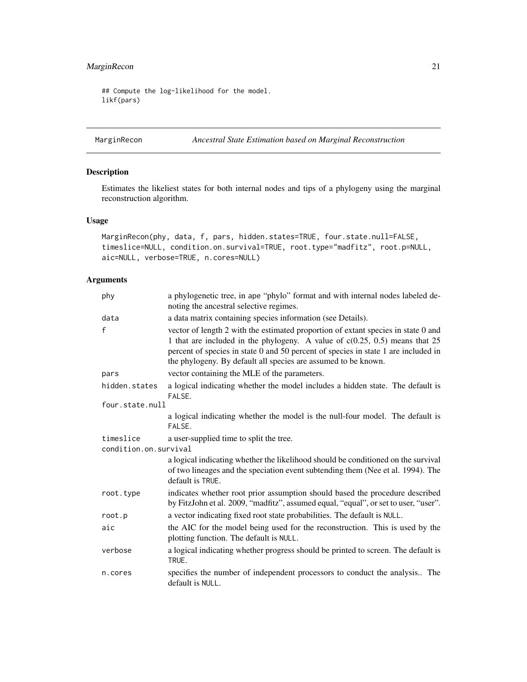### <span id="page-20-0"></span>MarginRecon 21

## Compute the log-likelihood for the model. likf(pars)

MarginRecon *Ancestral State Estimation based on Marginal Reconstruction*

### Description

Estimates the likeliest states for both internal nodes and tips of a phylogeny using the marginal reconstruction algorithm.

#### Usage

```
MarginRecon(phy, data, f, pars, hidden.states=TRUE, four.state.null=FALSE,
timeslice=NULL, condition.on.survival=TRUE, root.type="madfitz", root.p=NULL,
aic=NULL, verbose=TRUE, n.cores=NULL)
```

| phy                   | a phylogenetic tree, in ape "phylo" format and with internal nodes labeled de-<br>noting the ancestral selective regimes.                                                                                                                                                                                                  |  |
|-----------------------|----------------------------------------------------------------------------------------------------------------------------------------------------------------------------------------------------------------------------------------------------------------------------------------------------------------------------|--|
| data                  | a data matrix containing species information (see Details).                                                                                                                                                                                                                                                                |  |
| f                     | vector of length 2 with the estimated proportion of extant species in state 0 and<br>1 that are included in the phylogeny. A value of $c(0.25, 0.5)$ means that 25<br>percent of species in state 0 and 50 percent of species in state 1 are included in<br>the phylogeny. By default all species are assumed to be known. |  |
| pars                  | vector containing the MLE of the parameters.                                                                                                                                                                                                                                                                               |  |
| hidden.states         | a logical indicating whether the model includes a hidden state. The default is<br>FALSE.                                                                                                                                                                                                                                   |  |
| four.state.null       |                                                                                                                                                                                                                                                                                                                            |  |
|                       | a logical indicating whether the model is the null-four model. The default is<br>FALSE.                                                                                                                                                                                                                                    |  |
| timeslice             | a user-supplied time to split the tree.                                                                                                                                                                                                                                                                                    |  |
| condition.on.survival |                                                                                                                                                                                                                                                                                                                            |  |
|                       | a logical indicating whether the likelihood should be conditioned on the survival<br>of two lineages and the speciation event subtending them (Nee et al. 1994). The<br>default is TRUE.                                                                                                                                   |  |
| root.type             | indicates whether root prior assumption should based the procedure described<br>by FitzJohn et al. 2009, "madfitz", assumed equal, "equal", or set to user, "user".                                                                                                                                                        |  |
| root.p                | a vector indicating fixed root state probabilities. The default is NULL.                                                                                                                                                                                                                                                   |  |
| aic                   | the AIC for the model being used for the reconstruction. This is used by the<br>plotting function. The default is NULL.                                                                                                                                                                                                    |  |
| verbose               | a logical indicating whether progress should be printed to screen. The default is<br>TRUE.                                                                                                                                                                                                                                 |  |
| n.cores               | specifies the number of independent processors to conduct the analysis The<br>default is NULL.                                                                                                                                                                                                                             |  |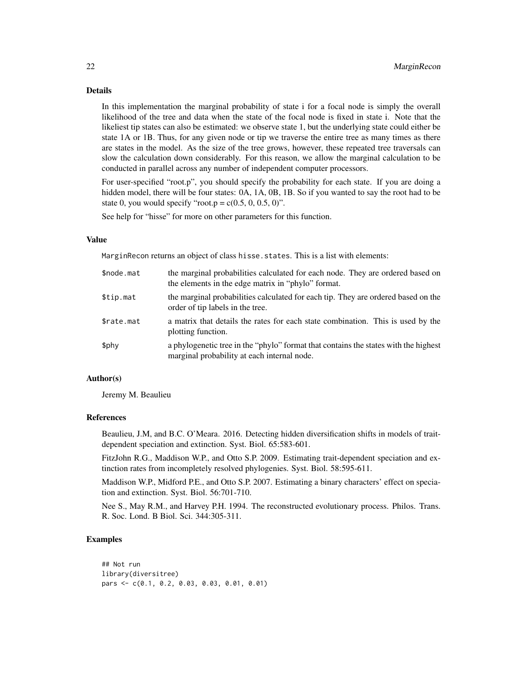#### Details

In this implementation the marginal probability of state i for a focal node is simply the overall likelihood of the tree and data when the state of the focal node is fixed in state i. Note that the likeliest tip states can also be estimated: we observe state 1, but the underlying state could either be state 1A or 1B. Thus, for any given node or tip we traverse the entire tree as many times as there are states in the model. As the size of the tree grows, however, these repeated tree traversals can slow the calculation down considerably. For this reason, we allow the marginal calculation to be conducted in parallel across any number of independent computer processors.

For user-specified "root.p", you should specify the probability for each state. If you are doing a hidden model, there will be four states: 0A, 1A, 0B, 1B. So if you wanted to say the root had to be state 0, you would specify "root.p =  $c(0.5, 0, 0.5, 0)$ ".

See help for "hisse" for more on other parameters for this function.

#### Value

MarginRecon returns an object of class hisse. states. This is a list with elements:

| \$node.mat | the marginal probabilities calculated for each node. They are ordered based on<br>the elements in the edge matrix in "phylo" format. |
|------------|--------------------------------------------------------------------------------------------------------------------------------------|
| \$tip.mat  | the marginal probabilities calculated for each tip. They are ordered based on the<br>order of tip labels in the tree.                |
| \$rate.mat | a matrix that details the rates for each state combination. This is used by the<br>plotting function.                                |
| \$phy      | a phylogenetic tree in the "phylo" format that contains the states with the highest<br>marginal probability at each internal node.   |

### Author(s)

Jeremy M. Beaulieu

#### References

Beaulieu, J.M, and B.C. O'Meara. 2016. Detecting hidden diversification shifts in models of traitdependent speciation and extinction. Syst. Biol. 65:583-601.

FitzJohn R.G., Maddison W.P., and Otto S.P. 2009. Estimating trait-dependent speciation and extinction rates from incompletely resolved phylogenies. Syst. Biol. 58:595-611.

Maddison W.P., Midford P.E., and Otto S.P. 2007. Estimating a binary characters' effect on speciation and extinction. Syst. Biol. 56:701-710.

Nee S., May R.M., and Harvey P.H. 1994. The reconstructed evolutionary process. Philos. Trans. R. Soc. Lond. B Biol. Sci. 344:305-311.

#### Examples

```
## Not run
library(diversitree)
pars <- c(0.1, 0.2, 0.03, 0.03, 0.01, 0.01)
```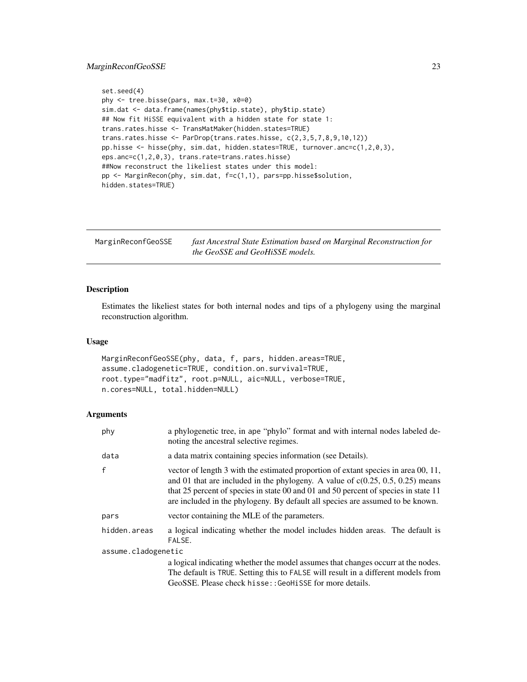### <span id="page-22-0"></span>MarginReconfGeoSSE 23

```
set.seed(4)
phy <- tree.bisse(pars, max.t=30, x0=0)
sim.dat <- data.frame(names(phy$tip.state), phy$tip.state)
## Now fit HiSSE equivalent with a hidden state for state 1:
trans.rates.hisse <- TransMatMaker(hidden.states=TRUE)
trans.rates.hisse <- ParDrop(trans.rates.hisse, c(2,3,5,7,8,9,10,12))
pp.hisse <- hisse(phy, sim.dat, hidden.states=TRUE, turnover.anc=c(1,2,0,3),
eps.anc=c(1,2,0,3), trans.rate=trans.rates.hisse)
##Now reconstruct the likeliest states under this model:
pp <- MarginRecon(phy, sim.dat, f=c(1,1), pars=pp.hisse$solution,
hidden.states=TRUE)
```

| MarginReconfGeoSSE | fast Ancestral State Estimation based on Marginal Reconstruction for |
|--------------------|----------------------------------------------------------------------|
|                    | <i>the GeoSSE and GeoHiSSE models.</i>                               |

### Description

Estimates the likeliest states for both internal nodes and tips of a phylogeny using the marginal reconstruction algorithm.

### Usage

```
MarginReconfGeoSSE(phy, data, f, pars, hidden.areas=TRUE,
assume.cladogenetic=TRUE, condition.on.survival=TRUE,
root.type="madfitz", root.p=NULL, aic=NULL, verbose=TRUE,
n.cores=NULL, total.hidden=NULL)
```

| phy                 | a phylogenetic tree, in ape "phylo" format and with internal nodes labeled de-<br>noting the ancestral selective regimes.                                                                                                                                                                                                                       |
|---------------------|-------------------------------------------------------------------------------------------------------------------------------------------------------------------------------------------------------------------------------------------------------------------------------------------------------------------------------------------------|
| data                | a data matrix containing species information (see Details).                                                                                                                                                                                                                                                                                     |
| $\mathsf{f}$        | vector of length 3 with the estimated proportion of extant species in area 00, 11,<br>and 01 that are included in the phylogeny. A value of $c(0.25, 0.5, 0.25)$ means<br>that 25 percent of species in state 00 and 01 and 50 percent of species in state 11<br>are included in the phylogeny. By default all species are assumed to be known. |
| pars                | vector containing the MLE of the parameters.                                                                                                                                                                                                                                                                                                    |
| hidden.areas        | a logical indicating whether the model includes hidden areas. The default is<br>FALSE.                                                                                                                                                                                                                                                          |
| assume.cladogenetic |                                                                                                                                                                                                                                                                                                                                                 |
|                     | a logical indicating whether the model assumes that changes occurr at the nodes.                                                                                                                                                                                                                                                                |
|                     | The default is TRUE. Setting this to FALSE will result in a different models from                                                                                                                                                                                                                                                               |
|                     | GeoSSE. Please check hisse:: GeoHiSSE for more details.                                                                                                                                                                                                                                                                                         |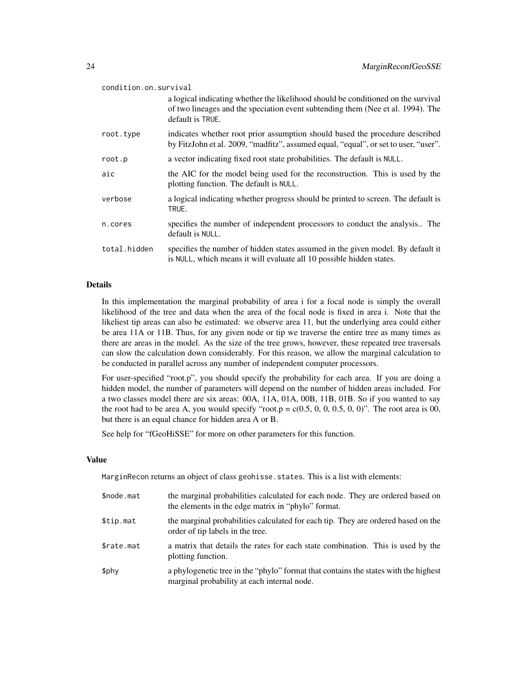| condition.on.survival |                                                                                                                                                                                          |  |
|-----------------------|------------------------------------------------------------------------------------------------------------------------------------------------------------------------------------------|--|
|                       | a logical indicating whether the likelihood should be conditioned on the survival<br>of two lineages and the speciation event subtending them (Nee et al. 1994). The<br>default is TRUE. |  |
| root.type             | indicates whether root prior assumption should based the procedure described<br>by FitzJohn et al. 2009, "madfitz", assumed equal, "equal", or set to user, "user".                      |  |
| root.p                | a vector indicating fixed root state probabilities. The default is NULL.                                                                                                                 |  |
| aic                   | the AIC for the model being used for the reconstruction. This is used by the<br>plotting function. The default is NULL.                                                                  |  |
| verbose               | a logical indicating whether progress should be printed to screen. The default is<br>TRUE.                                                                                               |  |
| n.cores               | specifies the number of independent processors to conduct the analysis The<br>default is NULL.                                                                                           |  |
| total.hidden          | specifies the number of hidden states assumed in the given model. By default it<br>is NULL, which means it will evaluate all 10 possible hidden states.                                  |  |

### Details

In this implementation the marginal probability of area i for a focal node is simply the overall likelihood of the tree and data when the area of the focal node is fixed in area i. Note that the likeliest tip areas can also be estimated: we observe area 11, but the underlying area could either be area 11A or 11B. Thus, for any given node or tip we traverse the entire tree as many times as there are areas in the model. As the size of the tree grows, however, these repeated tree traversals can slow the calculation down considerably. For this reason, we allow the marginal calculation to be conducted in parallel across any number of independent computer processors.

For user-specified "root.p", you should specify the probability for each area. If you are doing a hidden model, the number of parameters will depend on the number of hidden areas included. For a two classes model there are six areas: 00A, 11A, 01A, 00B, 11B, 01B. So if you wanted to say the root had to be area A, you would specify "root.p =  $c(0.5, 0, 0, 0.5, 0, 0)$ ". The root area is 00, but there is an equal chance for hidden area A or B.

See help for "fGeoHiSSE" for more on other parameters for this function.

### Value

MarginRecon returns an object of class geohisse.states. This is a list with elements:

| \$node.mat | the marginal probabilities calculated for each node. They are ordered based on<br>the elements in the edge matrix in "phylo" format. |  |  |
|------------|--------------------------------------------------------------------------------------------------------------------------------------|--|--|
| \$tip.mat  | the marginal probabilities calculated for each tip. They are ordered based on the<br>order of tip labels in the tree.                |  |  |
| \$rate.mat | a matrix that details the rates for each state combination. This is used by the<br>plotting function.                                |  |  |
| \$phy      | a phylogenetic tree in the "phylo" format that contains the states with the highest<br>marginal probability at each internal node.   |  |  |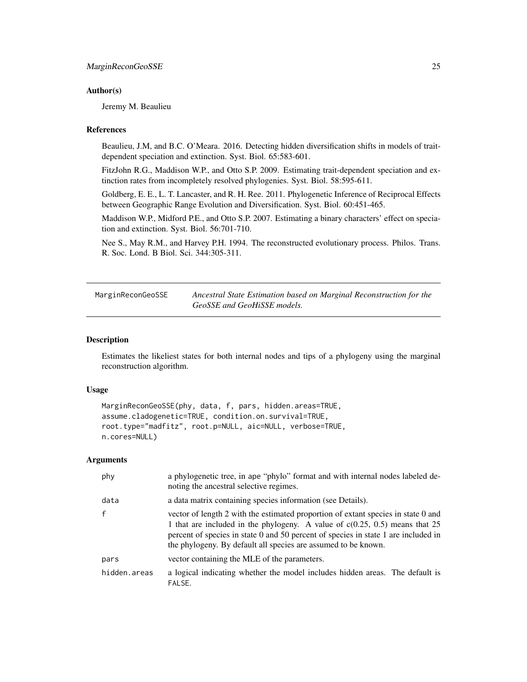#### <span id="page-24-0"></span>Author(s)

Jeremy M. Beaulieu

#### References

Beaulieu, J.M, and B.C. O'Meara. 2016. Detecting hidden diversification shifts in models of traitdependent speciation and extinction. Syst. Biol. 65:583-601.

FitzJohn R.G., Maddison W.P., and Otto S.P. 2009. Estimating trait-dependent speciation and extinction rates from incompletely resolved phylogenies. Syst. Biol. 58:595-611.

Goldberg, E. E., L. T. Lancaster, and R. H. Ree. 2011. Phylogenetic Inference of Reciprocal Effects between Geographic Range Evolution and Diversification. Syst. Biol. 60:451-465.

Maddison W.P., Midford P.E., and Otto S.P. 2007. Estimating a binary characters' effect on speciation and extinction. Syst. Biol. 56:701-710.

Nee S., May R.M., and Harvey P.H. 1994. The reconstructed evolutionary process. Philos. Trans. R. Soc. Lond. B Biol. Sci. 344:305-311.

MarginReconGeoSSE *Ancestral State Estimation based on Marginal Reconstruction for the GeoSSE and GeoHiSSE models.*

### Description

Estimates the likeliest states for both internal nodes and tips of a phylogeny using the marginal reconstruction algorithm.

#### Usage

```
MarginReconGeoSSE(phy, data, f, pars, hidden.areas=TRUE,
assume.cladogenetic=TRUE, condition.on.survival=TRUE,
root.type="madfitz", root.p=NULL, aic=NULL, verbose=TRUE,
n.cores=NULL)
```

| phy          | a phylogenetic tree, in ape "phylo" format and with internal nodes labeled de-<br>noting the ancestral selective regimes.                                                                                                                                                                                                  |  |  |  |
|--------------|----------------------------------------------------------------------------------------------------------------------------------------------------------------------------------------------------------------------------------------------------------------------------------------------------------------------------|--|--|--|
| data         | a data matrix containing species information (see Details).                                                                                                                                                                                                                                                                |  |  |  |
| $\mathbf{f}$ | vector of length 2 with the estimated proportion of extant species in state 0 and<br>1 that are included in the phylogeny. A value of $c(0.25, 0.5)$ means that 25<br>percent of species in state 0 and 50 percent of species in state 1 are included in<br>the phylogeny. By default all species are assumed to be known. |  |  |  |
| pars         | vector containing the MLE of the parameters.                                                                                                                                                                                                                                                                               |  |  |  |
| hidden.areas | a logical indicating whether the model includes hidden areas. The default is<br>FALSE.                                                                                                                                                                                                                                     |  |  |  |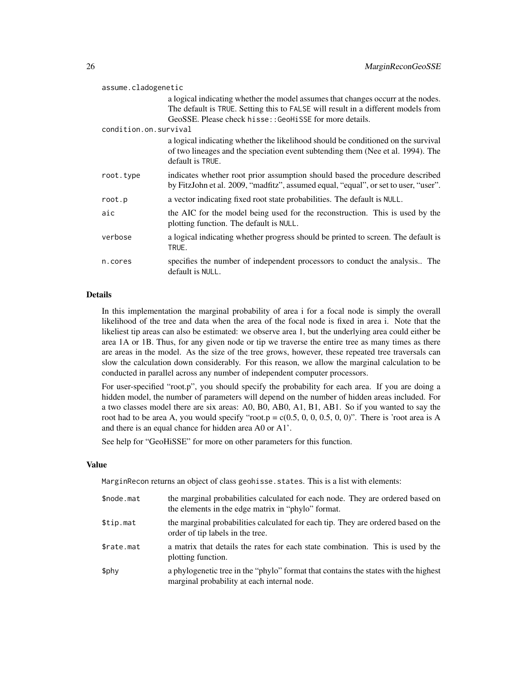| assume.cladogenetic   |                                                                                                                                                                                          |  |  |
|-----------------------|------------------------------------------------------------------------------------------------------------------------------------------------------------------------------------------|--|--|
|                       | a logical indicating whether the model assumes that changes occurr at the nodes.<br>The default is TRUE. Setting this to FALSE will result in a different models from                    |  |  |
|                       | GeoSSE. Please check hisse:: GeoHiSSE for more details.                                                                                                                                  |  |  |
| condition.on.survival |                                                                                                                                                                                          |  |  |
|                       | a logical indicating whether the likelihood should be conditioned on the survival<br>of two lineages and the speciation event subtending them (Nee et al. 1994). The<br>default is TRUE. |  |  |
| root.type             | indicates whether root prior assumption should based the procedure described<br>by FitzJohn et al. 2009, "madfitz", assumed equal, "equal", or set to user, "user".                      |  |  |
| root.p                | a vector indicating fixed root state probabilities. The default is NULL.                                                                                                                 |  |  |
| aic                   | the AIC for the model being used for the reconstruction. This is used by the<br>plotting function. The default is NULL.                                                                  |  |  |
| verbose               | a logical indicating whether progress should be printed to screen. The default is<br>TRUE.                                                                                               |  |  |
| n.cores               | specifies the number of independent processors to conduct the analysis The<br>default is NULL.                                                                                           |  |  |

### Details

In this implementation the marginal probability of area i for a focal node is simply the overall likelihood of the tree and data when the area of the focal node is fixed in area i. Note that the likeliest tip areas can also be estimated: we observe area 1, but the underlying area could either be area 1A or 1B. Thus, for any given node or tip we traverse the entire tree as many times as there are areas in the model. As the size of the tree grows, however, these repeated tree traversals can slow the calculation down considerably. For this reason, we allow the marginal calculation to be conducted in parallel across any number of independent computer processors.

For user-specified "root.p", you should specify the probability for each area. If you are doing a hidden model, the number of parameters will depend on the number of hidden areas included. For a two classes model there are six areas: A0, B0, AB0, A1, B1, AB1. So if you wanted to say the root had to be area A, you would specify "root.p =  $c(0.5, 0, 0, 0.5, 0, 0)$ ". There is 'root area is A and there is an equal chance for hidden area A0 or A1'.

See help for "GeoHiSSE" for more on other parameters for this function.

#### Value

MarginRecon returns an object of class geohisse. states. This is a list with elements:

| \$node.mat | the marginal probabilities calculated for each node. They are ordered based on<br>the elements in the edge matrix in "phylo" format. |
|------------|--------------------------------------------------------------------------------------------------------------------------------------|
| \$tip.mat  | the marginal probabilities calculated for each tip. They are ordered based on the<br>order of tip labels in the tree.                |
| \$rate.mat | a matrix that details the rates for each state combination. This is used by the<br>plotting function.                                |
| \$phy      | a phylogenetic tree in the "phylo" format that contains the states with the highest<br>marginal probability at each internal node.   |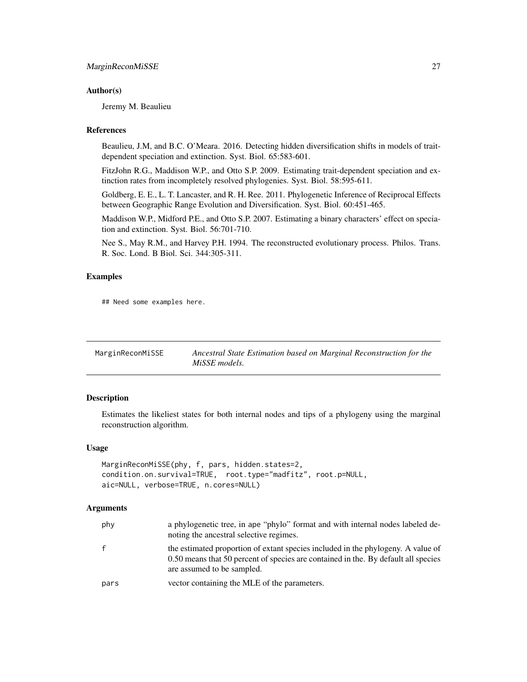#### <span id="page-26-0"></span>Author(s)

Jeremy M. Beaulieu

#### **References**

Beaulieu, J.M, and B.C. O'Meara. 2016. Detecting hidden diversification shifts in models of traitdependent speciation and extinction. Syst. Biol. 65:583-601.

FitzJohn R.G., Maddison W.P., and Otto S.P. 2009. Estimating trait-dependent speciation and extinction rates from incompletely resolved phylogenies. Syst. Biol. 58:595-611.

Goldberg, E. E., L. T. Lancaster, and R. H. Ree. 2011. Phylogenetic Inference of Reciprocal Effects between Geographic Range Evolution and Diversification. Syst. Biol. 60:451-465.

Maddison W.P., Midford P.E., and Otto S.P. 2007. Estimating a binary characters' effect on speciation and extinction. Syst. Biol. 56:701-710.

Nee S., May R.M., and Harvey P.H. 1994. The reconstructed evolutionary process. Philos. Trans. R. Soc. Lond. B Biol. Sci. 344:305-311.

### Examples

## Need some examples here.

| MarginReconMiSSE | Ancestral State Estimation based on Marginal Reconstruction for the |
|------------------|---------------------------------------------------------------------|
|                  | MiSSE models.                                                       |

### Description

Estimates the likeliest states for both internal nodes and tips of a phylogeny using the marginal reconstruction algorithm.

#### Usage

```
MarginReconMiSSE(phy, f, pars, hidden.states=2,
condition.on.survival=TRUE, root.type="madfitz", root.p=NULL,
aic=NULL, verbose=TRUE, n.cores=NULL)
```

| phy  | a phylogenetic tree, in ape "phylo" format and with internal nodes labeled de-<br>noting the ancestral selective regimes.                                                                            |
|------|------------------------------------------------------------------------------------------------------------------------------------------------------------------------------------------------------|
| f.   | the estimated proportion of extant species included in the phylogeny. A value of<br>0.50 means that 50 percent of species are contained in the. By default all species<br>are assumed to be sampled. |
| pars | vector containing the MLE of the parameters.                                                                                                                                                         |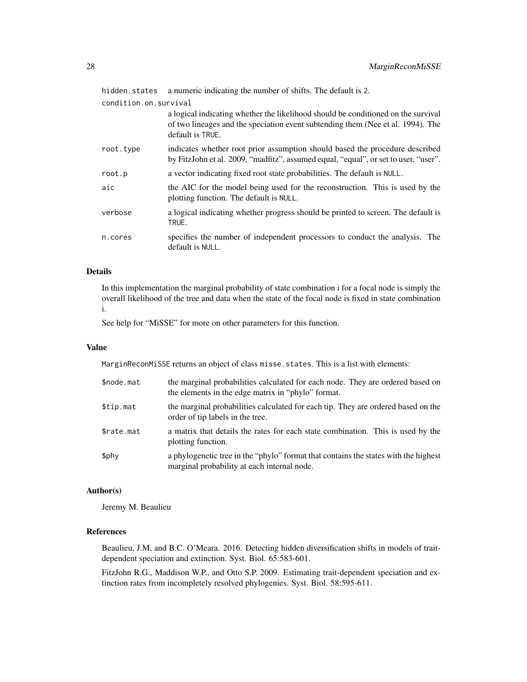hidden.states a numeric indicating the number of shifts. The default is 2.

condition.on.survival

|           | a logical indicating whether the likelihood should be conditioned on the survival<br>of two lineages and the speciation event subtending them (Nee et al. 1994). The<br>default is TRUE. |
|-----------|------------------------------------------------------------------------------------------------------------------------------------------------------------------------------------------|
| root.type | indicates whether root prior assumption should based the procedure described<br>by FitzJohn et al. 2009, "madfitz", assumed equal, "equal", or set to user, "user".                      |
| root.p    | a vector indicating fixed root state probabilities. The default is NULL.                                                                                                                 |
| aic       | the AIC for the model being used for the reconstruction. This is used by the<br>plotting function. The default is NULL.                                                                  |
| verbose   | a logical indicating whether progress should be printed to screen. The default is<br>TRUE.                                                                                               |
| n.cores   | specifies the number of independent processors to conduct the analysis. The<br>default is NULL.                                                                                          |

### Details

In this implementation the marginal probability of state combination i for a focal node is simply the overall likelihood of the tree and data when the state of the focal node is fixed in state combination i.

See help for "MiSSE" for more on other parameters for this function.

#### Value

MarginReconMiSSE returns an object of class misse. states. This is a list with elements:

| \$node.mat | the marginal probabilities calculated for each node. They are ordered based on<br>the elements in the edge matrix in "phylo" format. |
|------------|--------------------------------------------------------------------------------------------------------------------------------------|
| \$tip.mat  | the marginal probabilities calculated for each tip. They are ordered based on the<br>order of tip labels in the tree.                |
| \$rate.mat | a matrix that details the rates for each state combination. This is used by the<br>plotting function.                                |
| \$phy      | a phylogenetic tree in the "phylo" format that contains the states with the highest<br>marginal probability at each internal node.   |

#### Author(s)

Jeremy M. Beaulieu

### References

Beaulieu, J.M, and B.C. O'Meara. 2016. Detecting hidden diversification shifts in models of traitdependent speciation and extinction. Syst. Biol. 65:583-601.

FitzJohn R.G., Maddison W.P., and Otto S.P. 2009. Estimating trait-dependent speciation and extinction rates from incompletely resolved phylogenies. Syst. Biol. 58:595-611.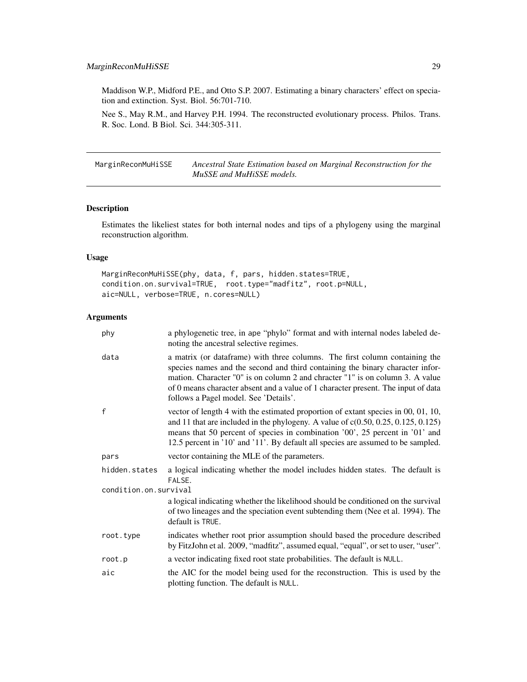### <span id="page-28-0"></span>MarginReconMuHiSSE 29

Maddison W.P., Midford P.E., and Otto S.P. 2007. Estimating a binary characters' effect on speciation and extinction. Syst. Biol. 56:701-710.

Nee S., May R.M., and Harvey P.H. 1994. The reconstructed evolutionary process. Philos. Trans. R. Soc. Lond. B Biol. Sci. 344:305-311.

MarginReconMuHiSSE *Ancestral State Estimation based on Marginal Reconstruction for the MuSSE and MuHiSSE models.*

### Description

Estimates the likeliest states for both internal nodes and tips of a phylogeny using the marginal reconstruction algorithm.

### Usage

MarginReconMuHiSSE(phy, data, f, pars, hidden.states=TRUE, condition.on.survival=TRUE, root.type="madfitz", root.p=NULL, aic=NULL, verbose=TRUE, n.cores=NULL)

| phy                   | a phylogenetic tree, in ape "phylo" format and with internal nodes labeled de-<br>noting the ancestral selective regimes.                                                                                                                                                                                                                                                   |  |  |  |
|-----------------------|-----------------------------------------------------------------------------------------------------------------------------------------------------------------------------------------------------------------------------------------------------------------------------------------------------------------------------------------------------------------------------|--|--|--|
| data                  | a matrix (or dataframe) with three columns. The first column containing the<br>species names and the second and third containing the binary character infor-<br>mation. Character "0" is on column 2 and chracter "1" is on column 3. A value<br>of 0 means character absent and a value of 1 character present. The input of data<br>follows a Pagel model. See 'Details'. |  |  |  |
| $\mathsf{f}$          | vector of length 4 with the estimated proportion of extant species in 00, 01, 10,<br>and 11 that are included in the phylogeny. A value of $c(0.50, 0.25, 0.125, 0.125)$<br>means that 50 percent of species in combination '00', 25 percent in '01' and<br>12.5 percent in '10' and '11'. By default all species are assumed to be sampled.                                |  |  |  |
| pars                  | vector containing the MLE of the parameters.                                                                                                                                                                                                                                                                                                                                |  |  |  |
| hidden.states         | a logical indicating whether the model includes hidden states. The default is<br>FALSE.                                                                                                                                                                                                                                                                                     |  |  |  |
| condition.on.survival |                                                                                                                                                                                                                                                                                                                                                                             |  |  |  |
|                       | a logical indicating whether the likelihood should be conditioned on the survival<br>of two lineages and the speciation event subtending them (Nee et al. 1994). The<br>default is TRUE.                                                                                                                                                                                    |  |  |  |
| root.type             | indicates whether root prior assumption should based the procedure described<br>by FitzJohn et al. 2009, "madfitz", assumed equal, "equal", or set to user, "user".                                                                                                                                                                                                         |  |  |  |
| root.p                | a vector indicating fixed root state probabilities. The default is NULL.                                                                                                                                                                                                                                                                                                    |  |  |  |
| aic                   | the AIC for the model being used for the reconstruction. This is used by the<br>plotting function. The default is NULL.                                                                                                                                                                                                                                                     |  |  |  |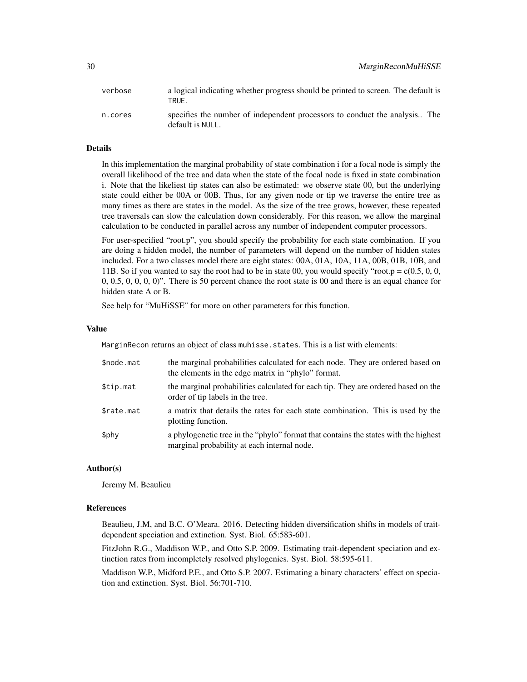| verbose | a logical indicating whether progress should be printed to screen. The default is<br>TRUE.      |
|---------|-------------------------------------------------------------------------------------------------|
| n.cores | specifies the number of independent processors to conduct the analysis. The<br>default is NULL. |

#### Details

In this implementation the marginal probability of state combination i for a focal node is simply the overall likelihood of the tree and data when the state of the focal node is fixed in state combination i. Note that the likeliest tip states can also be estimated: we observe state 00, but the underlying state could either be 00A or 00B. Thus, for any given node or tip we traverse the entire tree as many times as there are states in the model. As the size of the tree grows, however, these repeated tree traversals can slow the calculation down considerably. For this reason, we allow the marginal calculation to be conducted in parallel across any number of independent computer processors.

For user-specified "root.p", you should specify the probability for each state combination. If you are doing a hidden model, the number of parameters will depend on the number of hidden states included. For a two classes model there are eight states: 00A, 01A, 10A, 11A, 00B, 01B, 10B, and 11B. So if you wanted to say the root had to be in state 00, you would specify "root.p =  $c(0.5, 0, 0, 0)$ " 0, 0.5, 0, 0, 0, 0)". There is 50 percent chance the root state is 00 and there is an equal chance for hidden state A or B.

See help for "MuHiSSE" for more on other parameters for this function.

#### Value

MarginRecon returns an object of class muhisse. states. This is a list with elements:

| \$node.mat | the marginal probabilities calculated for each node. They are ordered based on<br>the elements in the edge matrix in "phylo" format. |
|------------|--------------------------------------------------------------------------------------------------------------------------------------|
| \$tip.mat  | the marginal probabilities calculated for each tip. They are ordered based on the<br>order of tip labels in the tree.                |
| \$rate.mat | a matrix that details the rates for each state combination. This is used by the<br>plotting function.                                |
| \$phy      | a phylogenetic tree in the "phylo" format that contains the states with the highest<br>marginal probability at each internal node.   |

#### Author(s)

Jeremy M. Beaulieu

#### References

Beaulieu, J.M, and B.C. O'Meara. 2016. Detecting hidden diversification shifts in models of traitdependent speciation and extinction. Syst. Biol. 65:583-601.

FitzJohn R.G., Maddison W.P., and Otto S.P. 2009. Estimating trait-dependent speciation and extinction rates from incompletely resolved phylogenies. Syst. Biol. 58:595-611.

Maddison W.P., Midford P.E., and Otto S.P. 2007. Estimating a binary characters' effect on speciation and extinction. Syst. Biol. 56:701-710.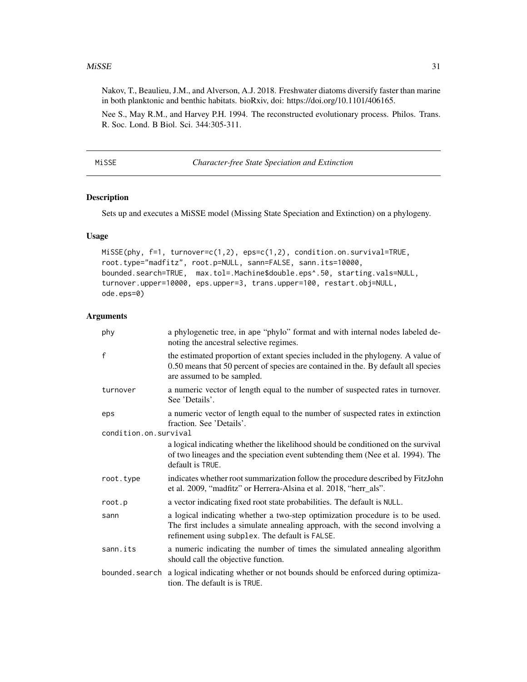#### <span id="page-30-0"></span> $MISSE$  31

Nakov, T., Beaulieu, J.M., and Alverson, A.J. 2018. Freshwater diatoms diversify faster than marine in both planktonic and benthic habitats. bioRxiv, doi: https://doi.org/10.1101/406165.

Nee S., May R.M., and Harvey P.H. 1994. The reconstructed evolutionary process. Philos. Trans. R. Soc. Lond. B Biol. Sci. 344:305-311.

|--|--|--|--|--|--|

**Character-free State Speciation and Extinction** 

#### Description

Sets up and executes a MiSSE model (Missing State Speciation and Extinction) on a phylogeny.

### Usage

```
MiSSE(phy, f=1, turnover=c(1,2), eps=c(1,2), condition.on.survival=TRUE,
root.type="madfitz", root.p=NULL, sann=FALSE, sann.its=10000,
bounded.search=TRUE, max.tol=.Machine$double.eps^.50, starting.vals=NULL,
turnover.upper=10000, eps.upper=3, trans.upper=100, restart.obj=NULL,
ode.eps=0)
```

| phy                   | a phylogenetic tree, in ape "phylo" format and with internal nodes labeled de-<br>noting the ancestral selective regimes.                                                                                         |
|-----------------------|-------------------------------------------------------------------------------------------------------------------------------------------------------------------------------------------------------------------|
| f                     | the estimated proportion of extant species included in the phylogeny. A value of<br>0.50 means that 50 percent of species are contained in the. By default all species<br>are assumed to be sampled.              |
| turnover              | a numeric vector of length equal to the number of suspected rates in turnover.<br>See 'Details'.                                                                                                                  |
| eps                   | a numeric vector of length equal to the number of suspected rates in extinction<br>fraction. See 'Details'.                                                                                                       |
| condition.on.survival |                                                                                                                                                                                                                   |
|                       | a logical indicating whether the likelihood should be conditioned on the survival<br>of two lineages and the speciation event subtending them (Nee et al. 1994). The<br>default is TRUE.                          |
| root.type             | indicates whether root summarization follow the procedure described by FitzJohn<br>et al. 2009, "madfitz" or Herrera-Alsina et al. 2018, "herr_als".                                                              |
| root.p                | a vector indicating fixed root state probabilities. The default is NULL.                                                                                                                                          |
| sann                  | a logical indicating whether a two-step optimization procedure is to be used.<br>The first includes a simulate annealing approach, with the second involving a<br>refinement using subplex. The default is FALSE. |
| sann.its              | a numeric indicating the number of times the simulated annealing algorithm<br>should call the objective function.                                                                                                 |
| bounded.search        | a logical indicating whether or not bounds should be enforced during optimiza-<br>tion. The default is is TRUE.                                                                                                   |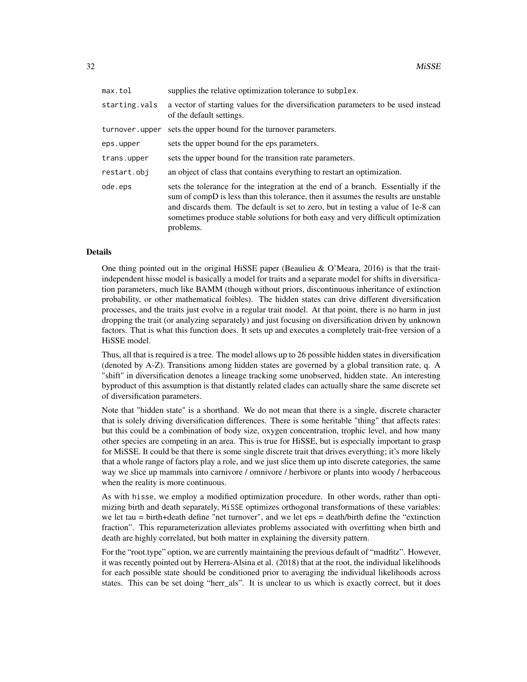| max.tol        | supplies the relative optimization tolerance to subplex.                                                                                                                                                                                                                                                                                                      |
|----------------|---------------------------------------------------------------------------------------------------------------------------------------------------------------------------------------------------------------------------------------------------------------------------------------------------------------------------------------------------------------|
| starting.vals  | a vector of starting values for the diversification parameters to be used instead<br>of the default settings.                                                                                                                                                                                                                                                 |
| turnover.upper | sets the upper bound for the turnover parameters.                                                                                                                                                                                                                                                                                                             |
| eps.upper      | sets the upper bound for the eps parameters.                                                                                                                                                                                                                                                                                                                  |
| trans.upper    | sets the upper bound for the transition rate parameters.                                                                                                                                                                                                                                                                                                      |
| restart.obi    | an object of class that contains everything to restart an optimization.                                                                                                                                                                                                                                                                                       |
| ode.eps        | sets the tolerance for the integration at the end of a branch. Essentially if the<br>sum of compD is less than this tolerance, then it assumes the results are unstable<br>and discards them. The default is set to zero, but in testing a value of 1e-8 can<br>sometimes produce stable solutions for both easy and very difficult optimization<br>problems. |

#### Details

One thing pointed out in the original HiSSE paper (Beaulieu & O'Meara, 2016) is that the traitindependent hisse model is basically a model for traits and a separate model for shifts in diversification parameters, much like BAMM (though without priors, discontinuous inheritance of extinction probability, or other mathematical foibles). The hidden states can drive different diversification processes, and the traits just evolve in a regular trait model. At that point, there is no harm in just dropping the trait (or analyzing separately) and just focusing on diversification driven by unknown factors. That is what this function does. It sets up and executes a completely trait-free version of a HiSSE model.

Thus, all that is required is a tree. The model allows up to 26 possible hidden states in diversification (denoted by A-Z). Transitions among hidden states are governed by a global transition rate, q. A "shift" in diversification denotes a lineage tracking some unobserved, hidden state. An interesting byproduct of this assumption is that distantly related clades can actually share the same discrete set of diversification parameters.

Note that "hidden state" is a shorthand. We do not mean that there is a single, discrete character that is solely driving diversification differences. There is some heritable "thing" that affects rates: but this could be a combination of body size, oxygen concentration, trophic level, and how many other species are competing in an area. This is true for HiSSE, but is especially important to grasp for MiSSE. It could be that there is some single discrete trait that drives everything; it's more likely that a whole range of factors play a role, and we just slice them up into discrete categories, the same way we slice up mammals into carnivore / omnivore / herbivore or plants into woody / herbaceous when the reality is more continuous.

As with hisse, we employ a modified optimization procedure. In other words, rather than optimizing birth and death separately, MiSSE optimizes orthogonal transformations of these variables: we let tau = birth+death define "net turnover", and we let eps = death/birth define the "extinction fraction". This reparameterization alleviates problems associated with overfitting when birth and death are highly correlated, but both matter in explaining the diversity pattern.

For the "root.type" option, we are currently maintaining the previous default of "madfitz". However, it was recently pointed out by Herrera-Alsina et al. (2018) that at the root, the individual likelihoods for each possible state should be conditioned prior to averaging the individual likelihoods across states. This can be set doing "herr\_als". It is unclear to us which is exactly correct, but it does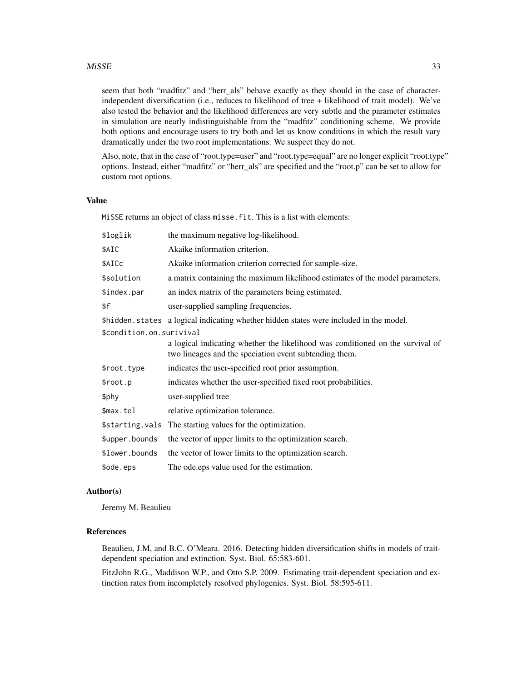#### $MISSE$  33

seem that both "madfitz" and "herr\_als" behave exactly as they should in the case of characterindependent diversification (i.e., reduces to likelihood of tree + likelihood of trait model). We've also tested the behavior and the likelihood differences are very subtle and the parameter estimates in simulation are nearly indistinguishable from the "madfitz" conditioning scheme. We provide both options and encourage users to try both and let us know conditions in which the result vary dramatically under the two root implementations. We suspect they do not.

Also, note, that in the case of "root.type=user" and "root.type=equal" are no longer explicit "root.type" options. Instead, either "madfitz" or "herr\_als" are specified and the "root.p" can be set to allow for custom root options.

### Value

MiSSE returns an object of class misse.fit. This is a list with elements:

| \$loglik                 | the maximum negative log-likelihood.                                                                                                     |  |
|--------------------------|------------------------------------------------------------------------------------------------------------------------------------------|--|
| \$AIC                    | Akaike information criterion.                                                                                                            |  |
| \$AICc                   | Akaike information criterion corrected for sample-size.                                                                                  |  |
| \$solution               | a matrix containing the maximum likelihood estimates of the model parameters.                                                            |  |
| \$index.par              | an index matrix of the parameters being estimated.                                                                                       |  |
| \$f                      | user-supplied sampling frequencies.                                                                                                      |  |
|                          | \$hidden.states a logical indicating whether hidden states were included in the model.                                                   |  |
| \$condition.on.surivival |                                                                                                                                          |  |
|                          | a logical indicating whether the likelihood was conditioned on the survival of<br>two lineages and the speciation event subtending them. |  |
| \$root.type              | indicates the user-specified root prior assumption.                                                                                      |  |
| \$root.p                 | indicates whether the user-specified fixed root probabilities.                                                                           |  |
| \$phy                    | user-supplied tree                                                                                                                       |  |
| \$max.tol                | relative optimization tolerance.                                                                                                         |  |
|                          | \$starting.vals The starting values for the optimization.                                                                                |  |
| \$upper.bounds           | the vector of upper limits to the optimization search.                                                                                   |  |
| \$lower.bounds           | the vector of lower limits to the optimization search.                                                                                   |  |
| \$ode.eps                | The ode eps value used for the estimation.                                                                                               |  |

#### Author(s)

Jeremy M. Beaulieu

#### References

Beaulieu, J.M, and B.C. O'Meara. 2016. Detecting hidden diversification shifts in models of traitdependent speciation and extinction. Syst. Biol. 65:583-601.

FitzJohn R.G., Maddison W.P., and Otto S.P. 2009. Estimating trait-dependent speciation and extinction rates from incompletely resolved phylogenies. Syst. Biol. 58:595-611.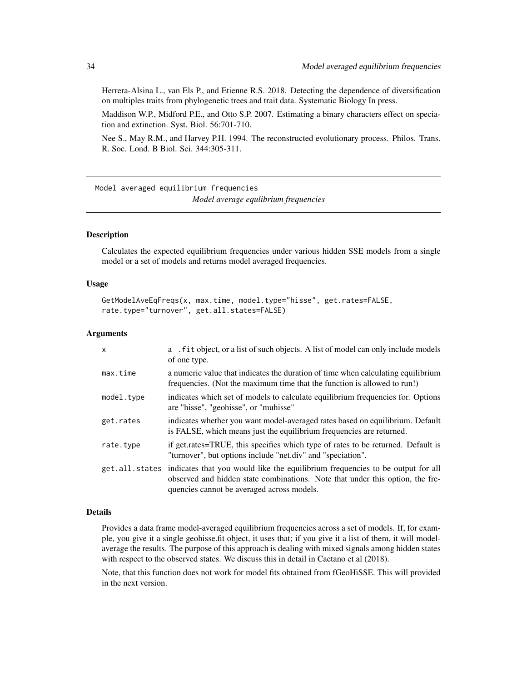<span id="page-33-0"></span>Herrera-Alsina L., van Els P., and Etienne R.S. 2018. Detecting the dependence of diversification on multiples traits from phylogenetic trees and trait data. Systematic Biology In press.

Maddison W.P., Midford P.E., and Otto S.P. 2007. Estimating a binary characters effect on speciation and extinction. Syst. Biol. 56:701-710.

Nee S., May R.M., and Harvey P.H. 1994. The reconstructed evolutionary process. Philos. Trans. R. Soc. Lond. B Biol. Sci. 344:305-311.

Model averaged equilibrium frequencies *Model average equlibrium frequencies*

#### Description

Calculates the expected equilibrium frequencies under various hidden SSE models from a single model or a set of models and returns model averaged frequencies.

#### Usage

```
GetModelAveEqFreqs(x, max.time, model.type="hisse", get.rates=FALSE,
rate.type="turnover", get.all.states=FALSE)
```
#### Arguments

| $\mathsf{x}$   | a . fit object, or a list of such objects. A list of model can only include models<br>of one type.                                                                                                            |
|----------------|---------------------------------------------------------------------------------------------------------------------------------------------------------------------------------------------------------------|
| max.time       | a numeric value that indicates the duration of time when calculating equilibrium<br>frequencies. (Not the maximum time that the function is allowed to run!)                                                  |
| model.type     | indicates which set of models to calculate equilibrium frequencies for. Options<br>are "hisse", "geohisse", or "muhisse"                                                                                      |
| get.rates      | indicates whether you want model-averaged rates based on equilibrium. Default<br>is FALSE, which means just the equilibrium frequencies are returned.                                                         |
| rate.type      | if get.rates=TRUE, this specifies which type of rates to be returned. Default is<br>"turnover", but options include "net.div" and "speciation".                                                               |
| get.all.states | indicates that you would like the equilibrium frequencies to be output for all<br>observed and hidden state combinations. Note that under this option, the fre-<br>quencies cannot be averaged across models. |

#### Details

Provides a data frame model-averaged equilibrium frequencies across a set of models. If, for example, you give it a single geohisse.fit object, it uses that; if you give it a list of them, it will modelaverage the results. The purpose of this approach is dealing with mixed signals among hidden states with respect to the observed states. We discuss this in detail in Caetano et al (2018).

Note, that this function does not work for model fits obtained from fGeoHiSSE. This will provided in the next version.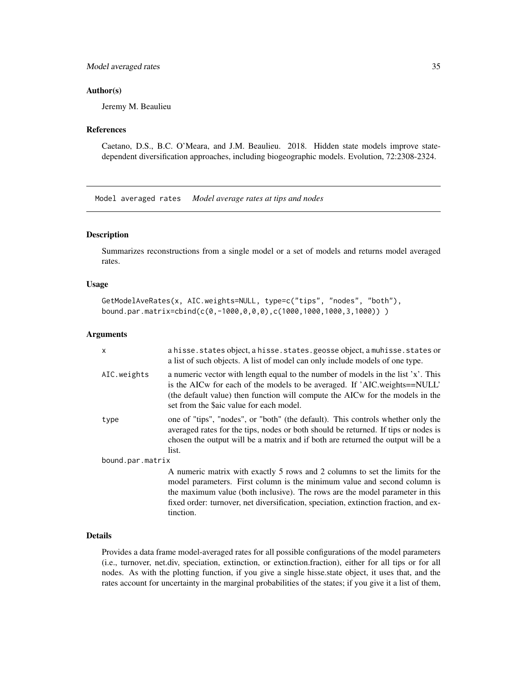### <span id="page-34-0"></span>Model averaged rates 35

#### Author(s)

Jeremy M. Beaulieu

#### **References**

Caetano, D.S., B.C. O'Meara, and J.M. Beaulieu. 2018. Hidden state models improve statedependent diversification approaches, including biogeographic models. Evolution, 72:2308-2324.

Model averaged rates *Model average rates at tips and nodes*

#### Description

Summarizes reconstructions from a single model or a set of models and returns model averaged rates.

#### Usage

```
GetModelAveRates(x, AIC.weights=NULL, type=c("tips", "nodes", "both"),
bound.par.matrix=cbind(c(0,-1000,0,0,0),c(1000,1000,1000,3,1000)) )
```
#### Arguments

| x                | a hisse. states object, a hisse. states. geosse object, a muhisse. states or<br>a list of such objects. A list of model can only include models of one type.                                                                                                                                                                     |
|------------------|----------------------------------------------------------------------------------------------------------------------------------------------------------------------------------------------------------------------------------------------------------------------------------------------------------------------------------|
| AIC.weights      | a numeric vector with length equal to the number of models in the list 'x'. This<br>is the AICw for each of the models to be averaged. If 'AIC.weights==NULL'<br>(the default value) then function will compute the AICw for the models in the<br>set from the \$aic value for each model.                                       |
| type             | one of "tips", "nodes", or "both" (the default). This controls whether only the<br>averaged rates for the tips, nodes or both should be returned. If tips or nodes is<br>chosen the output will be a matrix and if both are returned the output will be a<br>list.                                                               |
| bound.par.matrix |                                                                                                                                                                                                                                                                                                                                  |
|                  | A numeric matrix with exactly 5 rows and 2 columns to set the limits for the<br>model parameters. First column is the minimum value and second column is<br>the maximum value (both inclusive). The rows are the model parameter in this<br>fixed order: turnover, net diversification, speciation, extinction fraction, and ex- |

#### Details

tinction.

Provides a data frame model-averaged rates for all possible configurations of the model parameters (i.e., turnover, net.div, speciation, extinction, or extinction.fraction), either for all tips or for all nodes. As with the plotting function, if you give a single hisse.state object, it uses that, and the rates account for uncertainty in the marginal probabilities of the states; if you give it a list of them,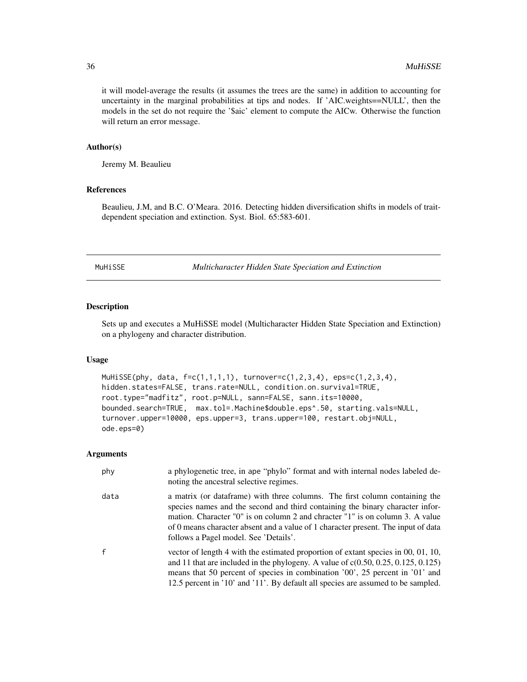<span id="page-35-0"></span>it will model-average the results (it assumes the trees are the same) in addition to accounting for uncertainty in the marginal probabilities at tips and nodes. If 'AIC.weights==NULL', then the models in the set do not require the '\$aic' element to compute the AICw. Otherwise the function will return an error message.

#### Author(s)

Jeremy M. Beaulieu

### References

Beaulieu, J.M, and B.C. O'Meara. 2016. Detecting hidden diversification shifts in models of traitdependent speciation and extinction. Syst. Biol. 65:583-601.

MuHiSSE *Multicharacter Hidden State Speciation and Extinction*

#### Description

Sets up and executes a MuHiSSE model (Multicharacter Hidden State Speciation and Extinction) on a phylogeny and character distribution.

#### Usage

```
MuHiSSE(phy, data, f=c(1,1,1,1), turnover=c(1,2,3,4), eps=c(1,2,3,4),
hidden.states=FALSE, trans.rate=NULL, condition.on.survival=TRUE,
root.type="madfitz", root.p=NULL, sann=FALSE, sann.its=10000,
bounded.search=TRUE, max.tol=.Machine$double.eps^.50, starting.vals=NULL,
turnover.upper=10000, eps.upper=3, trans.upper=100, restart.obj=NULL,
ode.eps=0)
```

| phy          | a phylogenetic tree, in ape "phylo" format and with internal nodes labeled de-<br>noting the ancestral selective regimes.                                                                                                                                                                                                                                                    |
|--------------|------------------------------------------------------------------------------------------------------------------------------------------------------------------------------------------------------------------------------------------------------------------------------------------------------------------------------------------------------------------------------|
| data         | a matrix (or data frame) with three columns. The first column containing the<br>species names and the second and third containing the binary character infor-<br>mation. Character "0" is on column 2 and chracter "1" is on column 3. A value<br>of 0 means character absent and a value of 1 character present. The input of data<br>follows a Pagel model. See 'Details'. |
| $\mathsf{f}$ | vector of length 4 with the estimated proportion of extant species in 00, 01, 10,<br>and 11 that are included in the phylogeny. A value of $c(0.50, 0.25, 0.125, 0.125)$<br>means that 50 percent of species in combination '00', 25 percent in '01' and<br>12.5 percent in '10' and '11'. By default all species are assumed to be sampled.                                 |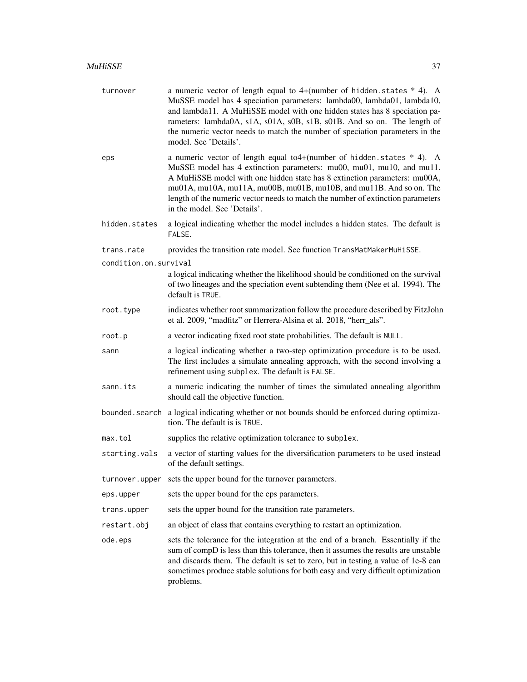| turnover              | a numeric vector of length equal to $4+($ number of hidden. states $*$ 4). A<br>MuSSE model has 4 speciation parameters: lambda00, lambda01, lambda10,<br>and lambda11. A MuHiSSE model with one hidden states has 8 speciation pa-<br>rameters: lambda0A, s1A, s01A, s0B, s1B, s01B. And so on. The length of<br>the numeric vector needs to match the number of speciation parameters in the<br>model. See 'Details'.   |
|-----------------------|---------------------------------------------------------------------------------------------------------------------------------------------------------------------------------------------------------------------------------------------------------------------------------------------------------------------------------------------------------------------------------------------------------------------------|
| eps                   | a numeric vector of length equal to $4+(number of hidden. states * 4)$ . A<br>MuSSE model has 4 extinction parameters: mu00, mu01, mu10, and mu11.<br>A MuHiSSE model with one hidden state has 8 extinction parameters: mu00A,<br>mu01A, mu10A, mu11A, mu00B, mu01B, mu10B, and mu11B. And so on. The<br>length of the numeric vector needs to match the number of extinction parameters<br>in the model. See 'Details'. |
| hidden.states         | a logical indicating whether the model includes a hidden states. The default is<br>FALSE.                                                                                                                                                                                                                                                                                                                                 |
| trans.rate            | provides the transition rate model. See function TransMatMakerMuHiSSE.                                                                                                                                                                                                                                                                                                                                                    |
| condition.on.survival |                                                                                                                                                                                                                                                                                                                                                                                                                           |
|                       | a logical indicating whether the likelihood should be conditioned on the survival<br>of two lineages and the speciation event subtending them (Nee et al. 1994). The<br>default is TRUE.                                                                                                                                                                                                                                  |
| root.type             | indicates whether root summarization follow the procedure described by FitzJohn<br>et al. 2009, "madfitz" or Herrera-Alsina et al. 2018, "herr_als".                                                                                                                                                                                                                                                                      |
| root.p                | a vector indicating fixed root state probabilities. The default is NULL.                                                                                                                                                                                                                                                                                                                                                  |
| sann                  | a logical indicating whether a two-step optimization procedure is to be used.<br>The first includes a simulate annealing approach, with the second involving a<br>refinement using subplex. The default is FALSE.                                                                                                                                                                                                         |
| sann.its              | a numeric indicating the number of times the simulated annealing algorithm<br>should call the objective function.                                                                                                                                                                                                                                                                                                         |
| bounded.search        | a logical indicating whether or not bounds should be enforced during optimiza-<br>tion. The default is is TRUE.                                                                                                                                                                                                                                                                                                           |
| max.tol               | supplies the relative optimization tolerance to subplex.                                                                                                                                                                                                                                                                                                                                                                  |
| starting.vals         | a vector of starting values for the diversification parameters to be used instead<br>of the default settings.                                                                                                                                                                                                                                                                                                             |
| turnover.upper        | sets the upper bound for the turnover parameters.                                                                                                                                                                                                                                                                                                                                                                         |
| eps.upper             | sets the upper bound for the eps parameters.                                                                                                                                                                                                                                                                                                                                                                              |
| trans.upper           | sets the upper bound for the transition rate parameters.                                                                                                                                                                                                                                                                                                                                                                  |
| restart.obj           | an object of class that contains everything to restart an optimization.                                                                                                                                                                                                                                                                                                                                                   |
| ode.eps               | sets the tolerance for the integration at the end of a branch. Essentially if the<br>sum of compD is less than this tolerance, then it assumes the results are unstable<br>and discards them. The default is set to zero, but in testing a value of 1e-8 can<br>sometimes produce stable solutions for both easy and very difficult optimization<br>problems.                                                             |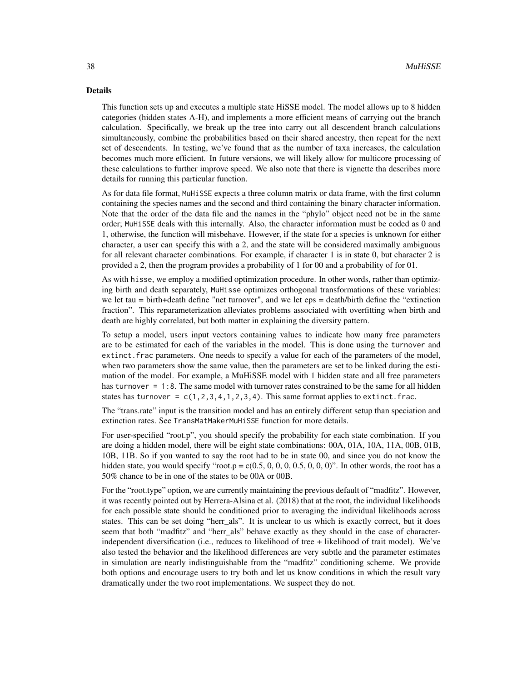#### Details

This function sets up and executes a multiple state HiSSE model. The model allows up to 8 hidden categories (hidden states A-H), and implements a more efficient means of carrying out the branch calculation. Specifically, we break up the tree into carry out all descendent branch calculations simultaneously, combine the probabilities based on their shared ancestry, then repeat for the next set of descendents. In testing, we've found that as the number of taxa increases, the calculation becomes much more efficient. In future versions, we will likely allow for multicore processing of these calculations to further improve speed. We also note that there is vignette tha describes more details for running this particular function.

As for data file format, MuHiSSE expects a three column matrix or data frame, with the first column containing the species names and the second and third containing the binary character information. Note that the order of the data file and the names in the "phylo" object need not be in the same order; MuHiSSE deals with this internally. Also, the character information must be coded as 0 and 1, otherwise, the function will misbehave. However, if the state for a species is unknown for either character, a user can specify this with a 2, and the state will be considered maximally ambiguous for all relevant character combinations. For example, if character 1 is in state 0, but character 2 is provided a 2, then the program provides a probability of 1 for 00 and a probability of for 01.

As with hisse, we employ a modified optimization procedure. In other words, rather than optimizing birth and death separately, MuHisse optimizes orthogonal transformations of these variables: we let tau = birth+death define "net turnover", and we let eps = death/birth define the "extinction fraction". This reparameterization alleviates problems associated with overfitting when birth and death are highly correlated, but both matter in explaining the diversity pattern.

To setup a model, users input vectors containing values to indicate how many free parameters are to be estimated for each of the variables in the model. This is done using the turnover and extinct.frac parameters. One needs to specify a value for each of the parameters of the model, when two parameters show the same value, then the parameters are set to be linked during the estimation of the model. For example, a MuHiSSE model with 1 hidden state and all free parameters has turnover = 1:8. The same model with turnover rates constrained to be the same for all hidden states has turnover =  $c(1,2,3,4,1,2,3,4)$ . This same format applies to extinct. frac.

The "trans.rate" input is the transition model and has an entirely different setup than speciation and extinction rates. See TransMatMakerMuHiSSE function for more details.

For user-specified "root.p", you should specify the probability for each state combination. If you are doing a hidden model, there will be eight state combinations: 00A, 01A, 10A, 11A, 00B, 01B, 10B, 11B. So if you wanted to say the root had to be in state 00, and since you do not know the hidden state, you would specify "root.p =  $c(0.5, 0, 0, 0, 0, 0, 0, 0, 0)$ ". In other words, the root has a 50% chance to be in one of the states to be 00A or 00B.

For the "root.type" option, we are currently maintaining the previous default of "madfitz". However, it was recently pointed out by Herrera-Alsina et al. (2018) that at the root, the individual likelihoods for each possible state should be conditioned prior to averaging the individual likelihoods across states. This can be set doing "herr\_als". It is unclear to us which is exactly correct, but it does seem that both "madfitz" and "herr als" behave exactly as they should in the case of characterindependent diversification (i.e., reduces to likelihood of tree + likelihood of trait model). We've also tested the behavior and the likelihood differences are very subtle and the parameter estimates in simulation are nearly indistinguishable from the "madfitz" conditioning scheme. We provide both options and encourage users to try both and let us know conditions in which the result vary dramatically under the two root implementations. We suspect they do not.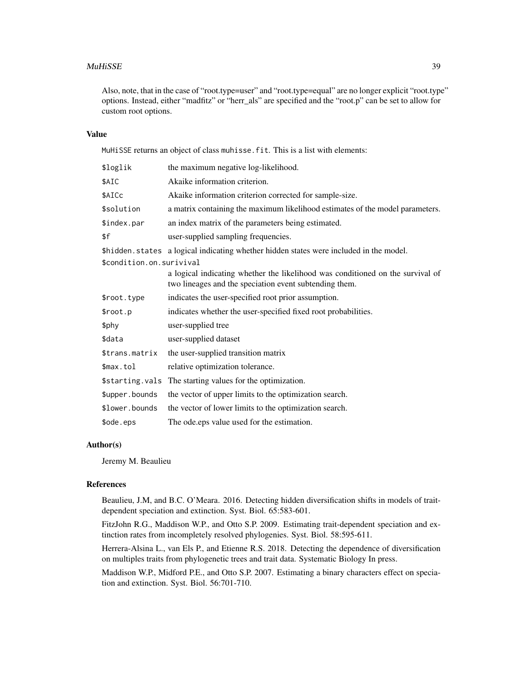#### MuHiSSE 39

Also, note, that in the case of "root.type=user" and "root.type=equal" are no longer explicit "root.type" options. Instead, either "madfitz" or "herr\_als" are specified and the "root.p" can be set to allow for custom root options.

#### Value

MuHiSSE returns an object of class muhisse.fit. This is a list with elements:

| \$loglik                 | the maximum negative log-likelihood.                                                                                                     |
|--------------------------|------------------------------------------------------------------------------------------------------------------------------------------|
| \$AIC                    | Akaike information criterion.                                                                                                            |
| \$AICc                   | Akaike information criterion corrected for sample-size.                                                                                  |
| \$solution               | a matrix containing the maximum likelihood estimates of the model parameters.                                                            |
| \$index.par              | an index matrix of the parameters being estimated.                                                                                       |
| \$f                      | user-supplied sampling frequencies.                                                                                                      |
|                          | \$hidden. states a logical indicating whether hidden states were included in the model.                                                  |
| \$condition.on.surivival |                                                                                                                                          |
|                          | a logical indicating whether the likelihood was conditioned on the survival of<br>two lineages and the speciation event subtending them. |
| \$root.type              | indicates the user-specified root prior assumption.                                                                                      |
| \$root.p                 | indicates whether the user-specified fixed root probabilities.                                                                           |
| \$phy                    | user-supplied tree                                                                                                                       |
| \$data                   | user-supplied dataset                                                                                                                    |
| \$trans.matrix           | the user-supplied transition matrix                                                                                                      |
| \$max.tol                | relative optimization tolerance.                                                                                                         |
| \$starting.vals          | The starting values for the optimization.                                                                                                |
| \$upper.bounds           | the vector of upper limits to the optimization search.                                                                                   |
| \$lower.bounds           | the vector of lower limits to the optimization search.                                                                                   |
| \$ode.eps                | The ode eps value used for the estimation.                                                                                               |

#### Author(s)

Jeremy M. Beaulieu

#### References

Beaulieu, J.M, and B.C. O'Meara. 2016. Detecting hidden diversification shifts in models of traitdependent speciation and extinction. Syst. Biol. 65:583-601.

FitzJohn R.G., Maddison W.P., and Otto S.P. 2009. Estimating trait-dependent speciation and extinction rates from incompletely resolved phylogenies. Syst. Biol. 58:595-611.

Herrera-Alsina L., van Els P., and Etienne R.S. 2018. Detecting the dependence of diversification on multiples traits from phylogenetic trees and trait data. Systematic Biology In press.

Maddison W.P., Midford P.E., and Otto S.P. 2007. Estimating a binary characters effect on speciation and extinction. Syst. Biol. 56:701-710.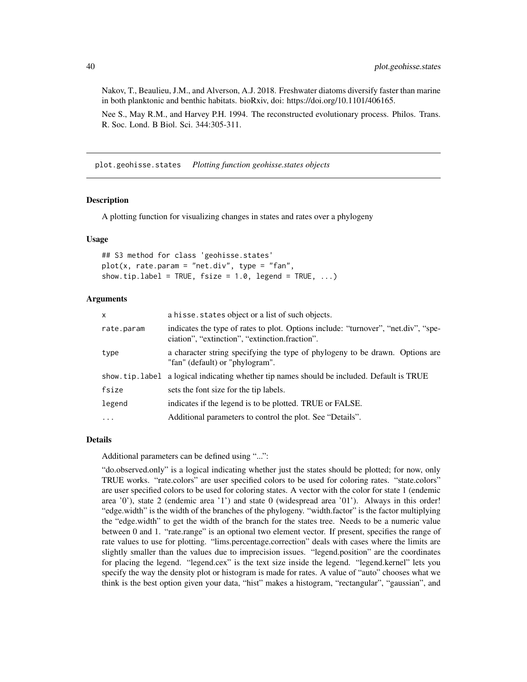Nakov, T., Beaulieu, J.M., and Alverson, A.J. 2018. Freshwater diatoms diversify faster than marine in both planktonic and benthic habitats. bioRxiv, doi: https://doi.org/10.1101/406165.

Nee S., May R.M., and Harvey P.H. 1994. The reconstructed evolutionary process. Philos. Trans. R. Soc. Lond. B Biol. Sci. 344:305-311.

plot.geohisse.states *Plotting function geohisse.states objects*

#### Description

A plotting function for visualizing changes in states and rates over a phylogeny

#### Usage

## S3 method for class 'geohisse.states' plot(x, rate.param = "net.div", type = "fan", show.tip.label = TRUE,  $fsize = 1.0$ , legend = TRUE, ...)

### Arguments

| X          | a hisse. states object or a list of such objects.                                                                                    |
|------------|--------------------------------------------------------------------------------------------------------------------------------------|
| rate.param | indicates the type of rates to plot. Options include: "turnover", "net.div", "spe-<br>ciation", "extinction", "extinction.fraction". |
| type       | a character string specifying the type of phylogeny to be drawn. Options are<br>"fan" (default) or "phylogram".                      |
|            | show.tip.label a logical indicating whether tip names should be included. Default is TRUE                                            |
| fsize      | sets the font size for the tip labels.                                                                                               |
| legend     | indicates if the legend is to be plotted. TRUE or FALSE.                                                                             |
| $\ddotsc$  | Additional parameters to control the plot. See "Details".                                                                            |

#### Details

Additional parameters can be defined using "...":

"do.observed.only" is a logical indicating whether just the states should be plotted; for now, only TRUE works. "rate.colors" are user specified colors to be used for coloring rates. "state.colors" are user specified colors to be used for coloring states. A vector with the color for state 1 (endemic area '0'), state 2 (endemic area '1') and state 0 (widespread area '01'). Always in this order! "edge.width" is the width of the branches of the phylogeny. "width.factor" is the factor multiplying the "edge.width" to get the width of the branch for the states tree. Needs to be a numeric value between 0 and 1. "rate.range" is an optional two element vector. If present, specifies the range of rate values to use for plotting. "lims.percentage.correction" deals with cases where the limits are slightly smaller than the values due to imprecision issues. "legend.position" are the coordinates for placing the legend. "legend.cex" is the text size inside the legend. "legend.kernel" lets you specify the way the density plot or histogram is made for rates. A value of "auto" chooses what we think is the best option given your data, "hist" makes a histogram, "rectangular", "gaussian", and

<span id="page-39-0"></span>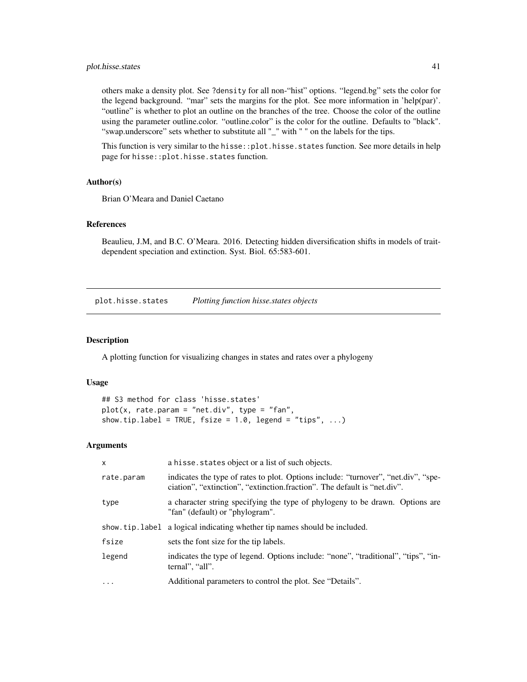### <span id="page-40-0"></span>plot.hisse.states 41

others make a density plot. See ?density for all non-"hist" options. "legend.bg" sets the color for the legend background. "mar" sets the margins for the plot. See more information in 'help(par)'. "outline" is whether to plot an outline on the branches of the tree. Choose the color of the outline using the parameter outline.color. "outline.color" is the color for the outline. Defaults to "black". "swap.underscore" sets whether to substitute all "\_" with " " on the labels for the tips.

This function is very similar to the hisse:: plot.hisse.states function. See more details in help page for hisse::plot.hisse.states function.

#### Author(s)

Brian O'Meara and Daniel Caetano

#### References

Beaulieu, J.M, and B.C. O'Meara. 2016. Detecting hidden diversification shifts in models of traitdependent speciation and extinction. Syst. Biol. 65:583-601.

plot.hisse.states *Plotting function hisse.states objects*

### Description

A plotting function for visualizing changes in states and rates over a phylogeny

#### Usage

```
## S3 method for class 'hisse.states'
plot(x, rate.param = "net.div", type = "fan",show.tip.label = TRUE, fsize = 1.0, legend = "tips", ...)
```

| $\mathsf{x}$ | a hisse. states object or a list of such objects.                                                                                                              |
|--------------|----------------------------------------------------------------------------------------------------------------------------------------------------------------|
| rate.param   | indicates the type of rates to plot. Options include: "turnover", "net.div", "spe-<br>ciation", "extinction", "extinction.fraction". The default is "net.div". |
| type         | a character string specifying the type of phylogeny to be drawn. Options are<br>"fan" (default) or "phylogram".                                                |
|              | show, tip, label a logical indicating whether tip names should be included.                                                                                    |
| fsize        | sets the font size for the tip labels.                                                                                                                         |
| legend       | indicates the type of legend. Options include: "none", "traditional", "tips", "in-<br>ternal", "all".                                                          |
| $\cdots$     | Additional parameters to control the plot. See "Details".                                                                                                      |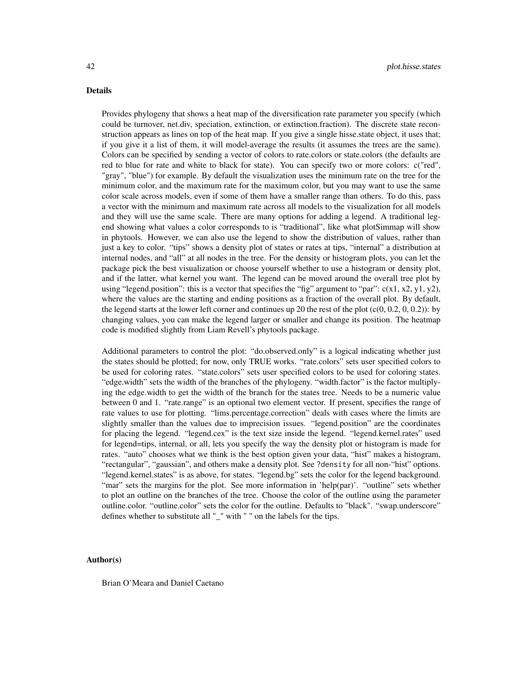#### Details

Provides phylogeny that shows a heat map of the diversification rate parameter you specify (which could be turnover, net.div, speciation, extinction, or extinction.fraction). The discrete state reconstruction appears as lines on top of the heat map. If you give a single hisse.state object, it uses that; if you give it a list of them, it will model-average the results (it assumes the trees are the same). Colors can be specified by sending a vector of colors to rate.colors or state.colors (the defaults are red to blue for rate and white to black for state). You can specify two or more colors: c("red", "gray", "blue") for example. By default the visualization uses the minimum rate on the tree for the minimum color, and the maximum rate for the maximum color, but you may want to use the same color scale across models, even if some of them have a smaller range than others. To do this, pass a vector with the minimum and maximum rate across all models to the visualization for all models and they will use the same scale. There are many options for adding a legend. A traditional legend showing what values a color corresponds to is "traditional", like what plotSimmap will show in phytools. However, we can also use the legend to show the distribution of values, rather than just a key to color. "tips" shows a density plot of states or rates at tips, "internal" a distribution at internal nodes, and "all" at all nodes in the tree. For the density or histogram plots, you can let the package pick the best visualization or choose yourself whether to use a histogram or density plot, and if the latter, what kernel you want. The legend can be moved around the overall tree plot by using "legend.position": this is a vector that specifies the "fig" argument to "par":  $c(x1, x2, y1, y2)$ , where the values are the starting and ending positions as a fraction of the overall plot. By default, the legend starts at the lower left corner and continues up 20 the rest of the plot  $(c(0, 0.2, 0, 0.2))$ : by changing values, you can make the legend larger or smaller and change its position. The heatmap code is modified slightly from Liam Revell's phytools package.

Additional parameters to control the plot: "do.observed.only" is a logical indicating whether just the states should be plotted; for now, only TRUE works. "rate.colors" sets user specified colors to be used for coloring rates. "state.colors" sets user specified colors to be used for coloring states. "edge.width" sets the width of the branches of the phylogeny. "width.factor" is the factor multiplying the edge.width to get the width of the branch for the states tree. Needs to be a numeric value between 0 and 1. "rate.range" is an optional two element vector. If present, specifies the range of rate values to use for plotting. "lims.percentage.correction" deals with cases where the limits are slightly smaller than the values due to imprecision issues. "legend.position" are the coordinates for placing the legend. "legend.cex" is the text size inside the legend. "legend.kernel.rates" used for legend=tips, internal, or all, lets you specify the way the density plot or histogram is made for rates. "auto" chooses what we think is the best option given your data, "hist" makes a histogram, "rectangular", "gaussian", and others make a density plot. See ?density for all non-"hist" options. "legend.kernel.states" is as above, for states. "legend.bg" sets the color for the legend background. "mar" sets the margins for the plot. See more information in 'help(par)'. "outline" sets whether to plot an outline on the branches of the tree. Choose the color of the outline using the parameter outline.color. "outline.color" sets the color for the outline. Defaults to "black". "swap.underscore" defines whether to substitute all "\_" with " " on the labels for the tips.

#### Author(s)

Brian O'Meara and Daniel Caetano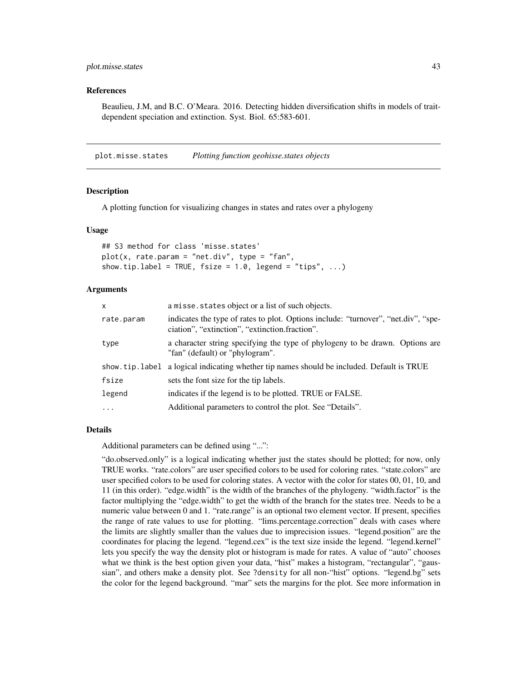#### <span id="page-42-0"></span>References

Beaulieu, J.M, and B.C. O'Meara. 2016. Detecting hidden diversification shifts in models of traitdependent speciation and extinction. Syst. Biol. 65:583-601.

plot.misse.states *Plotting function geohisse.states objects*

#### **Description**

A plotting function for visualizing changes in states and rates over a phylogeny

#### Usage

## S3 method for class 'misse.states'  $plot(x, rate.param = "net.div", type = "fan",$ show.tip.label = TRUE,  $fsize = 1.0$ , legend = "tips", ...)

#### Arguments

| a misse. states object or a list of such objects.                                                                                    |
|--------------------------------------------------------------------------------------------------------------------------------------|
| indicates the type of rates to plot. Options include: "turnover", "net.div", "spe-<br>ciation", "extinction", "extinction.fraction". |
| a character string specifying the type of phylogeny to be drawn. Options are<br>"fan" (default) or "phylogram".                      |
| show tip. label a logical indicating whether tip names should be included. Default is TRUE                                           |
| sets the font size for the tip labels.                                                                                               |
| indicates if the legend is to be plotted. TRUE or FALSE.                                                                             |
| Additional parameters to control the plot. See "Details".                                                                            |
|                                                                                                                                      |

#### Details

Additional parameters can be defined using "...":

"do.observed.only" is a logical indicating whether just the states should be plotted; for now, only TRUE works. "rate.colors" are user specified colors to be used for coloring rates. "state.colors" are user specified colors to be used for coloring states. A vector with the color for states 00, 01, 10, and 11 (in this order). "edge.width" is the width of the branches of the phylogeny. "width.factor" is the factor multiplying the "edge.width" to get the width of the branch for the states tree. Needs to be a numeric value between 0 and 1. "rate.range" is an optional two element vector. If present, specifies the range of rate values to use for plotting. "lims.percentage.correction" deals with cases where the limits are slightly smaller than the values due to imprecision issues. "legend.position" are the coordinates for placing the legend. "legend.cex" is the text size inside the legend. "legend.kernel" lets you specify the way the density plot or histogram is made for rates. A value of "auto" chooses what we think is the best option given your data, "hist" makes a histogram, "rectangular", "gaussian", and others make a density plot. See ?density for all non-"hist" options. "legend.bg" sets the color for the legend background. "mar" sets the margins for the plot. See more information in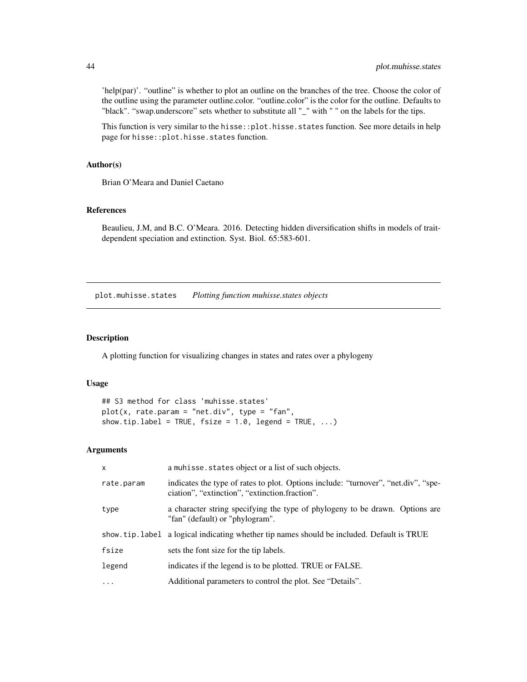'help(par)'. "outline" is whether to plot an outline on the branches of the tree. Choose the color of the outline using the parameter outline.color. "outline.color" is the color for the outline. Defaults to "black". "swap.underscore" sets whether to substitute all "\_" with " " on the labels for the tips.

This function is very similar to the hisse::plot.hisse.states function. See more details in help page for hisse::plot.hisse.states function.

#### Author(s)

Brian O'Meara and Daniel Caetano

### References

Beaulieu, J.M, and B.C. O'Meara. 2016. Detecting hidden diversification shifts in models of traitdependent speciation and extinction. Syst. Biol. 65:583-601.

plot.muhisse.states *Plotting function muhisse.states objects*

### Description

A plotting function for visualizing changes in states and rates over a phylogeny

#### Usage

```
## S3 method for class 'muhisse.states'
plot(x, rate.param = "net.div", type = "fan",show.tip.label = TRUE, fsize = 1.0, legend = TRUE, ...)
```

| $\mathsf{x}$ | a muhisse. states object or a list of such objects.                                                                                  |
|--------------|--------------------------------------------------------------------------------------------------------------------------------------|
| rate.param   | indicates the type of rates to plot. Options include: "turnover", "net.div", "spe-<br>ciation", "extinction", "extinction.fraction". |
| type         | a character string specifying the type of phylogeny to be drawn. Options are<br>"fan" (default) or "phylogram".                      |
|              | show tip. label a logical indicating whether tip names should be included. Default is TRUE                                           |
| fsize        | sets the font size for the tip labels.                                                                                               |
| legend       | indicates if the legend is to be plotted. TRUE or FALSE.                                                                             |
| $\ddots$     | Additional parameters to control the plot. See "Details".                                                                            |

<span id="page-43-0"></span>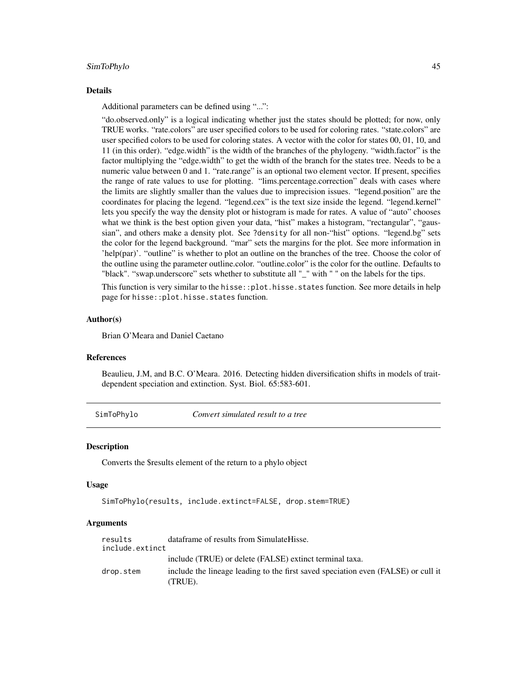#### <span id="page-44-0"></span>SimToPhylo 45

#### Details

Additional parameters can be defined using "...":

"do.observed.only" is a logical indicating whether just the states should be plotted; for now, only TRUE works. "rate.colors" are user specified colors to be used for coloring rates. "state.colors" are user specified colors to be used for coloring states. A vector with the color for states 00, 01, 10, and 11 (in this order). "edge.width" is the width of the branches of the phylogeny. "width.factor" is the factor multiplying the "edge.width" to get the width of the branch for the states tree. Needs to be a numeric value between 0 and 1. "rate.range" is an optional two element vector. If present, specifies the range of rate values to use for plotting. "lims.percentage.correction" deals with cases where the limits are slightly smaller than the values due to imprecision issues. "legend.position" are the coordinates for placing the legend. "legend.cex" is the text size inside the legend. "legend.kernel" lets you specify the way the density plot or histogram is made for rates. A value of "auto" chooses what we think is the best option given your data, "hist" makes a histogram, "rectangular", "gaussian", and others make a density plot. See ?density for all non-"hist" options. "legend.bg" sets the color for the legend background. "mar" sets the margins for the plot. See more information in 'help(par)'. "outline" is whether to plot an outline on the branches of the tree. Choose the color of the outline using the parameter outline.color. "outline.color" is the color for the outline. Defaults to "black". "swap.underscore" sets whether to substitute all "\_" with " " on the labels for the tips.

This function is very similar to the hisse:: plot.hisse.states function. See more details in help page for hisse::plot.hisse.states function.

#### Author(s)

Brian O'Meara and Daniel Caetano

#### References

Beaulieu, J.M, and B.C. O'Meara. 2016. Detecting hidden diversification shifts in models of traitdependent speciation and extinction. Syst. Biol. 65:583-601.

SimToPhylo *Convert simulated result to a tree*

#### **Description**

Converts the \$results element of the return to a phylo object

#### Usage

```
SimToPhylo(results, include.extinct=FALSE, drop.stem=TRUE)
```

| results<br>include.extinct | dataframe of results from SimulateHisse.                                                     |
|----------------------------|----------------------------------------------------------------------------------------------|
|                            | include (TRUE) or delete (FALSE) extinct terminal taxa.                                      |
| drop.stem                  | include the lineage leading to the first saved speciation even (FALSE) or cull it<br>(TRUE). |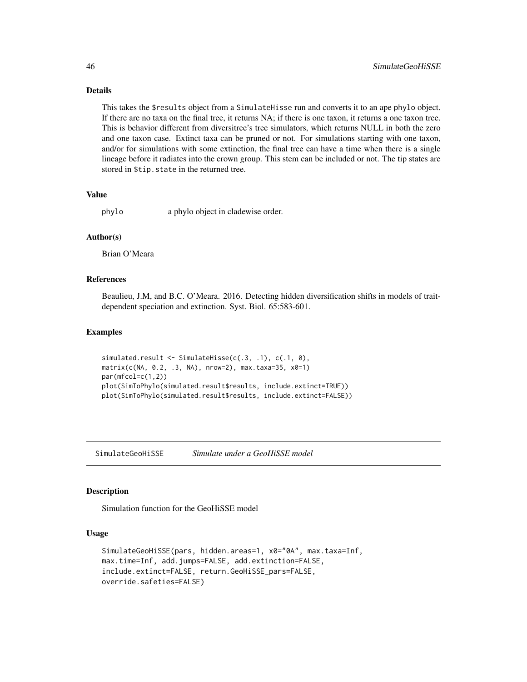### Details

This takes the \$results object from a SimulateHisse run and converts it to an ape phylo object. If there are no taxa on the final tree, it returns NA; if there is one taxon, it returns a one taxon tree. This is behavior different from diversitree's tree simulators, which returns NULL in both the zero and one taxon case. Extinct taxa can be pruned or not. For simulations starting with one taxon, and/or for simulations with some extinction, the final tree can have a time when there is a single lineage before it radiates into the crown group. This stem can be included or not. The tip states are stored in \$tip.state in the returned tree.

#### Value

phylo a phylo object in cladewise order.

### Author(s)

Brian O'Meara

#### References

Beaulieu, J.M, and B.C. O'Meara. 2016. Detecting hidden diversification shifts in models of traitdependent speciation and extinction. Syst. Biol. 65:583-601.

### Examples

```
simulated.result <- SimulateHisse(c(.3, .1), c(.1, 0),
matrix(c(NA, 0.2, .3, NA), nrow=2), max.taxa=35, x0=1)
par(mfcol=c(1,2))
plot(SimToPhylo(simulated.result$results, include.extinct=TRUE))
plot(SimToPhylo(simulated.result$results, include.extinct=FALSE))
```
SimulateGeoHiSSE *Simulate under a GeoHiSSE model*

### **Description**

Simulation function for the GeoHiSSE model

### Usage

```
SimulateGeoHiSSE(pars, hidden.areas=1, x0="0A", max.taxa=Inf,
max.time=Inf, add.jumps=FALSE, add.extinction=FALSE,
include.extinct=FALSE, return.GeoHiSSE_pars=FALSE,
override.safeties=FALSE)
```
<span id="page-45-0"></span>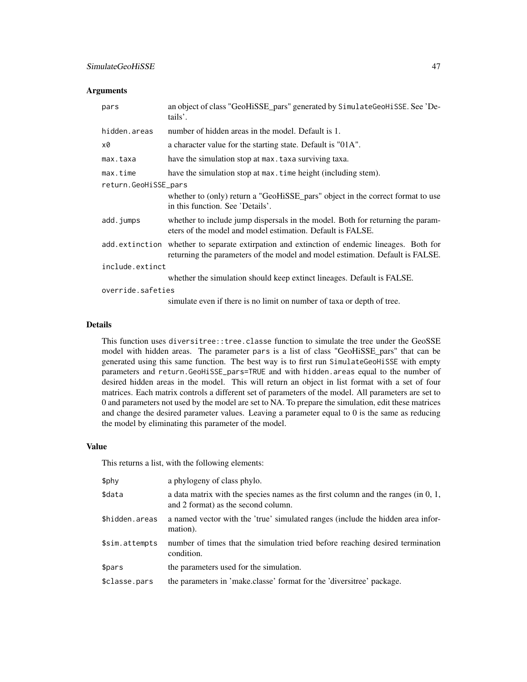### Arguments

| pars                 | an object of class "GeoHiSSE_pars" generated by SimulateGeoHiSSE. See 'De-<br>tails'.                                                                                        |  |
|----------------------|------------------------------------------------------------------------------------------------------------------------------------------------------------------------------|--|
| hidden.areas         | number of hidden areas in the model. Default is 1.                                                                                                                           |  |
| x0                   | a character value for the starting state. Default is "01A".                                                                                                                  |  |
| max.taxa             | have the simulation stop at max. taxa surviving taxa.                                                                                                                        |  |
| max.time             | have the simulation stop at max. time height (including stem).                                                                                                               |  |
| return.GeoHiSSE_pars |                                                                                                                                                                              |  |
|                      | whether to (only) return a "GeoHiSSE_pars" object in the correct format to use<br>in this function. See 'Details'.                                                           |  |
| add.jumps            | whether to include jump dispersals in the model. Both for returning the param-<br>eters of the model and model estimation. Default is FALSE.                                 |  |
|                      | add extinction whether to separate extirpation and extinction of endemic lineages. Both for<br>returning the parameters of the model and model estimation. Default is FALSE. |  |
| include.extinct      |                                                                                                                                                                              |  |
|                      | whether the simulation should keep extinct lineages. Default is FALSE.                                                                                                       |  |
| override.safeties    |                                                                                                                                                                              |  |
|                      | simulate even if there is no limit on number of taxa or depth of tree.                                                                                                       |  |

#### Details

This function uses diversitree::tree.classe function to simulate the tree under the GeoSSE model with hidden areas. The parameter pars is a list of class "GeoHiSSE\_pars" that can be generated using this same function. The best way is to first run SimulateGeoHiSSE with empty parameters and return.GeoHiSSE\_pars=TRUE and with hidden.areas equal to the number of desired hidden areas in the model. This will return an object in list format with a set of four matrices. Each matrix controls a different set of parameters of the model. All parameters are set to 0 and parameters not used by the model are set to NA. To prepare the simulation, edit these matrices and change the desired parameter values. Leaving a parameter equal to 0 is the same as reducing the model by eliminating this parameter of the model.

#### Value

This returns a list, with the following elements:

| \$phy          | a phylogeny of class phylo.                                                                                                |
|----------------|----------------------------------------------------------------------------------------------------------------------------|
| \$data         | a data matrix with the species names as the first column and the ranges (in $0, 1,$<br>and 2 format) as the second column. |
| \$hidden.areas | a named vector with the 'true' simulated ranges (include the hidden area infor-<br>mation).                                |
| \$sim.attempts | number of times that the simulation tried before reaching desired termination<br>condition.                                |
| \$pars         | the parameters used for the simulation.                                                                                    |
| \$classe.pars  | the parameters in 'make.classe' format for the 'diversitree' package.                                                      |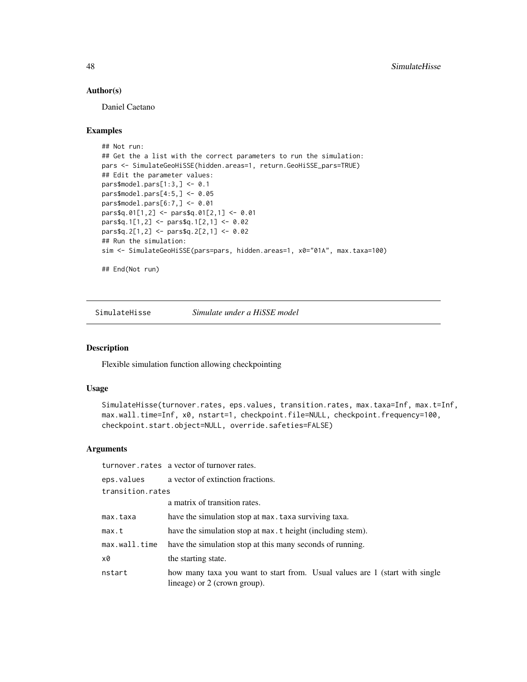#### Author(s)

Daniel Caetano

#### Examples

```
## Not run:
## Get the a list with the correct parameters to run the simulation:
pars <- SimulateGeoHiSSE(hidden.areas=1, return.GeoHiSSE_pars=TRUE)
## Edit the parameter values:
pars$model.pars[1:3,] <- 0.1
pars$model.pars[4:5,] <- 0.05
pars$model.pars[6:7,] <- 0.01
pars$q.01[1,2] <- pars$q.01[2,1] <- 0.01
pars$q.1[1,2] <- pars$q.1[2,1] <- 0.02
pars$q.2[1,2] <- pars$q.2[2,1] <- 0.02
## Run the simulation:
sim <- SimulateGeoHiSSE(pars=pars, hidden.areas=1, x0="01A", max.taxa=100)
## End(Not run)
```
SimulateHisse *Simulate under a HiSSE model*

#### Description

Flexible simulation function allowing checkpointing

### Usage

```
SimulateHisse(turnover.rates, eps.values, transition.rates, max.taxa=Inf, max.t=Inf,
max.wall.time=Inf, x0, nstart=1, checkpoint.file=NULL, checkpoint.frequency=100,
checkpoint.start.object=NULL, override.safeties=FALSE)
```
#### Arguments

turnover.rates a vector of turnover rates.

|                  | eps. values a vector of extinction fractions.                                                               |
|------------------|-------------------------------------------------------------------------------------------------------------|
| transition.rates |                                                                                                             |
|                  | a matrix of transition rates.                                                                               |
| max.taxa         | have the simulation stop at max. taxa surviving taxa.                                                       |
| max.t            | have the simulation stop at max, t height (including stem).                                                 |
| max.wall.time    | have the simulation stop at this many seconds of running.                                                   |
| x0               | the starting state.                                                                                         |
| nstart           | how many taxa you want to start from. Usual values are 1 (start with single<br>lineage) or 2 (crown group). |

<span id="page-47-0"></span>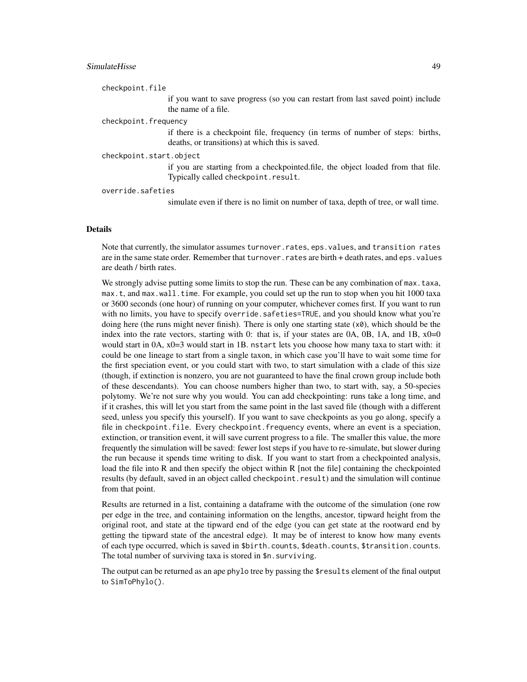### SimulateHisse 49

checkpoint.file

if you want to save progress (so you can restart from last saved point) include the name of a file.

#### checkpoint.frequency

if there is a checkpoint file, frequency (in terms of number of steps: births, deaths, or transitions) at which this is saved.

#### checkpoint.start.object

if you are starting from a checkpointed.file, the object loaded from that file. Typically called checkpoint.result.

#### override.safeties

simulate even if there is no limit on number of taxa, depth of tree, or wall time.

#### Details

Note that currently, the simulator assumes turnover.rates, eps.values, and transition rates are in the same state order. Remember that turnover. rates are birth + death rates, and eps. values are death / birth rates.

We strongly advise putting some limits to stop the run. These can be any combination of max.taxa, max.t, and max.wall.time. For example, you could set up the run to stop when you hit 1000 taxa or 3600 seconds (one hour) of running on your computer, whichever comes first. If you want to run with no limits, you have to specify override.safeties=TRUE, and you should know what you're doing here (the runs might never finish). There is only one starting state  $(x0)$ , which should be the index into the rate vectors, starting with 0: that is, if your states are  $0A$ ,  $0B$ ,  $1A$ , and  $1B$ ,  $x0=0$ would start in 0A,  $x0=3$  would start in 1B. nstart lets you choose how many taxa to start with: it could be one lineage to start from a single taxon, in which case you'll have to wait some time for the first speciation event, or you could start with two, to start simulation with a clade of this size (though, if extinction is nonzero, you are not guaranteed to have the final crown group include both of these descendants). You can choose numbers higher than two, to start with, say, a 50-species polytomy. We're not sure why you would. You can add checkpointing: runs take a long time, and if it crashes, this will let you start from the same point in the last saved file (though with a different seed, unless you specify this yourself). If you want to save checkpoints as you go along, specify a file in checkpoint.file. Every checkpoint.frequency events, where an event is a speciation, extinction, or transition event, it will save current progress to a file. The smaller this value, the more frequently the simulation will be saved: fewer lost steps if you have to re-simulate, but slower during the run because it spends time writing to disk. If you want to start from a checkpointed analysis, load the file into R and then specify the object within R [not the file] containing the checkpointed results (by default, saved in an object called checkpoint.result) and the simulation will continue from that point.

Results are returned in a list, containing a dataframe with the outcome of the simulation (one row per edge in the tree, and containing information on the lengths, ancestor, tipward height from the original root, and state at the tipward end of the edge (you can get state at the rootward end by getting the tipward state of the ancestral edge). It may be of interest to know how many events of each type occurred, which is saved in \$birth.counts, \$death.counts, \$transition.counts. The total number of surviving taxa is stored in \$n. surviving.

The output can be returned as an ape phylo tree by passing the \$results element of the final output to SimToPhylo().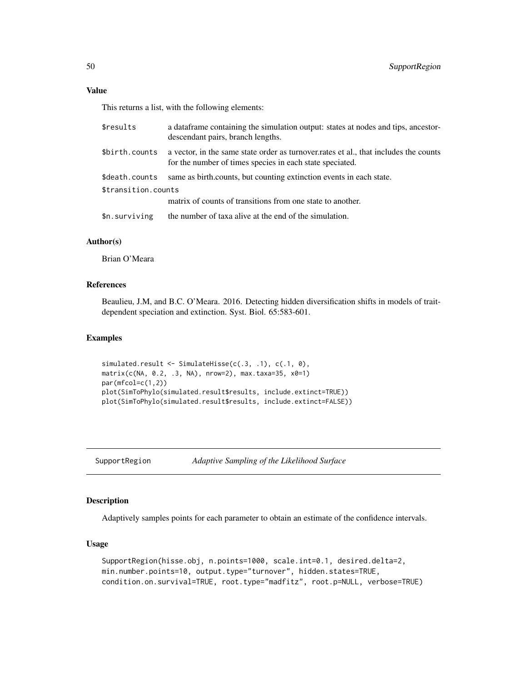### <span id="page-49-0"></span>Value

This returns a list, with the following elements:

| \$results           | a data frame containing the simulation output: states at nodes and tips, and a tips are stor-<br>descendant pairs, branch lengths.                |  |
|---------------------|---------------------------------------------------------------------------------------------------------------------------------------------------|--|
| \$birth.counts      | a vector, in the same state order as turnover, rates et al., that includes the counts<br>for the number of times species in each state speciated. |  |
| \$death.counts      | same as birth counts, but counting extinction events in each state.                                                                               |  |
| \$transition.counts |                                                                                                                                                   |  |
|                     | matrix of counts of transitions from one state to another.                                                                                        |  |
| \$n.surviving       | the number of taxa alive at the end of the simulation.                                                                                            |  |
|                     |                                                                                                                                                   |  |

### Author(s)

Brian O'Meara

### References

Beaulieu, J.M, and B.C. O'Meara. 2016. Detecting hidden diversification shifts in models of traitdependent speciation and extinction. Syst. Biol. 65:583-601.

#### Examples

```
simulated.result <- SimulateHisse(c(.3, .1), c(.1, 0),
matrix(c(NA, 0.2, .3, NA), nrow=2), max.taxa=35, x0=1)
par(mfcol=c(1,2))
plot(SimToPhylo(simulated.result$results, include.extinct=TRUE))
plot(SimToPhylo(simulated.result$results, include.extinct=FALSE))
```
SupportRegion *Adaptive Sampling of the Likelihood Surface*

#### Description

Adaptively samples points for each parameter to obtain an estimate of the confidence intervals.

#### Usage

```
SupportRegion(hisse.obj, n.points=1000, scale.int=0.1, desired.delta=2,
min.number.points=10, output.type="turnover", hidden.states=TRUE,
condition.on.survival=TRUE, root.type="madfitz", root.p=NULL, verbose=TRUE)
```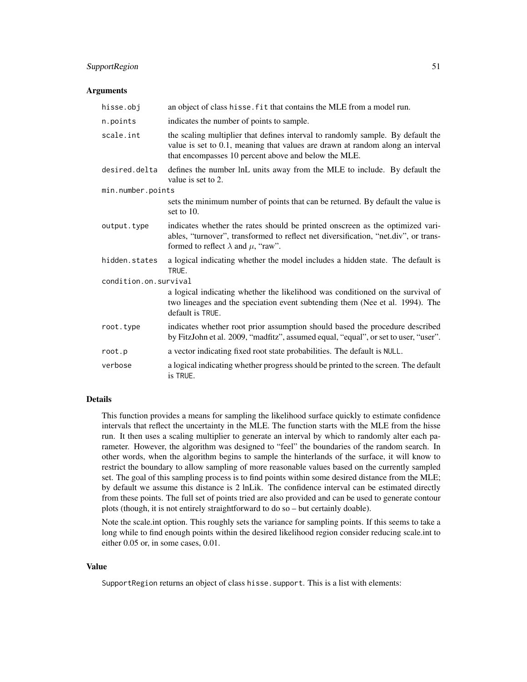### SupportRegion 51

#### **Arguments**

| hisse.obj             | an object of class hisse. fit that contains the MLE from a model run.                                                                                                                                                     |  |
|-----------------------|---------------------------------------------------------------------------------------------------------------------------------------------------------------------------------------------------------------------------|--|
| n.points              | indicates the number of points to sample.                                                                                                                                                                                 |  |
| scale.int             | the scaling multiplier that defines interval to randomly sample. By default the<br>value is set to 0.1, meaning that values are drawn at random along an interval<br>that encompasses 10 percent above and below the MLE. |  |
| desired.delta         | defines the number lnL units away from the MLE to include. By default the<br>value is set to 2.                                                                                                                           |  |
| min.number.points     |                                                                                                                                                                                                                           |  |
|                       | sets the minimum number of points that can be returned. By default the value is<br>set to $10$ .                                                                                                                          |  |
| output.type           | indicates whether the rates should be printed onscreen as the optimized vari-<br>ables, "turnover", transformed to reflect net diversification, "net.div", or trans-<br>formed to reflect $\lambda$ and $\mu$ , "raw".    |  |
| hidden.states         | a logical indicating whether the model includes a hidden state. The default is<br>TRUE.                                                                                                                                   |  |
| condition.on.survival |                                                                                                                                                                                                                           |  |
|                       | a logical indicating whether the likelihood was conditioned on the survival of<br>two lineages and the speciation event subtending them (Nee et al. 1994). The<br>default is TRUE.                                        |  |
| root.type             | indicates whether root prior assumption should based the procedure described<br>by FitzJohn et al. 2009, "madfitz", assumed equal, "equal", or set to user, "user".                                                       |  |
| root.p                | a vector indicating fixed root state probabilities. The default is NULL.                                                                                                                                                  |  |
| verbose               | a logical indicating whether progress should be printed to the screen. The default<br>is TRUE.                                                                                                                            |  |

### Details

This function provides a means for sampling the likelihood surface quickly to estimate confidence intervals that reflect the uncertainty in the MLE. The function starts with the MLE from the hisse run. It then uses a scaling multiplier to generate an interval by which to randomly alter each parameter. However, the algorithm was designed to "feel" the boundaries of the random search. In other words, when the algorithm begins to sample the hinterlands of the surface, it will know to restrict the boundary to allow sampling of more reasonable values based on the currently sampled set. The goal of this sampling process is to find points within some desired distance from the MLE; by default we assume this distance is 2 lnLik. The confidence interval can be estimated directly from these points. The full set of points tried are also provided and can be used to generate contour plots (though, it is not entirely straightforward to do so – but certainly doable).

Note the scale.int option. This roughly sets the variance for sampling points. If this seems to take a long while to find enough points within the desired likelihood region consider reducing scale.int to either 0.05 or, in some cases, 0.01.

#### Value

SupportRegion returns an object of class hisse. support. This is a list with elements: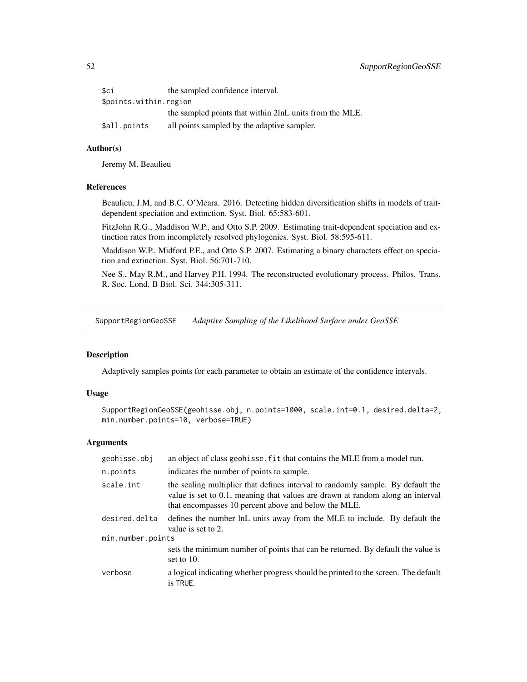<span id="page-51-0"></span>

| \$ci                   | the sampled confidence interval.                        |
|------------------------|---------------------------------------------------------|
| \$points.within.region |                                                         |
|                        | the sampled points that within 2lnL units from the MLE. |
| \$all.points           | all points sampled by the adaptive sampler.             |

#### Author(s)

Jeremy M. Beaulieu

### References

Beaulieu, J.M, and B.C. O'Meara. 2016. Detecting hidden diversification shifts in models of traitdependent speciation and extinction. Syst. Biol. 65:583-601.

FitzJohn R.G., Maddison W.P., and Otto S.P. 2009. Estimating trait-dependent speciation and extinction rates from incompletely resolved phylogenies. Syst. Biol. 58:595-611.

Maddison W.P., Midford P.E., and Otto S.P. 2007. Estimating a binary characters effect on speciation and extinction. Syst. Biol. 56:701-710.

Nee S., May R.M., and Harvey P.H. 1994. The reconstructed evolutionary process. Philos. Trans. R. Soc. Lond. B Biol. Sci. 344:305-311.

SupportRegionGeoSSE *Adaptive Sampling of the Likelihood Surface under GeoSSE*

### Description

Adaptively samples points for each parameter to obtain an estimate of the confidence intervals.

#### Usage

```
SupportRegionGeoSSE(geohisse.obj, n.points=1000, scale.int=0.1, desired.delta=2,
min.number.points=10, verbose=TRUE)
```

| geohisse.obj      | an object of class geohisse. Fit that contains the MLE from a model run.                                                                                                                                                  |  |
|-------------------|---------------------------------------------------------------------------------------------------------------------------------------------------------------------------------------------------------------------------|--|
| n.points          | indicates the number of points to sample.                                                                                                                                                                                 |  |
| scale.int         | the scaling multiplier that defines interval to randomly sample. By default the<br>value is set to 0.1, meaning that values are drawn at random along an interval<br>that encompasses 10 percent above and below the MLE. |  |
| desired.delta     | defines the number lnL units away from the MLE to include. By default the<br>value is set to 2.                                                                                                                           |  |
| min.number.points |                                                                                                                                                                                                                           |  |
|                   | sets the minimum number of points that can be returned. By default the value is<br>set to $10$ .                                                                                                                          |  |
| verbose           | a logical indicating whether progress should be printed to the screen. The default<br>is TRUE.                                                                                                                            |  |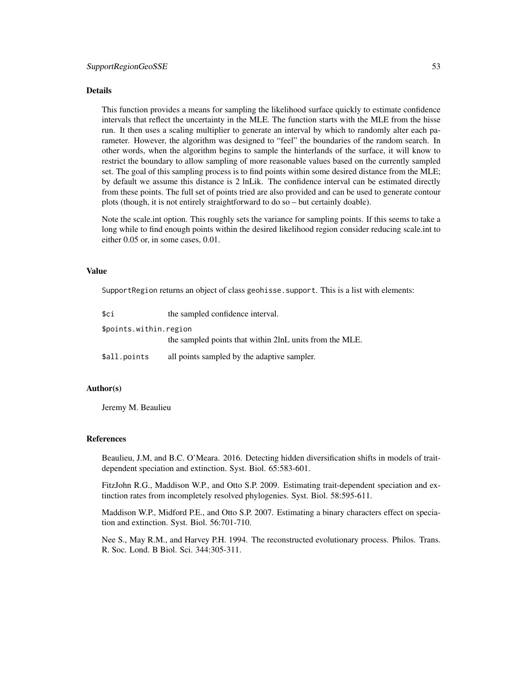#### Details

This function provides a means for sampling the likelihood surface quickly to estimate confidence intervals that reflect the uncertainty in the MLE. The function starts with the MLE from the hisse run. It then uses a scaling multiplier to generate an interval by which to randomly alter each parameter. However, the algorithm was designed to "feel" the boundaries of the random search. In other words, when the algorithm begins to sample the hinterlands of the surface, it will know to restrict the boundary to allow sampling of more reasonable values based on the currently sampled set. The goal of this sampling process is to find points within some desired distance from the MLE; by default we assume this distance is 2 lnLik. The confidence interval can be estimated directly from these points. The full set of points tried are also provided and can be used to generate contour plots (though, it is not entirely straightforward to do so – but certainly doable).

Note the scale.int option. This roughly sets the variance for sampling points. If this seems to take a long while to find enough points within the desired likelihood region consider reducing scale.int to either 0.05 or, in some cases, 0.01.

#### Value

SupportRegion returns an object of class geohisse. support. This is a list with elements:

| \$ci                   | the sampled confidence interval.                        |
|------------------------|---------------------------------------------------------|
| \$points.within.region |                                                         |
|                        | the sampled points that within 2lnL units from the MLE. |
| \$all.points           | all points sampled by the adaptive sampler.             |

### Author(s)

Jeremy M. Beaulieu

#### References

Beaulieu, J.M, and B.C. O'Meara. 2016. Detecting hidden diversification shifts in models of traitdependent speciation and extinction. Syst. Biol. 65:583-601.

FitzJohn R.G., Maddison W.P., and Otto S.P. 2009. Estimating trait-dependent speciation and extinction rates from incompletely resolved phylogenies. Syst. Biol. 58:595-611.

Maddison W.P., Midford P.E., and Otto S.P. 2007. Estimating a binary characters effect on speciation and extinction. Syst. Biol. 56:701-710.

Nee S., May R.M., and Harvey P.H. 1994. The reconstructed evolutionary process. Philos. Trans. R. Soc. Lond. B Biol. Sci. 344:305-311.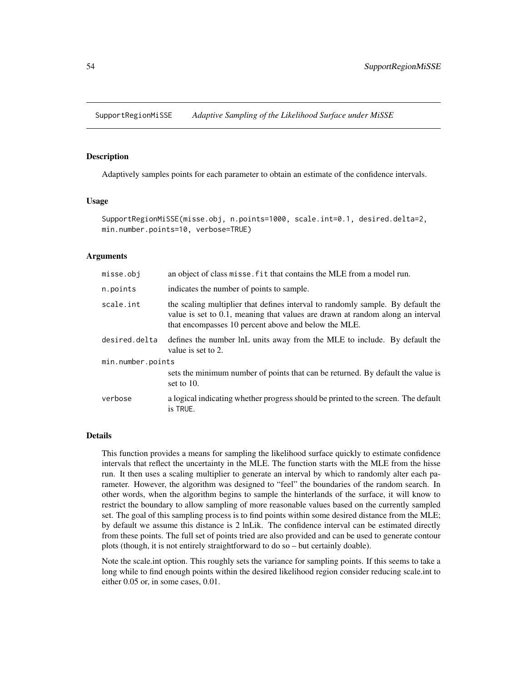<span id="page-53-0"></span>SupportRegionMiSSE *Adaptive Sampling of the Likelihood Surface under MiSSE*

#### **Description**

Adaptively samples points for each parameter to obtain an estimate of the confidence intervals.

#### Usage

```
SupportRegionMiSSE(misse.obj, n.points=1000, scale.int=0.1, desired.delta=2,
min.number.points=10, verbose=TRUE)
```
#### Arguments

| misse.obj         | an object of class misse. fit that contains the MLE from a model run.                                                                                                                                                     |  |
|-------------------|---------------------------------------------------------------------------------------------------------------------------------------------------------------------------------------------------------------------------|--|
| n.points          | indicates the number of points to sample.                                                                                                                                                                                 |  |
| scale.int         | the scaling multiplier that defines interval to randomly sample. By default the<br>value is set to 0.1, meaning that values are drawn at random along an interval<br>that encompasses 10 percent above and below the MLE. |  |
| desired.delta     | defines the number lnL units away from the MLE to include. By default the<br>value is set to 2.                                                                                                                           |  |
| min.number.points |                                                                                                                                                                                                                           |  |
|                   | sets the minimum number of points that can be returned. By default the value is<br>set to $10$ .                                                                                                                          |  |
| verbose           | a logical indicating whether progress should be printed to the screen. The default<br>is TRUE.                                                                                                                            |  |

#### Details

This function provides a means for sampling the likelihood surface quickly to estimate confidence intervals that reflect the uncertainty in the MLE. The function starts with the MLE from the hisse run. It then uses a scaling multiplier to generate an interval by which to randomly alter each parameter. However, the algorithm was designed to "feel" the boundaries of the random search. In other words, when the algorithm begins to sample the hinterlands of the surface, it will know to restrict the boundary to allow sampling of more reasonable values based on the currently sampled set. The goal of this sampling process is to find points within some desired distance from the MLE; by default we assume this distance is 2 lnLik. The confidence interval can be estimated directly from these points. The full set of points tried are also provided and can be used to generate contour plots (though, it is not entirely straightforward to do so – but certainly doable).

Note the scale.int option. This roughly sets the variance for sampling points. If this seems to take a long while to find enough points within the desired likelihood region consider reducing scale.int to either 0.05 or, in some cases, 0.01.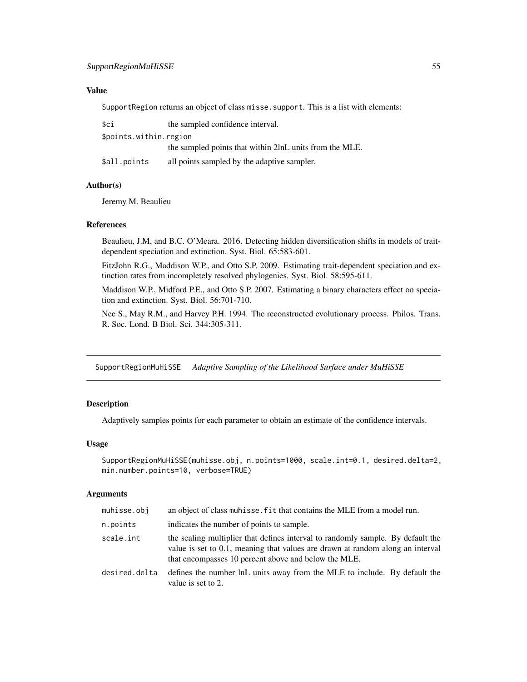#### <span id="page-54-0"></span>Value

SupportRegion returns an object of class misse. support. This is a list with elements:

| sci                    | the sampled confidence interval.                        |
|------------------------|---------------------------------------------------------|
| \$points.within.region |                                                         |
|                        | the sampled points that within 2lnL units from the MLE. |
| \$all.points           | all points sampled by the adaptive sampler.             |

### Author(s)

Jeremy M. Beaulieu

#### References

Beaulieu, J.M, and B.C. O'Meara. 2016. Detecting hidden diversification shifts in models of traitdependent speciation and extinction. Syst. Biol. 65:583-601.

FitzJohn R.G., Maddison W.P., and Otto S.P. 2009. Estimating trait-dependent speciation and extinction rates from incompletely resolved phylogenies. Syst. Biol. 58:595-611.

Maddison W.P., Midford P.E., and Otto S.P. 2007. Estimating a binary characters effect on speciation and extinction. Syst. Biol. 56:701-710.

Nee S., May R.M., and Harvey P.H. 1994. The reconstructed evolutionary process. Philos. Trans. R. Soc. Lond. B Biol. Sci. 344:305-311.

SupportRegionMuHiSSE *Adaptive Sampling of the Likelihood Surface under MuHiSSE*

#### Description

Adaptively samples points for each parameter to obtain an estimate of the confidence intervals.

#### Usage

```
SupportRegionMuHiSSE(muhisse.obj, n.points=1000, scale.int=0.1, desired.delta=2,
min.number.points=10, verbose=TRUE)
```

| muhisse.obj   | an object of class muhisse. fit that contains the MLE from a model run.                                                                                                                                                   |
|---------------|---------------------------------------------------------------------------------------------------------------------------------------------------------------------------------------------------------------------------|
| n.points      | indicates the number of points to sample.                                                                                                                                                                                 |
| scale.int     | the scaling multiplier that defines interval to randomly sample. By default the<br>value is set to 0.1, meaning that values are drawn at random along an interval<br>that encompasses 10 percent above and below the MLE. |
| desired.delta | defines the number lnL units away from the MLE to include. By default the<br>value is set to 2.                                                                                                                           |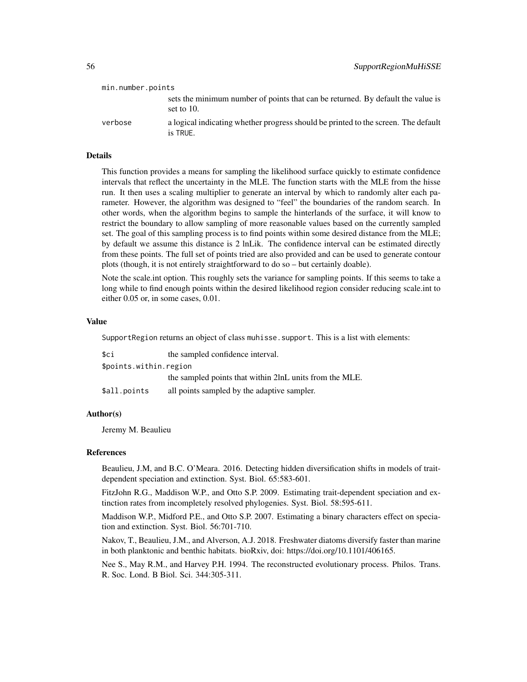| min.number.points |                                                                                                |
|-------------------|------------------------------------------------------------------------------------------------|
|                   | sets the minimum number of points that can be returned. By default the value is<br>set to 10.  |
| verbose           | a logical indicating whether progress should be printed to the screen. The default<br>is TRUE. |

### Details

This function provides a means for sampling the likelihood surface quickly to estimate confidence intervals that reflect the uncertainty in the MLE. The function starts with the MLE from the hisse run. It then uses a scaling multiplier to generate an interval by which to randomly alter each parameter. However, the algorithm was designed to "feel" the boundaries of the random search. In other words, when the algorithm begins to sample the hinterlands of the surface, it will know to restrict the boundary to allow sampling of more reasonable values based on the currently sampled set. The goal of this sampling process is to find points within some desired distance from the MLE; by default we assume this distance is 2 lnLik. The confidence interval can be estimated directly from these points. The full set of points tried are also provided and can be used to generate contour plots (though, it is not entirely straightforward to do so – but certainly doable).

Note the scale.int option. This roughly sets the variance for sampling points. If this seems to take a long while to find enough points within the desired likelihood region consider reducing scale.int to either 0.05 or, in some cases, 0.01.

#### Value

SupportRegion returns an object of class muhisse. support. This is a list with elements:

| \$ci                   | the sampled confidence interval.                        |
|------------------------|---------------------------------------------------------|
| \$points.within.region |                                                         |
|                        | the sampled points that within 2lnL units from the MLE. |
| \$all.points           | all points sampled by the adaptive sampler.             |

#### Author(s)

Jeremy M. Beaulieu

#### References

Beaulieu, J.M, and B.C. O'Meara. 2016. Detecting hidden diversification shifts in models of traitdependent speciation and extinction. Syst. Biol. 65:583-601.

FitzJohn R.G., Maddison W.P., and Otto S.P. 2009. Estimating trait-dependent speciation and extinction rates from incompletely resolved phylogenies. Syst. Biol. 58:595-611.

Maddison W.P., Midford P.E., and Otto S.P. 2007. Estimating a binary characters effect on speciation and extinction. Syst. Biol. 56:701-710.

Nakov, T., Beaulieu, J.M., and Alverson, A.J. 2018. Freshwater diatoms diversify faster than marine in both planktonic and benthic habitats. bioRxiv, doi: https://doi.org/10.1101/406165.

Nee S., May R.M., and Harvey P.H. 1994. The reconstructed evolutionary process. Philos. Trans. R. Soc. Lond. B Biol. Sci. 344:305-311.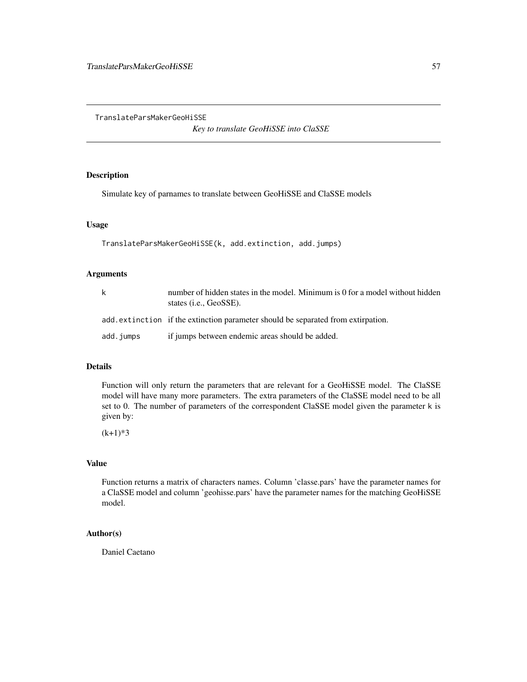<span id="page-56-0"></span>TranslateParsMakerGeoHiSSE

*Key to translate GeoHiSSE into ClaSSE*

### Description

Simulate key of parnames to translate between GeoHiSSE and ClaSSE models

#### Usage

```
TranslateParsMakerGeoHiSSE(k, add.extinction, add.jumps)
```
### Arguments

| k         | number of hidden states in the model. Minimum is 0 for a model without hidden<br>states ( <i>i.e.</i> , GeoSSE). |
|-----------|------------------------------------------------------------------------------------------------------------------|
|           | add extinction if the extinction parameter should be separated from extirpation.                                 |
| add.jumps | if jumps between endemic areas should be added.                                                                  |

### Details

Function will only return the parameters that are relevant for a GeoHiSSE model. The ClaSSE model will have many more parameters. The extra parameters of the ClaSSE model need to be all set to 0. The number of parameters of the correspondent ClaSSE model given the parameter k is given by:

 $(k+1)*3$ 

### Value

Function returns a matrix of characters names. Column 'classe.pars' have the parameter names for a ClaSSE model and column 'geohisse.pars' have the parameter names for the matching GeoHiSSE model.

### Author(s)

Daniel Caetano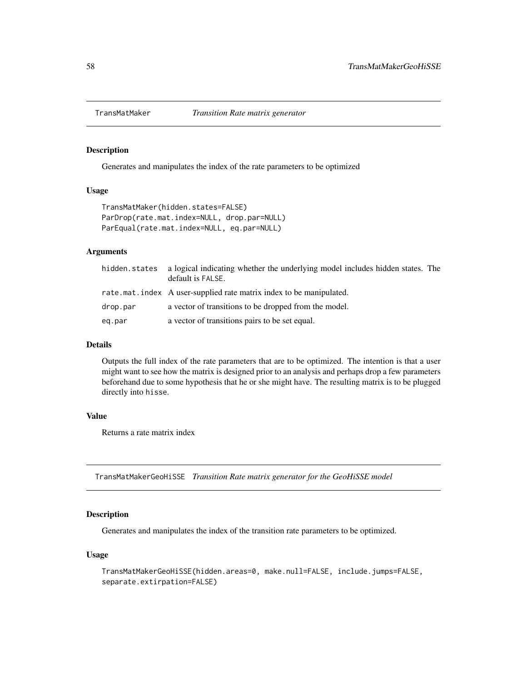<span id="page-57-0"></span>

#### Description

Generates and manipulates the index of the rate parameters to be optimized

#### Usage

```
TransMatMaker(hidden.states=FALSE)
ParDrop(rate.mat.index=NULL, drop.par=NULL)
ParEqual(rate.mat.index=NULL, eq.par=NULL)
```
### Arguments

| hidden.states | a logical indicating whether the underlying model includes hidden states. The<br>default is FALSE. |
|---------------|----------------------------------------------------------------------------------------------------|
|               | rate.mat.index A user-supplied rate matrix index to be manipulated.                                |
| drop.par      | a vector of transitions to be dropped from the model.                                              |
| eq.par        | a vector of transitions pairs to be set equal.                                                     |

#### Details

Outputs the full index of the rate parameters that are to be optimized. The intention is that a user might want to see how the matrix is designed prior to an analysis and perhaps drop a few parameters beforehand due to some hypothesis that he or she might have. The resulting matrix is to be plugged directly into hisse.

#### Value

Returns a rate matrix index

TransMatMakerGeoHiSSE *Transition Rate matrix generator for the GeoHiSSE model*

### Description

Generates and manipulates the index of the transition rate parameters to be optimized.

#### Usage

```
TransMatMakerGeoHiSSE(hidden.areas=0, make.null=FALSE, include.jumps=FALSE,
separate.extirpation=FALSE)
```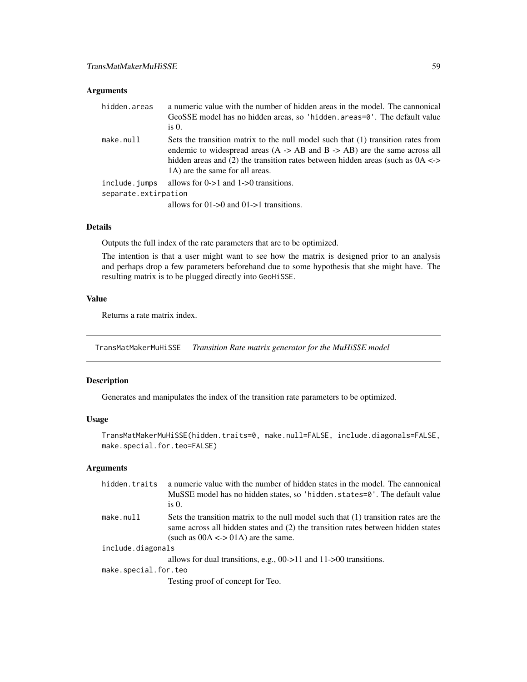### <span id="page-58-0"></span>Arguments

| hidden.areas         | a numeric value with the number of hidden areas in the model. The cannonical<br>GeoSSE model has no hidden areas, so 'hidden. areas=0'. The default value<br>is $0$ .                                                                                                                                       |
|----------------------|-------------------------------------------------------------------------------------------------------------------------------------------------------------------------------------------------------------------------------------------------------------------------------------------------------------|
| make.null            | Sets the transition matrix to the null model such that (1) transition rates from<br>endemic to widespread areas $(A \rightarrow AB$ and $B \rightarrow AB)$ are the same across all<br>hidden areas and (2) the transition rates between hidden areas (such as $0A \leq$<br>1A) are the same for all areas. |
| include.jumps        | allows for $0\rightarrow 1$ and $1\rightarrow 0$ transitions.                                                                                                                                                                                                                                               |
| separate.extirpation |                                                                                                                                                                                                                                                                                                             |
|                      | allows for $01 \rightarrow 0$ and $01 \rightarrow 1$ transitions.                                                                                                                                                                                                                                           |

### Details

Outputs the full index of the rate parameters that are to be optimized.

The intention is that a user might want to see how the matrix is designed prior to an analysis and perhaps drop a few parameters beforehand due to some hypothesis that she might have. The resulting matrix is to be plugged directly into GeoHiSSE.

### Value

Returns a rate matrix index.

TransMatMakerMuHiSSE *Transition Rate matrix generator for the MuHiSSE model*

### Description

Generates and manipulates the index of the transition rate parameters to be optimized.

### Usage

```
TransMatMakerMuHiSSE(hidden.traits=0, make.null=FALSE, include.diagonals=FALSE,
make.special.for.teo=FALSE)
```

| hidden.traits        | a numeric value with the number of hidden states in the model. The cannonical               |
|----------------------|---------------------------------------------------------------------------------------------|
|                      | MuSSE model has no hidden states, so 'hidden. states=0'. The default value<br>is $0$ .      |
| make.null            | Sets the transition matrix to the null model such that (1) transition rates are the         |
|                      | same across all hidden states and (2) the transition rates between hidden states            |
|                      | (such as $00A \leq 01A$ ) are the same.                                                     |
| include.diagonals    |                                                                                             |
|                      | allows for dual transitions, e.g., $00 \rightarrow 11$ and $11 \rightarrow 00$ transitions. |
| make.special.for.teo |                                                                                             |
|                      | Testing proof of concept for Teo.                                                           |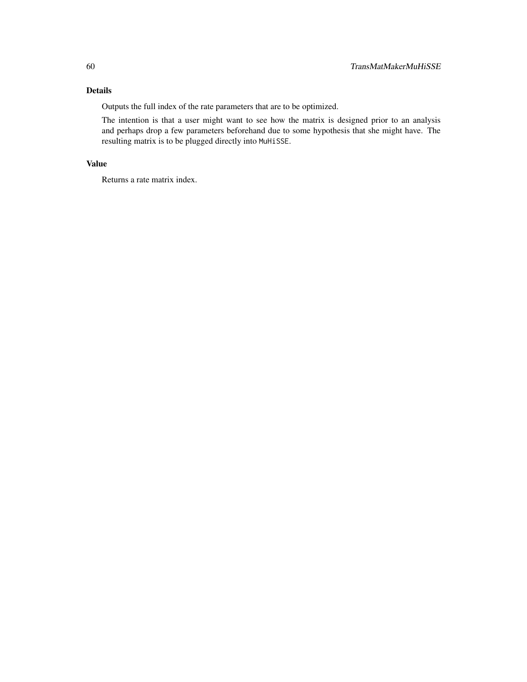### Details

Outputs the full index of the rate parameters that are to be optimized.

The intention is that a user might want to see how the matrix is designed prior to an analysis and perhaps drop a few parameters beforehand due to some hypothesis that she might have. The resulting matrix is to be plugged directly into MuHiSSE.

### Value

Returns a rate matrix index.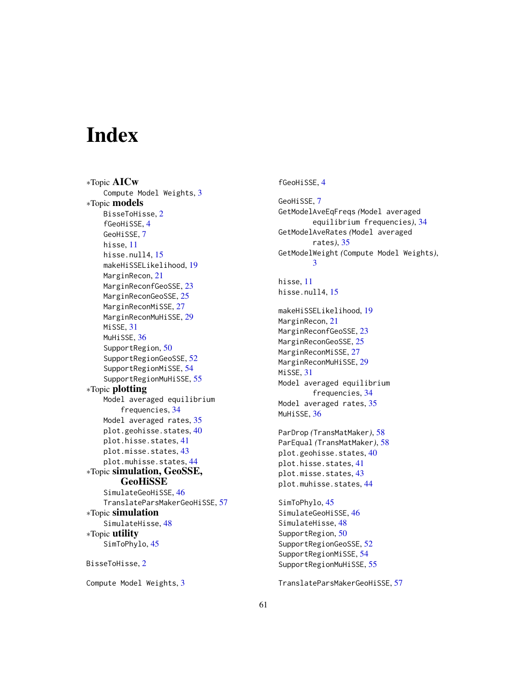# <span id="page-60-0"></span>**Index**

∗Topic AICw Compute Model Weights, [3](#page-2-0) ∗Topic models BisseToHisse, [2](#page-1-0) fGeoHiSSE, [4](#page-3-0) GeoHiSSE, [7](#page-6-0) hisse, [11](#page-10-0) hisse.null4, [15](#page-14-0) makeHiSSELikelihood, [19](#page-18-0) MarginRecon, [21](#page-20-0) MarginReconfGeoSSE, [23](#page-22-0) MarginReconGeoSSE, [25](#page-24-0) MarginReconMiSSE, [27](#page-26-0) MarginReconMuHiSSE, [29](#page-28-0) MiSSE, [31](#page-30-0) MuHiSSE, [36](#page-35-0) SupportRegion, [50](#page-49-0) SupportRegionGeoSSE, [52](#page-51-0) SupportRegionMiSSE, [54](#page-53-0) SupportRegionMuHiSSE, [55](#page-54-0) ∗Topic plotting Model averaged equilibrium frequencies, [34](#page-33-0) Model averaged rates, [35](#page-34-0) plot.geohisse.states, [40](#page-39-0) plot.hisse.states, [41](#page-40-0) plot.misse.states, [43](#page-42-0) plot.muhisse.states, [44](#page-43-0) ∗Topic simulation, GeoSSE, GeoHiSSE SimulateGeoHiSSE, [46](#page-45-0) TranslateParsMakerGeoHiSSE, [57](#page-56-0) ∗Topic simulation SimulateHisse, [48](#page-47-0) ∗Topic utility SimToPhylo, [45](#page-44-0) BisseToHisse, [2](#page-1-0)

Compute Model Weights, [3](#page-2-0)

#### fGeoHiSSE, [4](#page-3-0)

GeoHiSSE, [7](#page-6-0) GetModelAveEqFreqs *(*Model averaged equilibrium frequencies*)*, [34](#page-33-0) GetModelAveRates *(*Model averaged rates*)*, [35](#page-34-0) GetModelWeight *(*Compute Model Weights*)*, [3](#page-2-0) hisse, [11](#page-10-0) hisse.null4, [15](#page-14-0) makeHiSSELikelihood, [19](#page-18-0) MarginRecon, [21](#page-20-0) MarginReconfGeoSSE, [23](#page-22-0) MarginReconGeoSSE, [25](#page-24-0) MarginReconMiSSE, [27](#page-26-0) MarginReconMuHiSSE, [29](#page-28-0) MiSSE, [31](#page-30-0) Model averaged equilibrium frequencies, [34](#page-33-0) Model averaged rates, [35](#page-34-0) MuHiSSE, [36](#page-35-0) ParDrop *(*TransMatMaker*)*, [58](#page-57-0) ParEqual *(*TransMatMaker*)*, [58](#page-57-0) plot.geohisse.states, [40](#page-39-0) plot.hisse.states, [41](#page-40-0) plot.misse.states, [43](#page-42-0) plot.muhisse.states, [44](#page-43-0) SimToPhylo, [45](#page-44-0)

SimulateGeoHiSSE, [46](#page-45-0) SimulateHisse, [48](#page-47-0) SupportRegion, [50](#page-49-0) SupportRegionGeoSSE, [52](#page-51-0) SupportRegionMiSSE, [54](#page-53-0) SupportRegionMuHiSSE, [55](#page-54-0)

TranslateParsMakerGeoHiSSE, [57](#page-56-0)